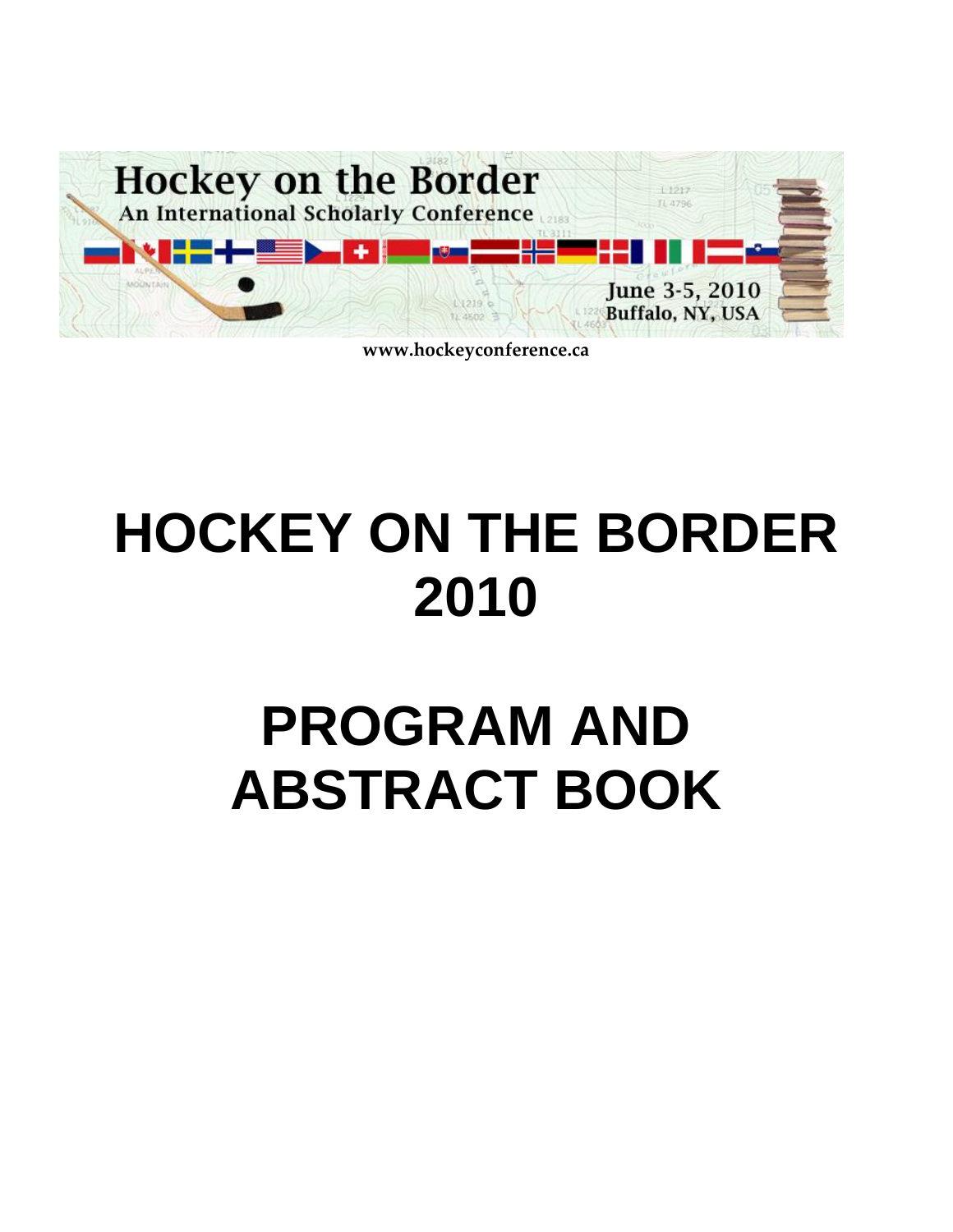

**www.hockeyconference.ca**

# **HOCKEY ON THE BORDER 2010**

# **PROGRAM AND ABSTRACT BOOK**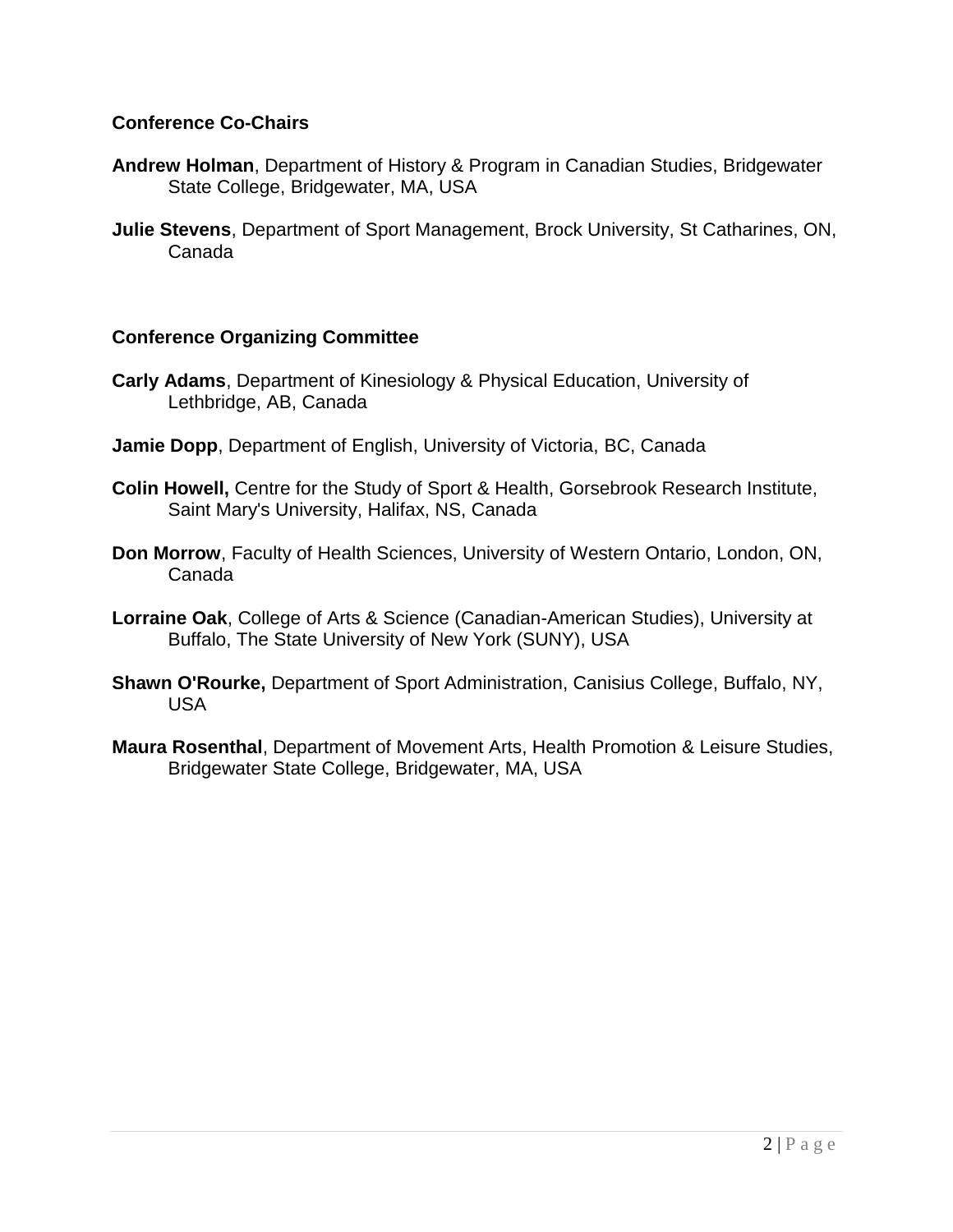#### **Conference Co-Chairs**

- **Andrew Holman**, Department of History & Program in Canadian Studies, Bridgewater State College, Bridgewater, MA, USA
- **Julie Stevens**, Department of Sport Management, Brock University, St Catharines, ON, Canada

#### **Conference Organizing Committee**

- **Carly Adams**, Department of Kinesiology & Physical Education, University of Lethbridge, AB, Canada
- **Jamie Dopp**, Department of English, University of Victoria, BC, Canada
- **Colin Howell,** Centre for the Study of Sport & Health, Gorsebrook Research Institute, Saint Mary's University, Halifax, NS, Canada
- **Don Morrow**, Faculty of Health Sciences, University of Western Ontario, London, ON, Canada
- **Lorraine Oak**, College of Arts & Science (Canadian-American Studies), University at Buffalo, The State University of New York (SUNY), USA
- **Shawn O'Rourke,** Department of Sport Administration, Canisius College, Buffalo, NY, USA
- **Maura Rosenthal**, Department of Movement Arts, Health Promotion & Leisure Studies, Bridgewater State College, Bridgewater, MA, USA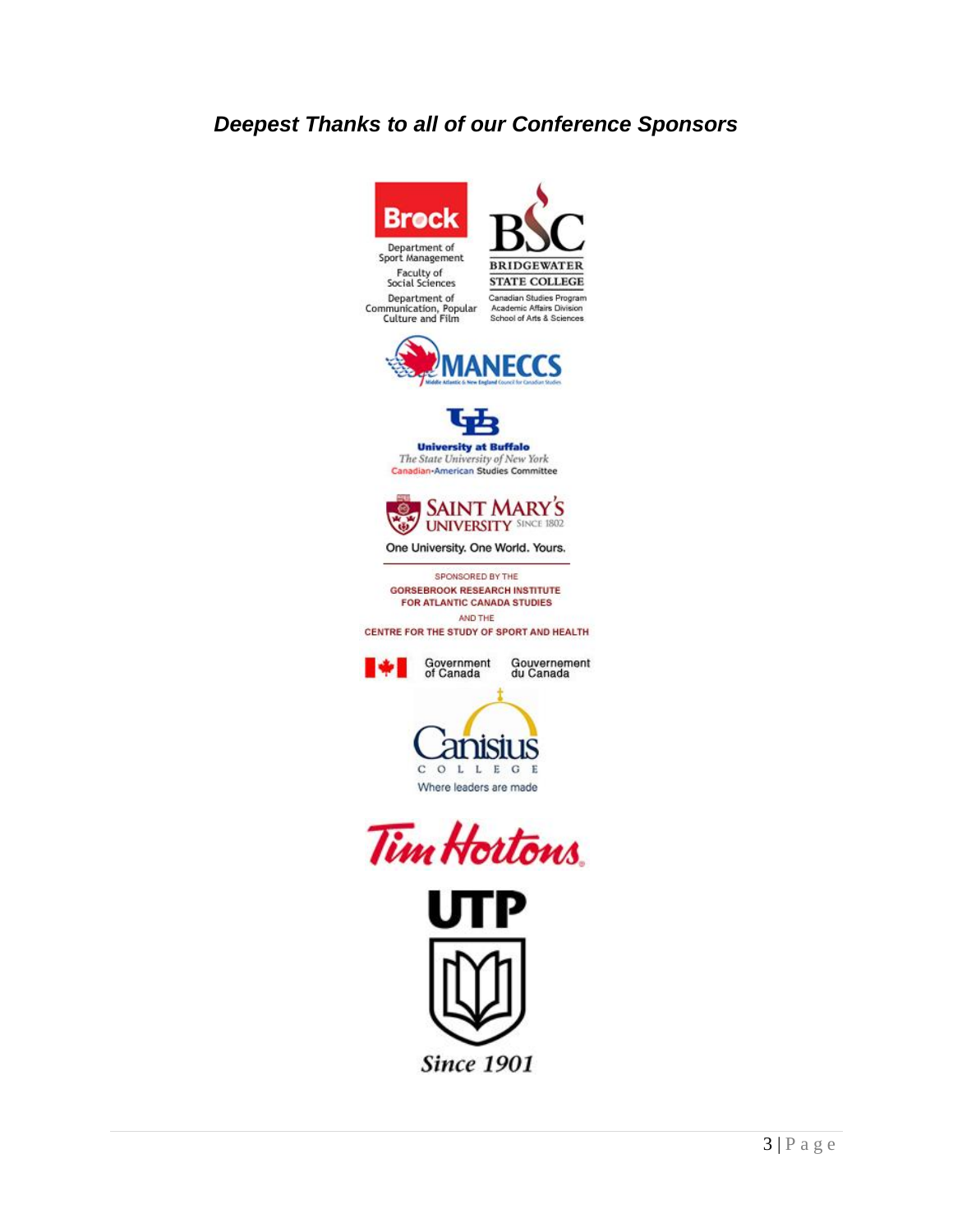### *Deepest Thanks to all of our Conference Sponsors*



**Since 1901**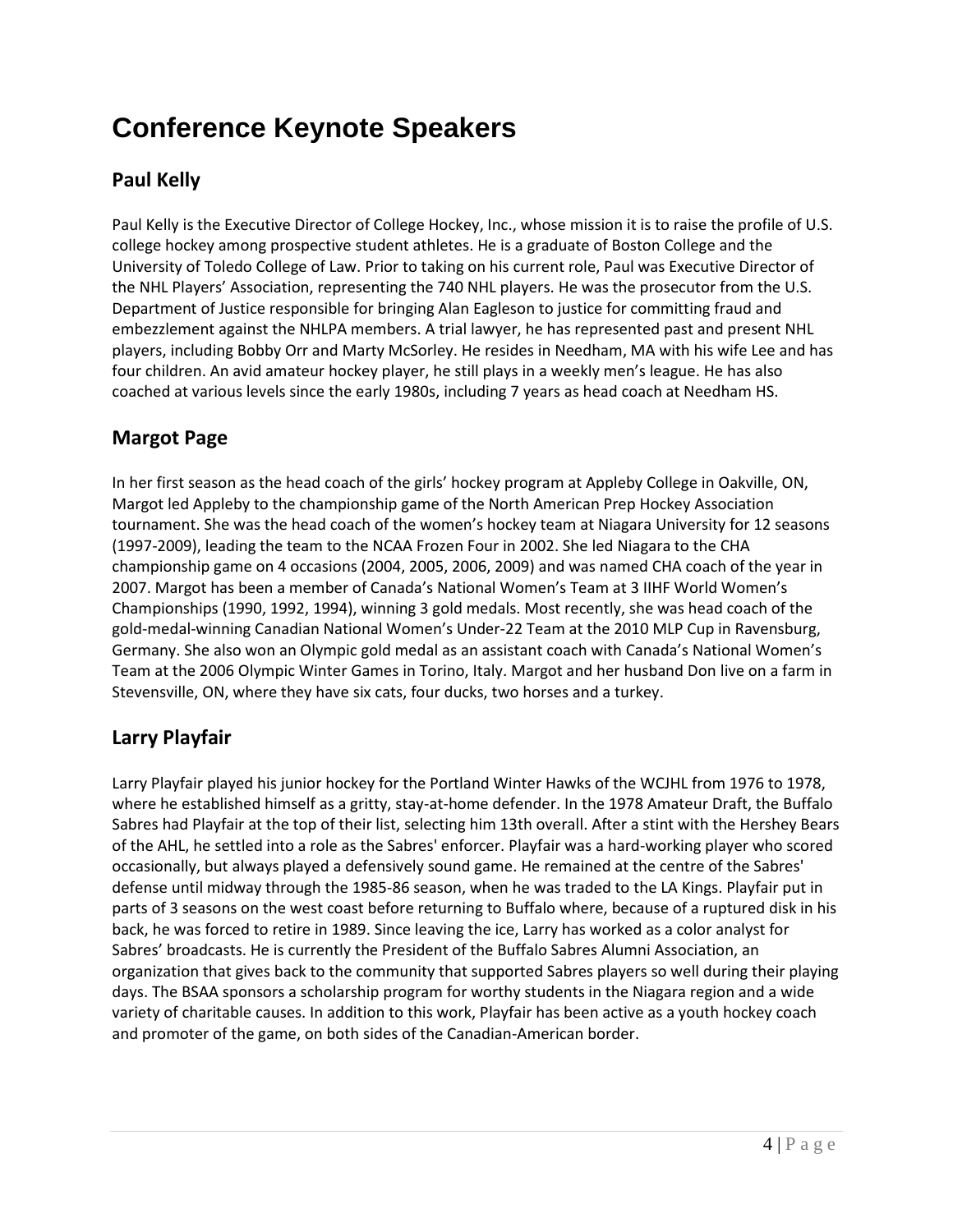## **Conference Keynote Speakers**

### **Paul Kelly**

Paul Kelly is the Executive Director of College Hockey, Inc., whose mission it is to raise the profile of U.S. college hockey among prospective student athletes. He is a graduate of Boston College and the University of Toledo College of Law. Prior to taking on his current role, Paul was Executive Director of the NHL Players' Association, representing the 740 NHL players. He was the prosecutor from the U.S. Department of Justice responsible for bringing Alan Eagleson to justice for committing fraud and embezzlement against the NHLPA members. A trial lawyer, he has represented past and present NHL players, including Bobby Orr and Marty McSorley. He resides in Needham, MA with his wife Lee and has four children. An avid amateur hockey player, he still plays in a weekly men's league. He has also coached at various levels since the early 1980s, including 7 years as head coach at Needham HS.

#### **Margot Page**

In her first season as the head coach of the girls' hockey program at Appleby College in Oakville, ON, Margot led Appleby to the championship game of the North American Prep Hockey Association tournament. She was the head coach of the women's hockey team at Niagara University for 12 seasons (1997-2009), leading the team to the NCAA Frozen Four in 2002. She led Niagara to the CHA championship game on 4 occasions (2004, 2005, 2006, 2009) and was named CHA coach of the year in 2007. Margot has been a member of Canada's National Women's Team at 3 IIHF World Women's Championships (1990, 1992, 1994), winning 3 gold medals. Most recently, she was head coach of the gold-medal-winning Canadian National Women's Under-22 Team at the 2010 MLP Cup in Ravensburg, Germany. She also won an Olympic gold medal as an assistant coach with Canada's National Women's Team at the 2006 Olympic Winter Games in Torino, Italy. Margot and her husband Don live on a farm in Stevensville, ON, where they have six cats, four ducks, two horses and a turkey.

### **Larry Playfair**

Larry Playfair played his junior hockey for the Portland Winter Hawks of the WCJHL from 1976 to 1978, where he established himself as a gritty, stay-at-home defender. In the 1978 Amateur Draft, the Buffalo Sabres had Playfair at the top of their list, selecting him 13th overall. After a stint with the Hershey Bears of the AHL, he settled into a role as the Sabres' enforcer. Playfair was a hard-working player who scored occasionally, but always played a defensively sound game. He remained at the centre of the Sabres' defense until midway through the 1985-86 season, when he was traded to the LA Kings. Playfair put in parts of 3 seasons on the west coast before returning to Buffalo where, because of a ruptured disk in his back, he was forced to retire in 1989. Since leaving the ice, Larry has worked as a color analyst for Sabres' broadcasts. He is currently the President of the Buffalo Sabres Alumni Association, an organization that gives back to the community that supported Sabres players so well during their playing days. The BSAA sponsors a scholarship program for worthy students in the Niagara region and a wide variety of charitable causes. In addition to this work, Playfair has been active as a youth hockey coach and promoter of the game, on both sides of the Canadian-American border.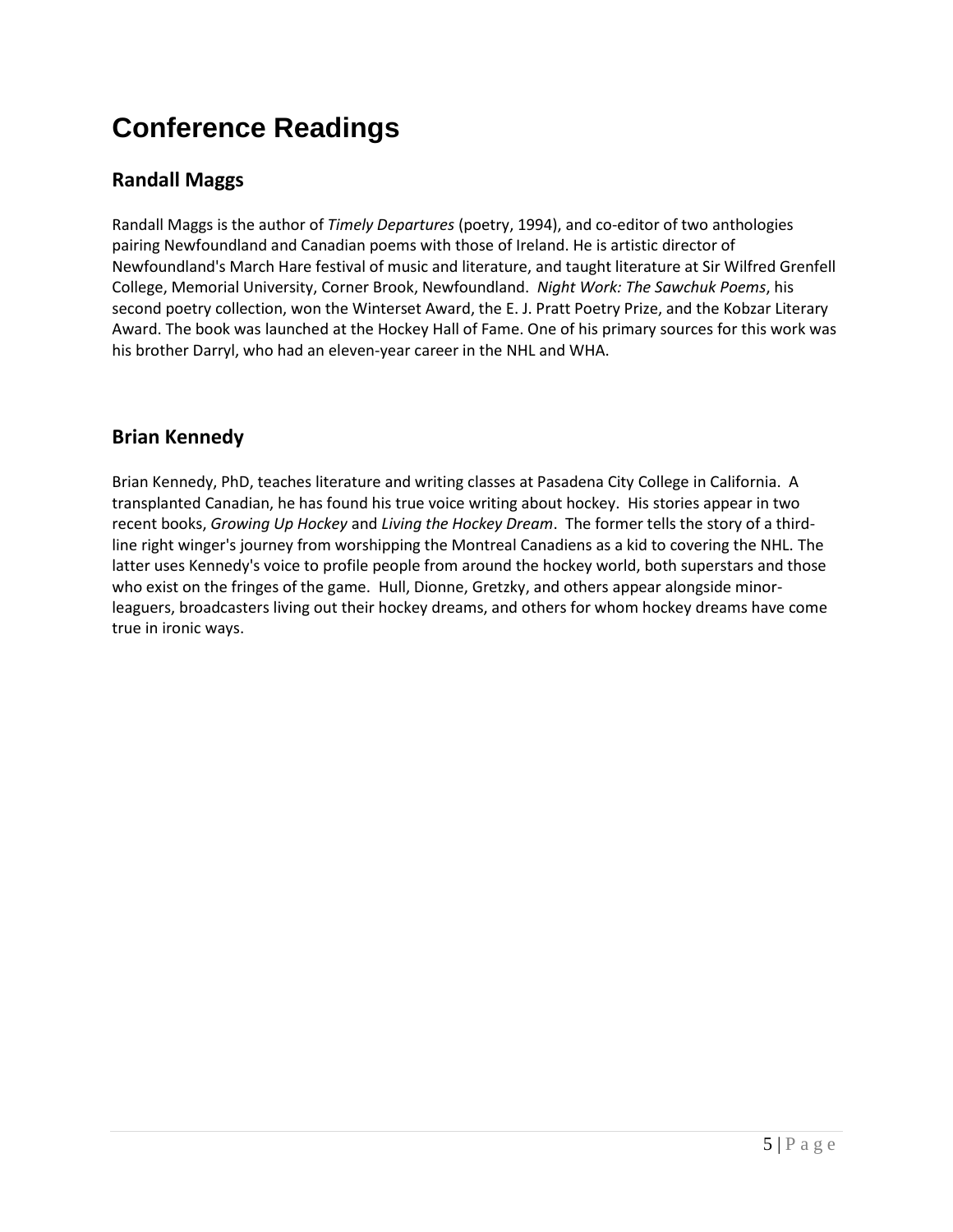## **Conference Readings**

#### **Randall Maggs**

Randall Maggs is the author of *Timely Departures* (poetry, 1994), and co-editor of two anthologies pairing Newfoundland and Canadian poems with those of Ireland. He is artistic director of Newfoundland's March Hare festival of music and literature, and taught literature at Sir Wilfred Grenfell College, Memorial University, Corner Brook, Newfoundland. *Night Work: The Sawchuk Poems*, his second poetry collection, won the Winterset Award, the E. J. Pratt Poetry Prize, and the Kobzar Literary Award. The book was launched at the Hockey Hall of Fame. One of his primary sources for this work was his brother Darryl, who had an eleven-year career in the NHL and WHA.

#### **Brian Kennedy**

Brian Kennedy, PhD, teaches literature and writing classes at Pasadena City College in California. A transplanted Canadian, he has found his true voice writing about hockey. His stories appear in two recent books, *Growing Up Hockey* and *Living the Hockey Dream*. The former tells the story of a thirdline right winger's journey from worshipping the Montreal Canadiens as a kid to covering the NHL. The latter uses Kennedy's voice to profile people from around the hockey world, both superstars and those who exist on the fringes of the game. Hull, Dionne, Gretzky, and others appear alongside minorleaguers, broadcasters living out their hockey dreams, and others for whom hockey dreams have come true in ironic ways.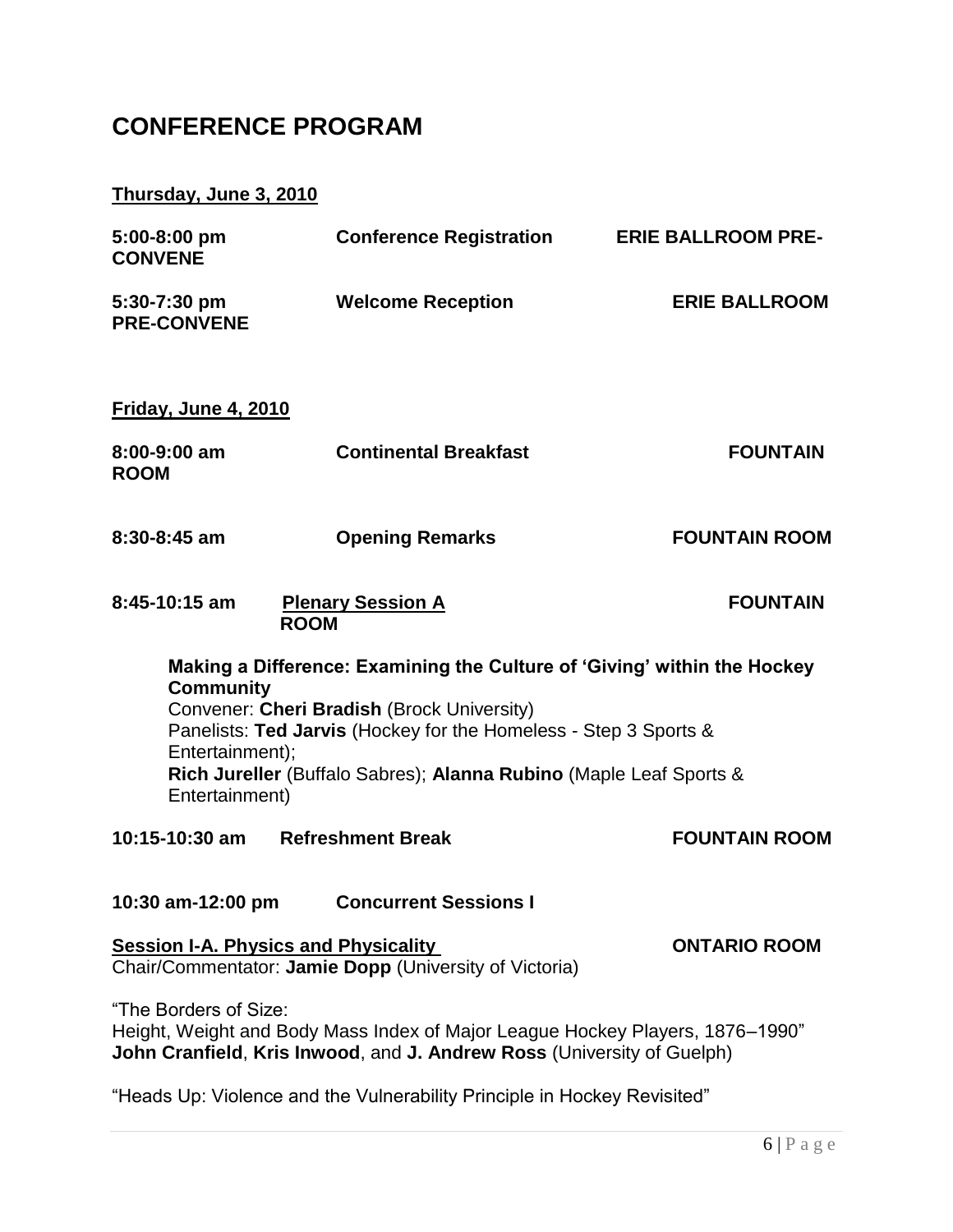## **CONFERENCE PROGRAM**

### **Thursday, June 3, 2010**

| 5:00-8:00 pm<br><b>CONVENE</b>                                                                                                                                                                                                    | <b>Conference Registration</b>                                     | <b>ERIE BALLROOM PRE-</b> |  |  |
|-----------------------------------------------------------------------------------------------------------------------------------------------------------------------------------------------------------------------------------|--------------------------------------------------------------------|---------------------------|--|--|
| 5:30-7:30 pm<br><b>PRE-CONVENE</b>                                                                                                                                                                                                | <b>Welcome Reception</b>                                           | <b>ERIE BALLROOM</b>      |  |  |
| Friday, June 4, 2010                                                                                                                                                                                                              |                                                                    |                           |  |  |
| 8:00-9:00 am<br><b>ROOM</b>                                                                                                                                                                                                       | <b>Continental Breakfast</b>                                       | <b>FOUNTAIN</b>           |  |  |
| $8:30 - 8:45$ am                                                                                                                                                                                                                  | <b>Opening Remarks</b>                                             | <b>FOUNTAIN ROOM</b>      |  |  |
| 8:45-10:15 am<br><b>ROOM</b>                                                                                                                                                                                                      | <b>Plenary Session A</b>                                           | <b>FOUNTAIN</b>           |  |  |
| Making a Difference: Examining the Culture of 'Giving' within the Hockey<br><b>Community</b><br>Convener: Cheri Bradish (Brock University)<br>Panelists: Ted Jarvis (Hockey for the Homeless - Step 3 Sports &<br>Entertainment); |                                                                    |                           |  |  |
| Entertainment)                                                                                                                                                                                                                    | Rich Jureller (Buffalo Sabres); Alanna Rubino (Maple Leaf Sports & |                           |  |  |
| 10:15-10:30 am Refreshment Break                                                                                                                                                                                                  |                                                                    | <b>FOUNTAIN ROOM</b>      |  |  |
| 10:30 am-12:00 pm<br><b>Concurrent Sessions I</b>                                                                                                                                                                                 |                                                                    |                           |  |  |
| <b>Session I-A. Physics and Physicality</b><br>Chair/Commentator: Jamie Dopp (University of Victoria)                                                                                                                             | <b>ONTARIO ROOM</b>                                                |                           |  |  |
| "The Borders of Size:<br>Height, Weight and Body Mass Index of Major League Hockey Players, 1876–1990"<br>John Cranfield, Kris Inwood, and J. Andrew Ross (University of Guelph)                                                  |                                                                    |                           |  |  |
| "Heads Up: Violence and the Vulnerability Principle in Hockey Revisited"                                                                                                                                                          |                                                                    |                           |  |  |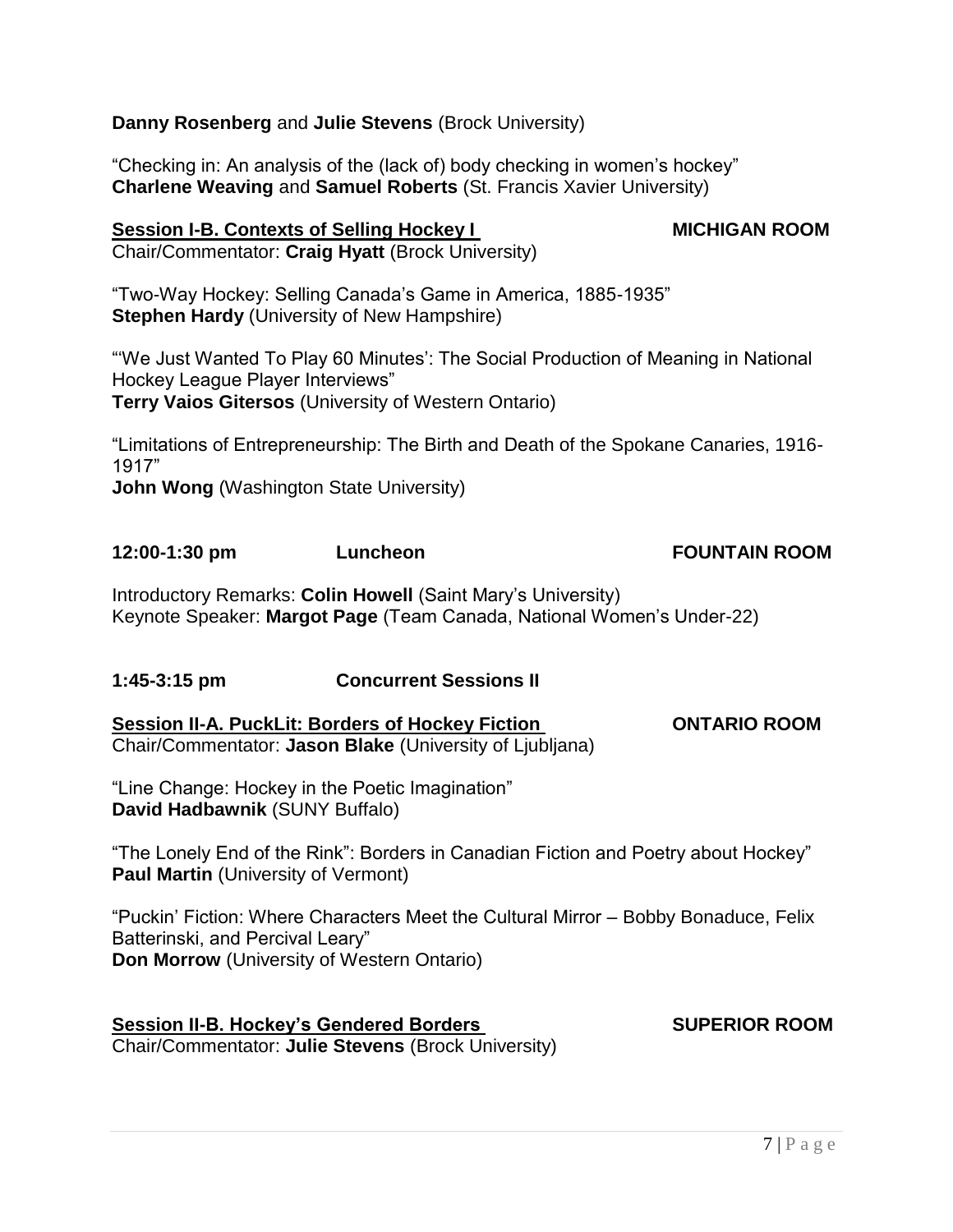$7 | P a g e$ 

"Line Change: Hockey in the Poetic Imagination" **David Hadbawnik** (SUNY Buffalo)

"The Lonely End of the Rink": Borders in Canadian Fiction and Poetry about Hockey" **Paul Martin** (University of Vermont)

―Puckin' Fiction: Where Characters Meet the Cultural Mirror – Bobby Bonaduce, Felix Batterinski, and Percival Leary" **Don Morrow** (University of Western Ontario)

**Session II-B. Hockey's Gendered Borders Measure SUPERIOR ROOM** Chair/Commentator: **Julie Stevens** (Brock University)

**Session II-A. PuckLit: Borders of Hockey Fiction CONTARIO ROOM** Chair/Commentator: **Jason Blake** (University of Ljubljana)

**1:45-3:15 pm Concurrent Sessions II** 

―Limitations of Entrepreneurship: The Birth and Death of the Spokane Canaries, 1916- 1917‖ **John Wong** (Washington State University)

Keynote Speaker: **Margot Page** (Team Canada, National Women's Under-22)

Introductory Remarks: **Colin Howell** (Saint Mary's University)

"Two-Way Hockey: Selling Canada's Game in America, 1885-1935" **Stephen Hardy** (University of New Hampshire)

―‗We Just Wanted To Play 60 Minutes': The Social Production of Meaning in National

Hockey League Player Interviews" **Terry Vaios Gitersos** (University of Western Ontario)

**Session I-B. Contexts of Selling Hockey I MICHIGAN ROOM** Chair/Commentator: **Craig Hyatt** (Brock University)

"Checking in: An analysis of the (lack of) body checking in women's hockey" **Charlene Weaving** and **Samuel Roberts** (St. Francis Xavier University)

**Danny Rosenberg** and **Julie Stevens** (Brock University)

**12:00-1:30 pm Luncheon FOUNTAIN ROOM**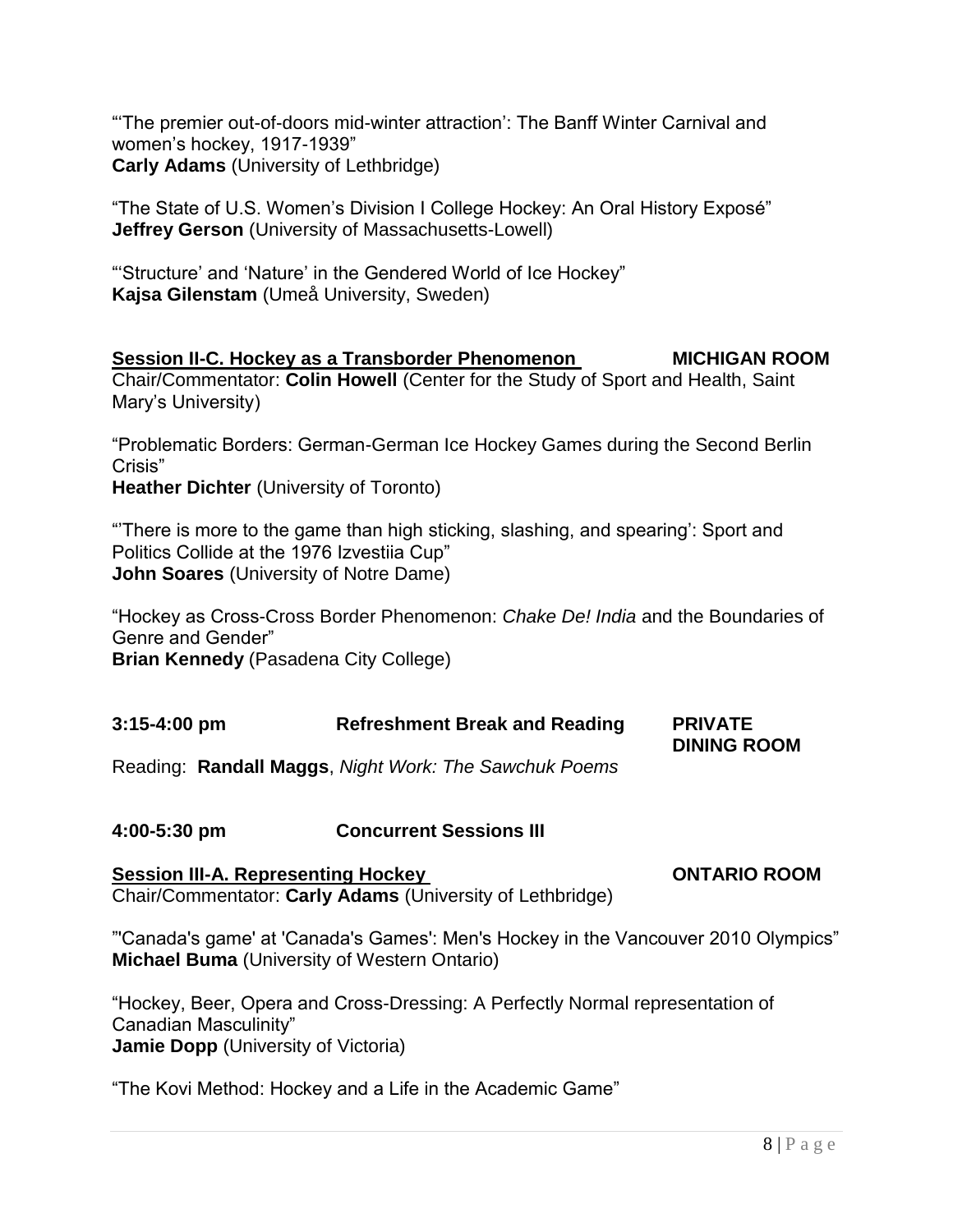―‗The premier out-of-doors mid-winter attraction': The Banff Winter Carnival and women's hockey, 1917-1939" **Carly Adams** (University of Lethbridge)

"The State of U.S. Women's Division I College Hockey: An Oral History Exposé" **Jeffrey Gerson** (University of Massachusetts-Lowell)

"Structure' and 'Nature' in the Gendered World of Ice Hockey" **Kajsa Gilenstam** (Umeå University, Sweden)

#### **Session II-C. Hockey as a Transborder Phenomenon MICHIGAN ROOM** Chair/Commentator: **Colin Howell** (Center for the Study of Sport and Health, Saint Mary's University)

―Problematic Borders: German-German Ice Hockey Games during the Second Berlin Crisis"

**Heather Dichter** (University of Toronto)

―'There is more to the game than high sticking, slashing, and spearing': Sport and Politics Collide at the 1976 Izvestija Cup" **John Soares** (University of Notre Dame)

―Hockey as Cross-Cross Border Phenomenon: *Chake De! India* and the Boundaries of Genre and Gender" **Brian Kennedy** (Pasadena City College)

| $3:15 - 4:00$ pm | <b>Refreshment Break and Reading</b> | <b>PRIVATE</b>     |
|------------------|--------------------------------------|--------------------|
|                  |                                      | <b>DINING ROOM</b> |

Reading: **Randall Maggs**, *Night Work: The Sawchuk Poems*

**4:00-5:30 pm Concurrent Sessions III** 

**Session III-A. Representing Hockey CONTARIO ROOM** Chair/Commentator: **Carly Adams** (University of Lethbridge)

"Canada's game' at 'Canada's Games': Men's Hockey in the Vancouver 2010 Olympics" **Michael Buma** (University of Western Ontario)

―Hockey, Beer, Opera and Cross-Dressing: A Perfectly Normal representation of Canadian Masculinity" **Jamie Dopp** (University of Victoria)

"The Kovi Method: Hockey and a Life in the Academic Game"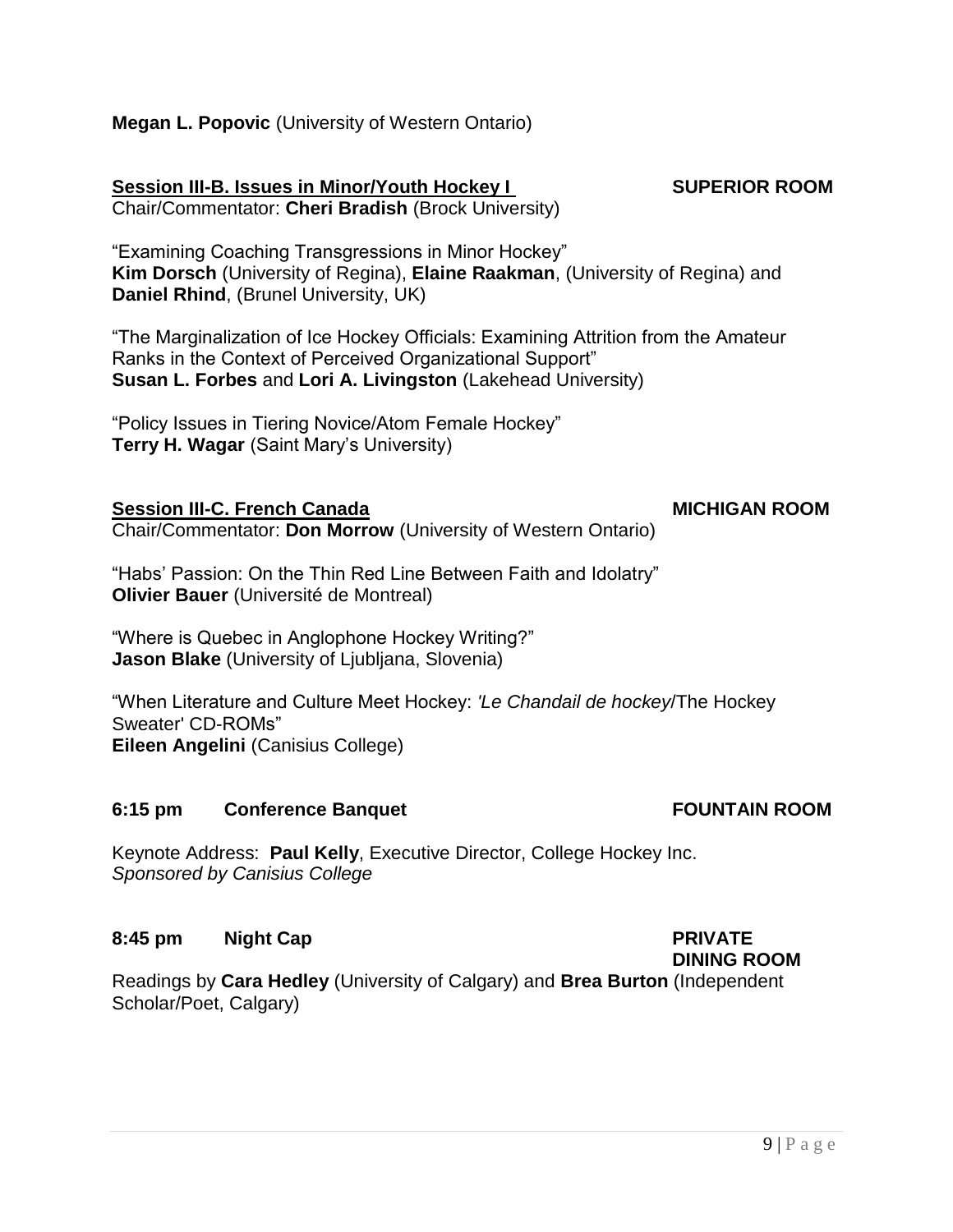Keynote Address: **Paul Kelly**, Executive Director, College Hockey Inc. *Sponsored by Canisius College* 

### **8:45 pm Night Cap PRIVATE**

Scholar/Poet, Calgary)

**6:15 pm Conference Banquet Conference Banquet Conference Banquet Conference Banquet Conference Conference Conference Conference Conference Conference Conference Conference Conference Conference Conference Conference Confe** 

"Where is Quebec in Anglophone Hockey Writing?" **Jason Blake** (University of Liubliana, Slovenia)

―When Literature and Culture Meet Hockey: *'Le Chandail de hockey*/The Hockey Sweater' CD-ROMs" **Eileen Angelini** (Canisius College)

Readings by **Cara Hedley** (University of Calgary) and **Brea Burton** (Independent

**Session III-C. French Canada MICHIGAN ROOM** 

Chair/Commentator: **Don Morrow** (University of Western Ontario)

**Susan L. Forbes** and **Lori A. Livingston** (Lakehead University)

"Habs' Passion: On the Thin Red Line Between Faith and Idolatry" **Olivier Bauer** (Université de Montreal)

"Policy Issues in Tiering Novice/Atom Female Hockey" **Terry H. Wagar** (Saint Mary's University)

**Kim Dorsch** (University of Regina), **Elaine Raakman**, (University of Regina) and

"Examining Coaching Transgressions in Minor Hockey"

―The Marginalization of Ice Hockey Officials: Examining Attrition from the Amateur

**Daniel Rhind**, (Brunel University, UK)

Ranks in the Context of Perceived Organizational Support"

Chair/Commentator: **Cheri Bradish** (Brock University)

**Megan L. Popovic** (University of Western Ontario)

**Session III-B. Issues in Minor/Youth Hockey I SUPERIOR ROOM** 

## **DINING ROOM**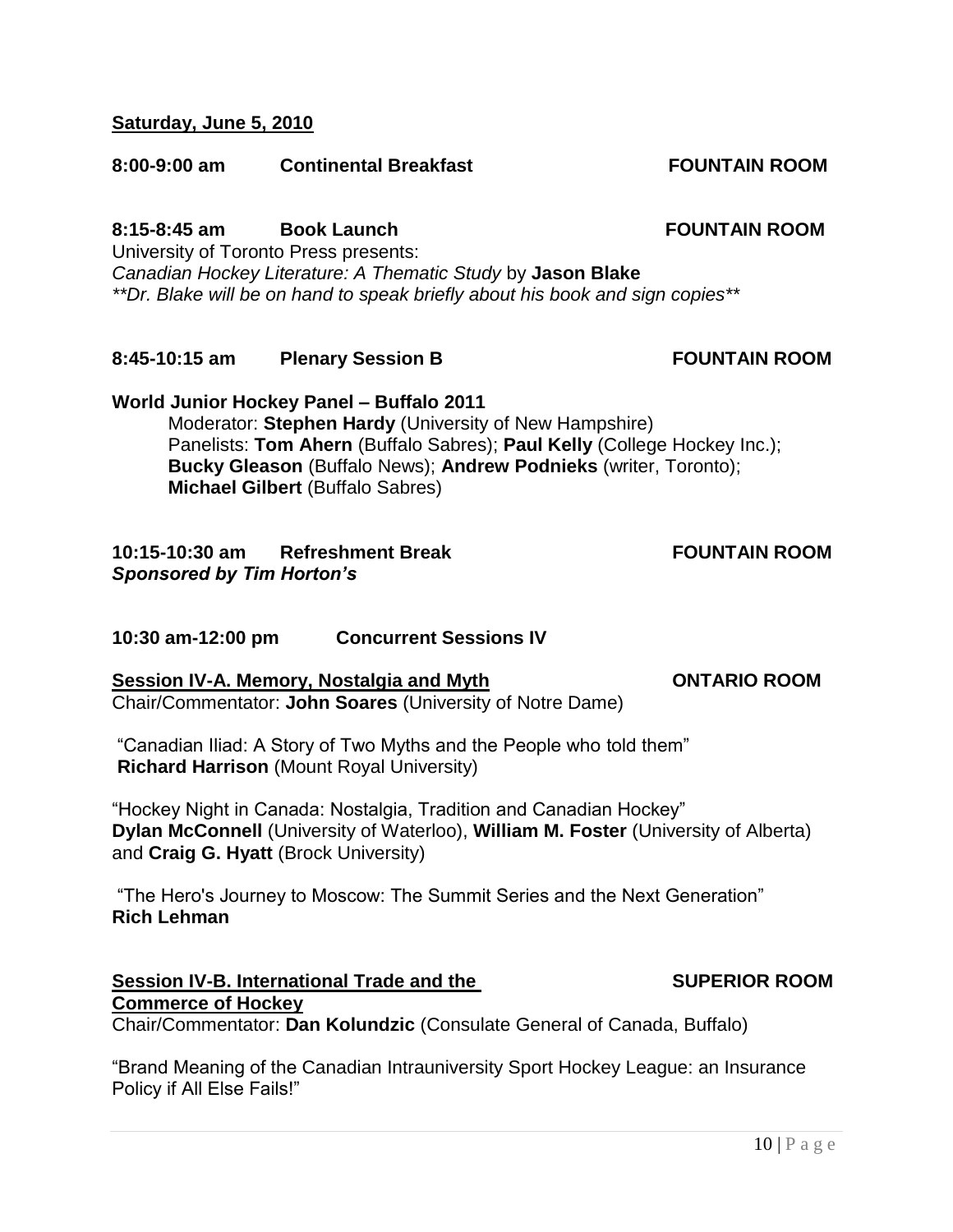#### **Saturday, June 5, 2010**

#### **8:00-9:00 am Continental Breakfast FOUNTAIN ROOM**

## **8:15-8:45 am Book Launch FOUNTAIN ROOM**

University of Toronto Press presents: *Canadian Hockey Literature: A Thematic Study* by **Jason Blake** *\*\*Dr. Blake will be on hand to speak briefly about his book and sign copies\*\** 

**8:45-10:15 am Plenary Session B FOUNTAIN ROOM**

**World Junior Hockey Panel – Buffalo 2011** Moderator: **Stephen Hardy** (University of New Hampshire) Panelists: **Tom Ahern** (Buffalo Sabres); **Paul Kelly** (College Hockey Inc.); **Bucky Gleason** (Buffalo News); **Andrew Podnieks** (writer, Toronto); **Michael Gilbert** (Buffalo Sabres)

#### **10:15-10:30 am Refreshment Break FOUNTAIN ROOM** *Sponsored by Tim Horton's*

#### **10:30 am-12:00 pm Concurrent Sessions IV**

#### **Session IV-A. Memory, Nostalgia and Myth CONTARIO ROOM**

Chair/Commentator: **John Soares** (University of Notre Dame)

"Canadian Iliad: A Story of Two Myths and the People who told them" **Richard Harrison** (Mount Royal University)

"Hockey Night in Canada: Nostalgia, Tradition and Canadian Hockey" **Dylan McConnell** (University of Waterloo), **William M. Foster** (University of Alberta) and **Craig G. Hyatt** (Brock University)

"The Hero's Journey to Moscow: The Summit Series and the Next Generation" **Rich Lehman** 

#### **Session IV-B. International Trade and the SUPERIOR ROOM Commerce of Hockey**

Chair/Commentator: **Dan Kolundzic** (Consulate General of Canada, Buffalo)

"Brand Meaning of the Canadian Intrauniversity Sport Hockey League: an Insurance Policy if All Else Fails!"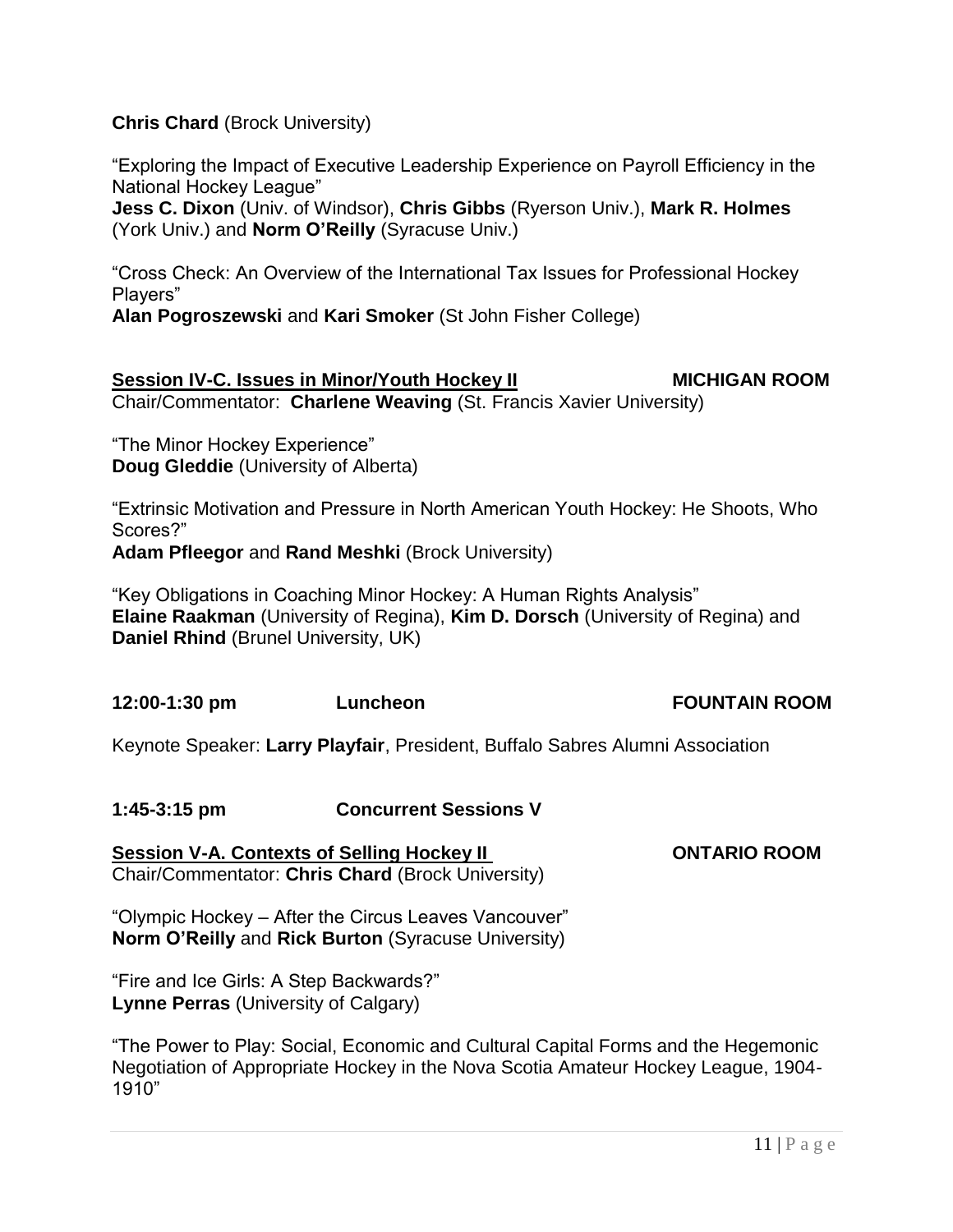#### **Chris Chard** (Brock University)

―Exploring the Impact of Executive Leadership Experience on Payroll Efficiency in the National Hockey League"

**Jess C. Dixon** (Univ. of Windsor), **Chris Gibbs** (Ryerson Univ.), **Mark R. Holmes** (York Univ.) and **Norm O"Reilly** (Syracuse Univ.)

―Cross Check: An Overview of the International Tax Issues for Professional Hockey Players"

**Alan Pogroszewski** and **Kari Smoker** (St John Fisher College)

#### **Session IV-C. Issues in Minor/Youth Hockey II MICHIGAN ROOM** Chair/Commentator: **Charlene Weaving** (St. Francis Xavier University)

"The Minor Hockey Experience" **Doug Gleddie** (University of Alberta)

―Extrinsic Motivation and Pressure in North American Youth Hockey: He Shoots, Who Scores?"

**Adam Pfleegor** and **Rand Meshki** (Brock University)

"Key Obligations in Coaching Minor Hockey: A Human Rights Analysis" **Elaine Raakman** (University of Regina), **Kim D. Dorsch** (University of Regina) and **Daniel Rhind** (Brunel University, UK)

**12:00-1:30 pm Luncheon FOUNTAIN ROOM**

Keynote Speaker: **Larry Playfair**, President, Buffalo Sabres Alumni Association

#### **1:45-3:15 pm Concurrent Sessions V**

**Session V-A. Contexts of Selling Hockey II CONTARIO ROOM** Chair/Commentator: **Chris Chard** (Brock University)

"Olympic Hockey – After the Circus Leaves Vancouver" **Norm O"Reilly** and **Rick Burton** (Syracuse University)

"Fire and Ice Girls: A Step Backwards?" **Lynne Perras** (University of Calgary)

―The Power to Play: Social, Economic and Cultural Capital Forms and the Hegemonic Negotiation of Appropriate Hockey in the Nova Scotia Amateur Hockey League, 1904- 1910"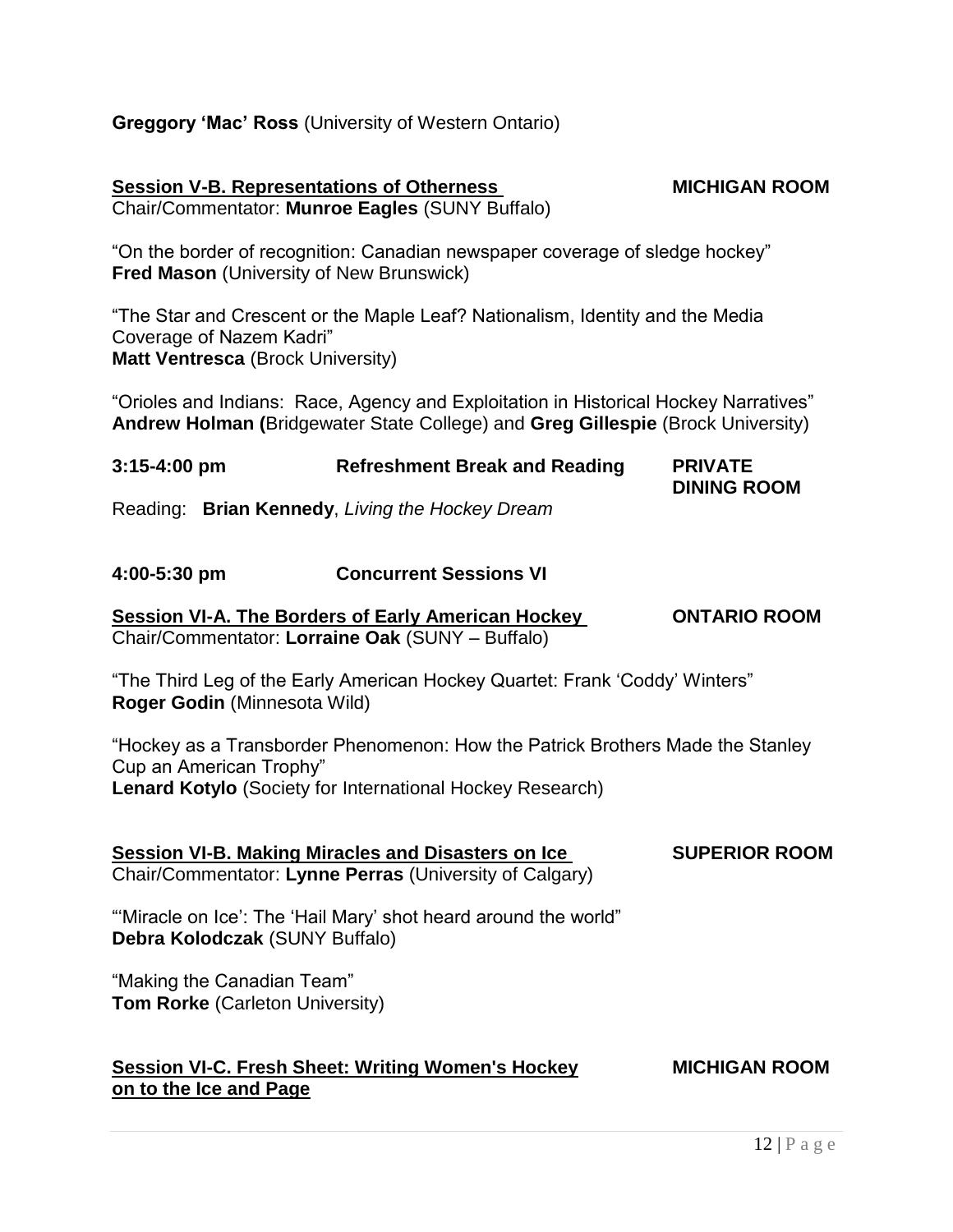#### **Greggory "Mac" Ross** (University of Western Ontario)

#### **Session V-B. Representations of Otherness MICHIGAN ROOM** Chair/Commentator: **Munroe Eagles** (SUNY Buffalo)

"On the border of recognition: Canadian newspaper coverage of sledge hockey" **Fred Mason** (University of New Brunswick)

―The Star and Crescent or the Maple Leaf? Nationalism, Identity and the Media Coverage of Nazem Kadri" **Matt Ventresca** (Brock University)

"Orioles and Indians: Race, Agency and Exploitation in Historical Hockey Narratives" **Andrew Holman (**Bridgewater State College) and **Greg Gillespie** (Brock University)

| $3:15 - 4:00$ pm | <b>Refreshment Break and Reading</b>             | <b>PRIVATE</b>     |
|------------------|--------------------------------------------------|--------------------|
|                  |                                                  | <b>DINING ROOM</b> |
|                  | Desdinau Dalam Kampadu Linium tha Haalcay Daagma |                    |

Reading: **Brian Kennedy**, *Living the Hockey Dream*

#### **4:00-5:30 pm Concurrent Sessions VI**

#### **Session VI-A. The Borders of Early American Hockey ONTARIO ROOM** Chair/Commentator: **Lorraine Oak** (SUNY – Buffalo)

"The Third Leg of the Early American Hockey Quartet: Frank 'Coddy' Winters" **Roger Godin** (Minnesota Wild)

―Hockey as a Transborder Phenomenon: How the Patrick Brothers Made the Stanley Cup an American Trophy" **Lenard Kotylo** (Society for International Hockey Research)

**Session VI-B. Making Miracles and Disasters on Ice SUPERIOR ROOM** Chair/Commentator: **Lynne Perras** (University of Calgary)

"Miracle on Ice': The 'Hail Mary' shot heard around the world" **Debra Kolodczak** (SUNY Buffalo)

"Making the Canadian Team" **Tom Rorke** (Carleton University)

#### **Session VI-C. Fresh Sheet: Writing Women's Hockey MICHIGAN ROOM on to the Ice and Page**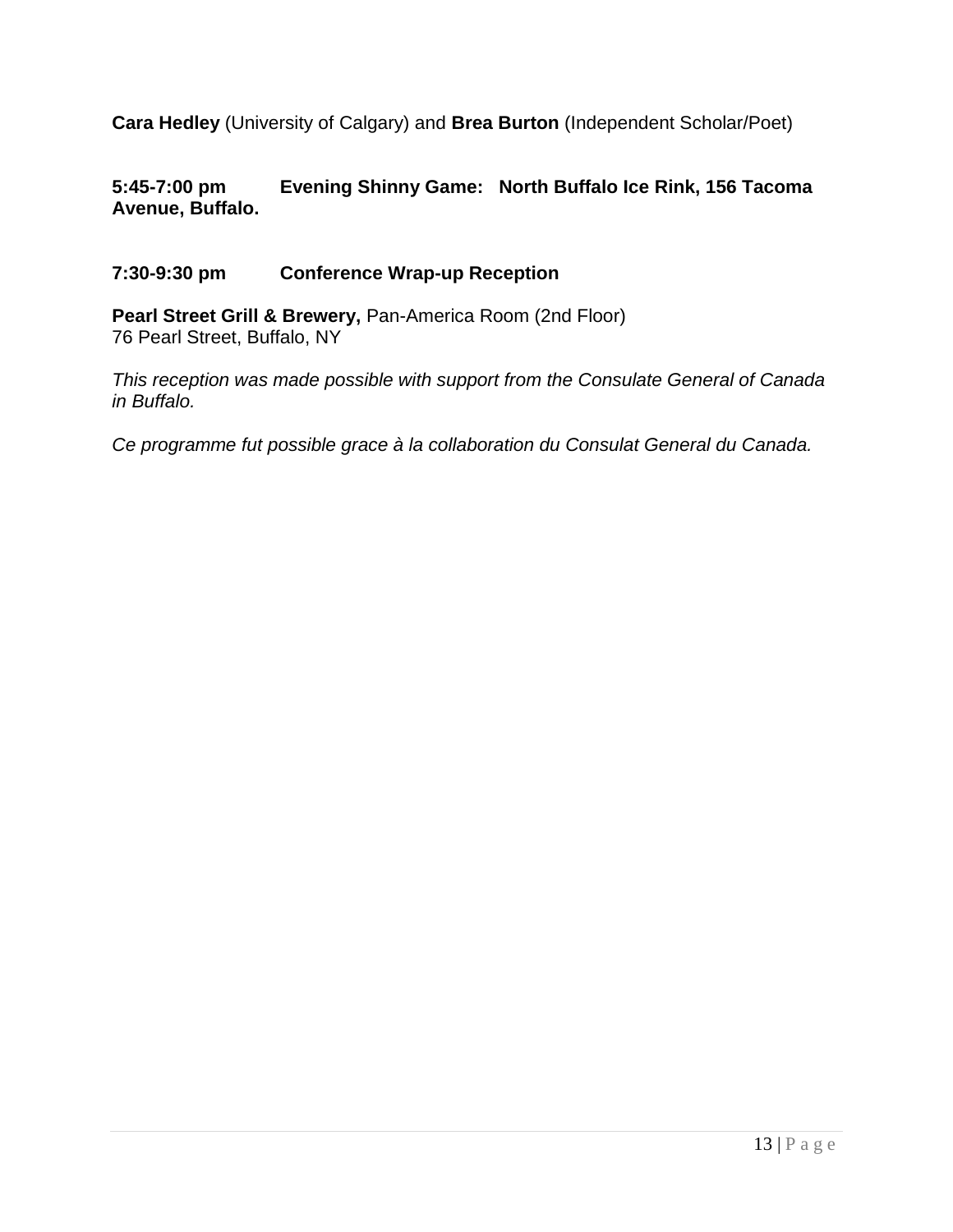**Cara Hedley** (University of Calgary) and **Brea Burton** (Independent Scholar/Poet)

#### **5:45-7:00 pm Evening Shinny Game: North Buffalo Ice Rink, 156 Tacoma Avenue, Buffalo.**

#### **7:30-9:30 pm Conference Wrap-up Reception**

Pearl Street Grill & Brewery, Pan-America Room (2nd Floor) 76 Pearl Street, Buffalo, NY

*This reception was made possible with support from the Consulate General of Canada in Buffalo.*

*Ce programme fut possible grace à la collaboration du Consulat General du Canada.*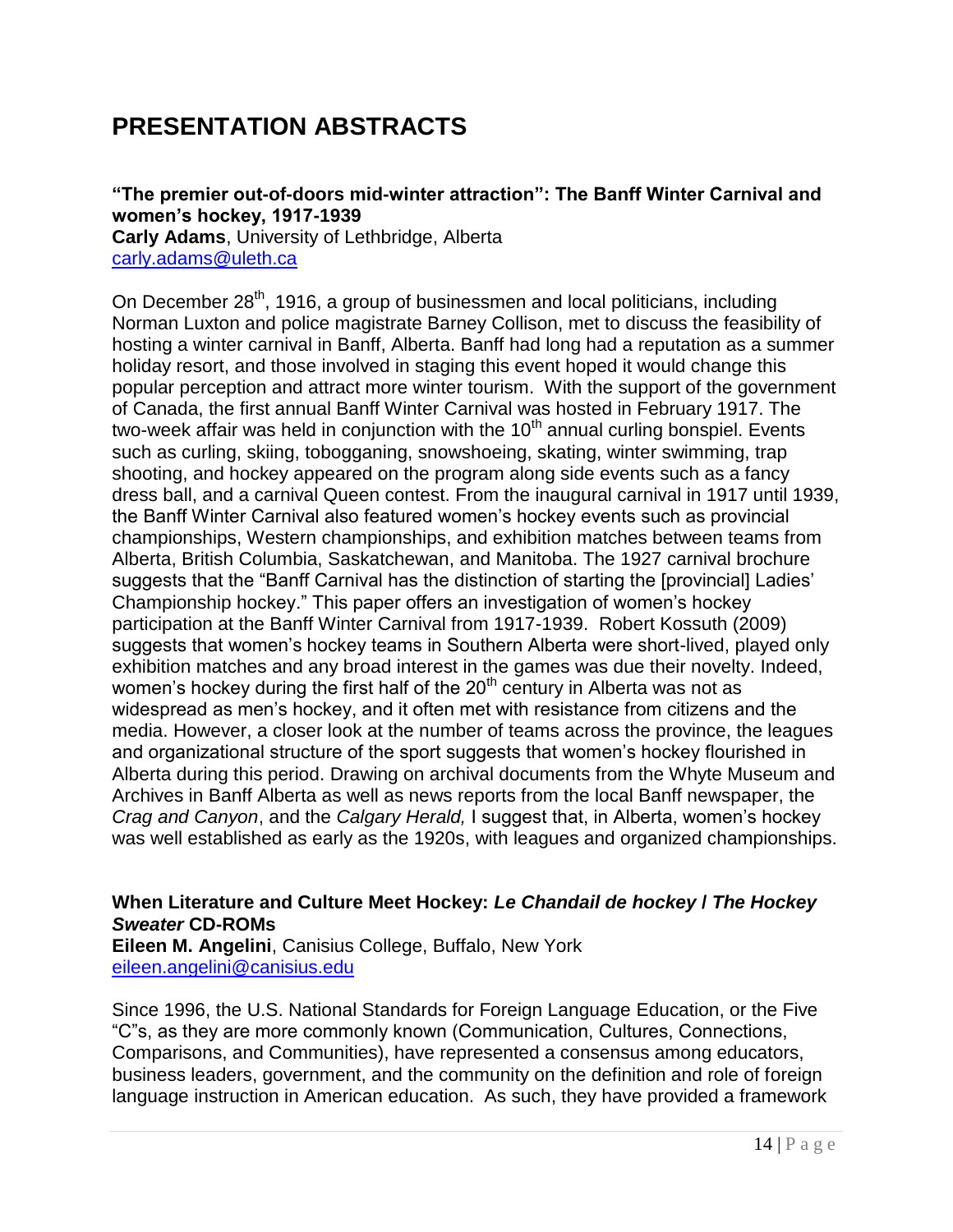## **PRESENTATION ABSTRACTS**

#### **"The premier out-of-doors mid-winter attraction": The Banff Winter Carnival and women"s hockey, 1917-1939**

**Carly Adams**, University of Lethbridge, Alberta [carly.adams@uleth.ca](mailto:carly.adams@uleth.ca)

On December 28<sup>th</sup>, 1916, a group of businessmen and local politicians, including Norman Luxton and police magistrate Barney Collison, met to discuss the feasibility of hosting a winter carnival in Banff, Alberta. Banff had long had a reputation as a summer holiday resort, and those involved in staging this event hoped it would change this popular perception and attract more winter tourism. With the support of the government of Canada, the first annual Banff Winter Carnival was hosted in February 1917. The two-week affair was held in conjunction with the  $10<sup>th</sup>$  annual curling bonspiel. Events such as curling, skiing, tobogganing, snowshoeing, skating, winter swimming, trap shooting, and hockey appeared on the program along side events such as a fancy dress ball, and a carnival Queen contest. From the inaugural carnival in 1917 until 1939, the Banff Winter Carnival also featured women's hockey events such as provincial championships, Western championships, and exhibition matches between teams from Alberta, British Columbia, Saskatchewan, and Manitoba. The 1927 carnival brochure suggests that the "Banff Carnival has the distinction of starting the [provincial] Ladies' Championship hockey.‖ This paper offers an investigation of women's hockey participation at the Banff Winter Carnival from 1917-1939. Robert Kossuth (2009) suggests that women's hockey teams in Southern Alberta were short-lived, played only exhibition matches and any broad interest in the games was due their novelty. Indeed, women's hockey during the first half of the  $20<sup>th</sup>$  century in Alberta was not as widespread as men's hockey, and it often met with resistance from citizens and the media. However, a closer look at the number of teams across the province, the leagues and organizational structure of the sport suggests that women's hockey flourished in Alberta during this period. Drawing on archival documents from the Whyte Museum and Archives in Banff Alberta as well as news reports from the local Banff newspaper, the *Crag and Canyon*, and the *Calgary Herald,* I suggest that, in Alberta, women's hockey was well established as early as the 1920s, with leagues and organized championships.

#### **When Literature and Culture Meet Hockey:** *Le Chandail de hockey* **/** *The Hockey Sweater* **CD-ROMs**

**Eileen M. Angelini**, Canisius College, Buffalo, New York [eileen.angelini@canisius.edu](mailto:eileen.angelini@canisius.edu)

Since 1996, the U.S. National Standards for Foreign Language Education, or the Five "C"s, as they are more commonly known (Communication, Cultures, Connections, Comparisons, and Communities), have represented a consensus among educators, business leaders, government, and the community on the definition and role of foreign language instruction in American education. As such, they have provided a framework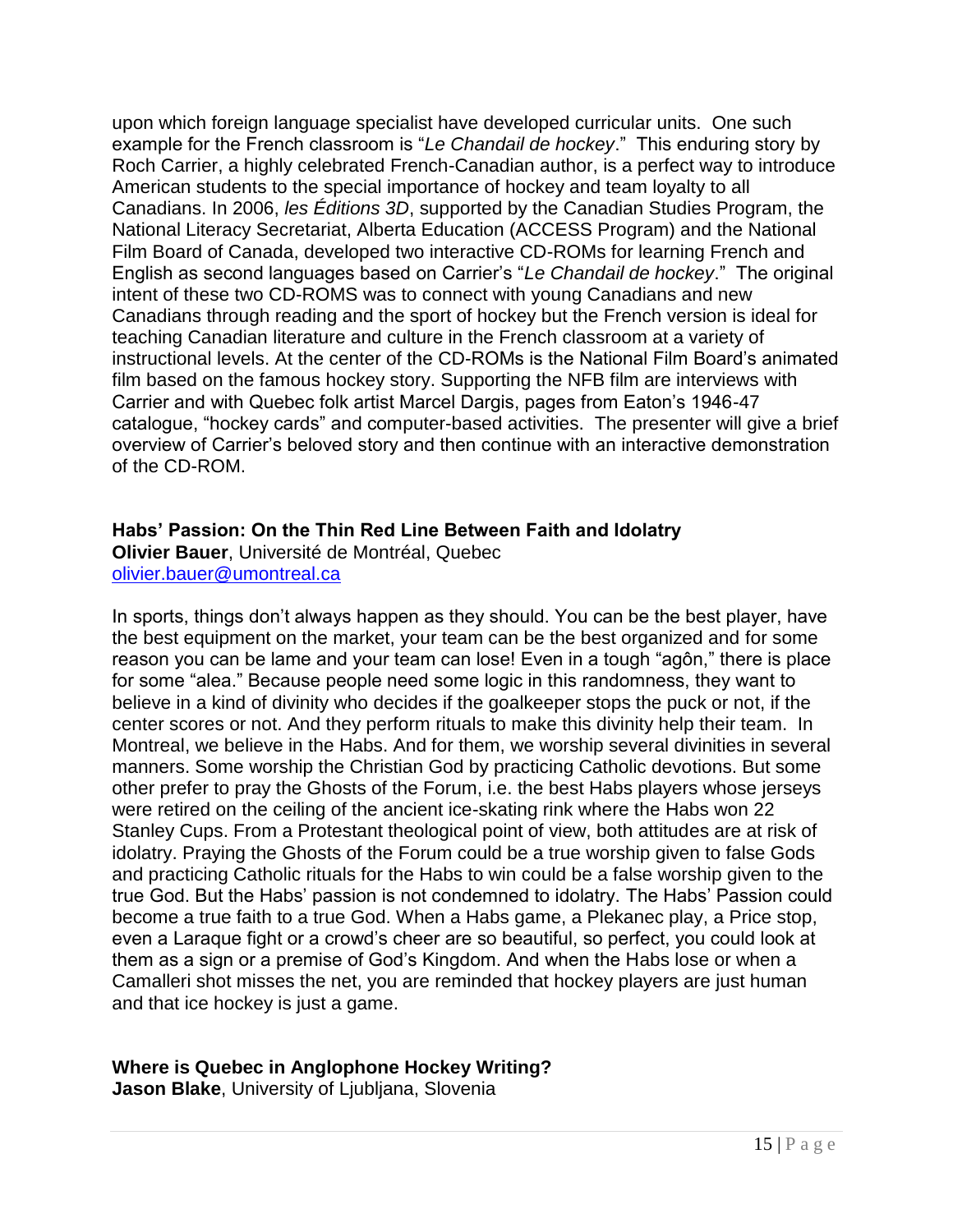upon which foreign language specialist have developed curricular units. One such example for the French classroom is "Le Chandail de hockey." This enduring story by Roch Carrier, a highly celebrated French-Canadian author, is a perfect way to introduce American students to the special importance of hockey and team loyalty to all Canadians. In 2006, *les Éditions 3D*, supported by the Canadian Studies Program, the National Literacy Secretariat, Alberta Education (ACCESS Program) and the National Film Board of Canada, developed two interactive CD-ROMs for learning French and English as second languages based on Carrier's "Le Chandail de hockey." The original intent of these two CD-ROMS was to connect with young Canadians and new Canadians through reading and the sport of hockey but the French version is ideal for teaching Canadian literature and culture in the French classroom at a variety of instructional levels. At the center of the CD-ROMs is the National Film Board's animated film based on the famous hockey story. Supporting the NFB film are interviews with Carrier and with Quebec folk artist Marcel Dargis, pages from Eaton's 1946-47 catalogue, "hockey cards" and computer-based activities. The presenter will give a brief overview of Carrier's beloved story and then continue with an interactive demonstration of the CD-ROM.

#### **Habs" Passion: On the Thin Red Line Between Faith and Idolatry**

**Olivier Bauer**, Université de Montréal, Quebec [olivier.bauer@umontreal.ca](mailto:olivier.bauer@umontreal.ca)

In sports, things don't always happen as they should. You can be the best player, have the best equipment on the market, your team can be the best organized and for some reason you can be lame and your team can lose! Even in a tough "agôn," there is place for some "alea." Because people need some logic in this randomness, they want to believe in a kind of divinity who decides if the goalkeeper stops the puck or not, if the center scores or not. And they perform rituals to make this divinity help their team. In Montreal, we believe in the Habs. And for them, we worship several divinities in several manners. Some worship the Christian God by practicing Catholic devotions. But some other prefer to pray the Ghosts of the Forum, i.e. the best Habs players whose jerseys were retired on the ceiling of the ancient ice-skating rink where the Habs won 22 Stanley Cups. From a Protestant theological point of view, both attitudes are at risk of idolatry. Praying the Ghosts of the Forum could be a true worship given to false Gods and practicing Catholic rituals for the Habs to win could be a false worship given to the true God. But the Habs' passion is not condemned to idolatry. The Habs' Passion could become a true faith to a true God. When a Habs game, a Plekanec play, a Price stop, even a Laraque fight or a crowd's cheer are so beautiful, so perfect, you could look at them as a sign or a premise of God's Kingdom. And when the Habs lose or when a Camalleri shot misses the net, you are reminded that hockey players are just human and that ice hockey is just a game.

#### **Where is Quebec in Anglophone Hockey Writing?**

**Jason Blake**, University of Ljubljana, Slovenia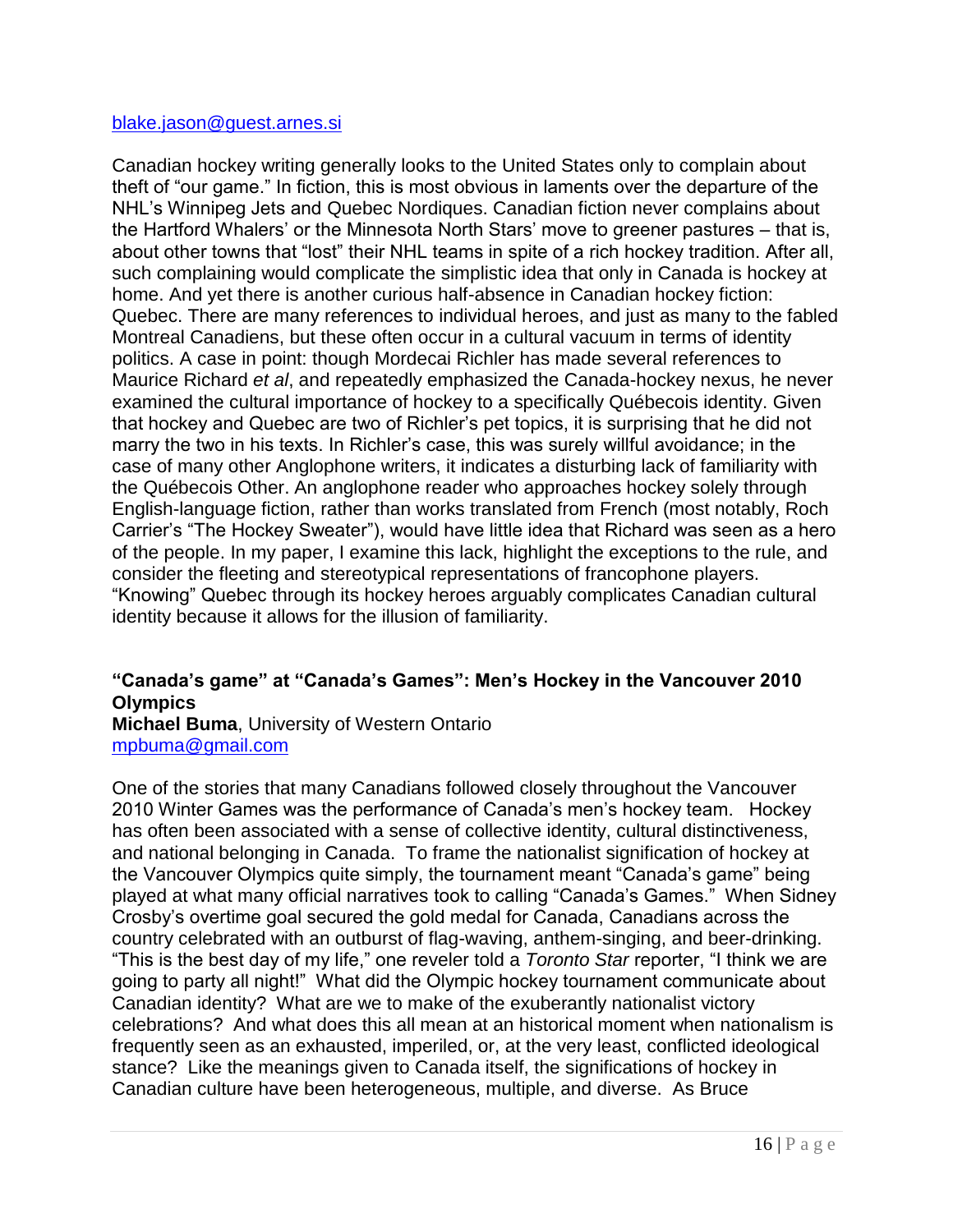#### [blake.jason@guest.arnes.si](mailto:blake.jason@guest.arnes.si)

Canadian hockey writing generally looks to the United States only to complain about theft of "our game." In fiction, this is most obvious in laments over the departure of the NHL's Winnipeg Jets and Quebec Nordiques. Canadian fiction never complains about the Hartford Whalers' or the Minnesota North Stars' move to greener pastures – that is, about other towns that "lost" their NHL teams in spite of a rich hockey tradition. After all, such complaining would complicate the simplistic idea that only in Canada is hockey at home. And yet there is another curious half-absence in Canadian hockey fiction: Quebec. There are many references to individual heroes, and just as many to the fabled Montreal Canadiens, but these often occur in a cultural vacuum in terms of identity politics. A case in point: though Mordecai Richler has made several references to Maurice Richard *et al*, and repeatedly emphasized the Canada-hockey nexus, he never examined the cultural importance of hockey to a specifically Québecois identity. Given that hockey and Quebec are two of Richler's pet topics, it is surprising that he did not marry the two in his texts. In Richler's case, this was surely willful avoidance; in the case of many other Anglophone writers, it indicates a disturbing lack of familiarity with the Québecois Other. An anglophone reader who approaches hockey solely through English-language fiction, rather than works translated from French (most notably, Roch Carrier's "The Hockey Sweater"), would have little idea that Richard was seen as a hero of the people. In my paper, I examine this lack, highlight the exceptions to the rule, and consider the fleeting and stereotypical representations of francophone players. "Knowing" Quebec through its hockey heroes arguably complicates Canadian cultural identity because it allows for the illusion of familiarity.

#### **"Canada"s game" at "Canada"s Games": Men"s Hockey in the Vancouver 2010 Olympics**

**Michael Buma**, University of Western Ontario [mpbuma@gmail.com](mailto:mpbuma@gmail.com)

One of the stories that many Canadians followed closely throughout the Vancouver 2010 Winter Games was the performance of Canada's men's hockey team. Hockey has often been associated with a sense of collective identity, cultural distinctiveness, and national belonging in Canada. To frame the nationalist signification of hockey at the Vancouver Olympics quite simply, the tournament meant "Canada's game" being played at what many official narratives took to calling "Canada's Games." When Sidney Crosby's overtime goal secured the gold medal for Canada, Canadians across the country celebrated with an outburst of flag-waving, anthem-singing, and beer-drinking. "This is the best day of my life," one reveler told a *Toronto Star* reporter, "I think we are going to party all night!" What did the Olympic hockey tournament communicate about Canadian identity? What are we to make of the exuberantly nationalist victory celebrations? And what does this all mean at an historical moment when nationalism is frequently seen as an exhausted, imperiled, or, at the very least, conflicted ideological stance? Like the meanings given to Canada itself, the significations of hockey in Canadian culture have been heterogeneous, multiple, and diverse. As Bruce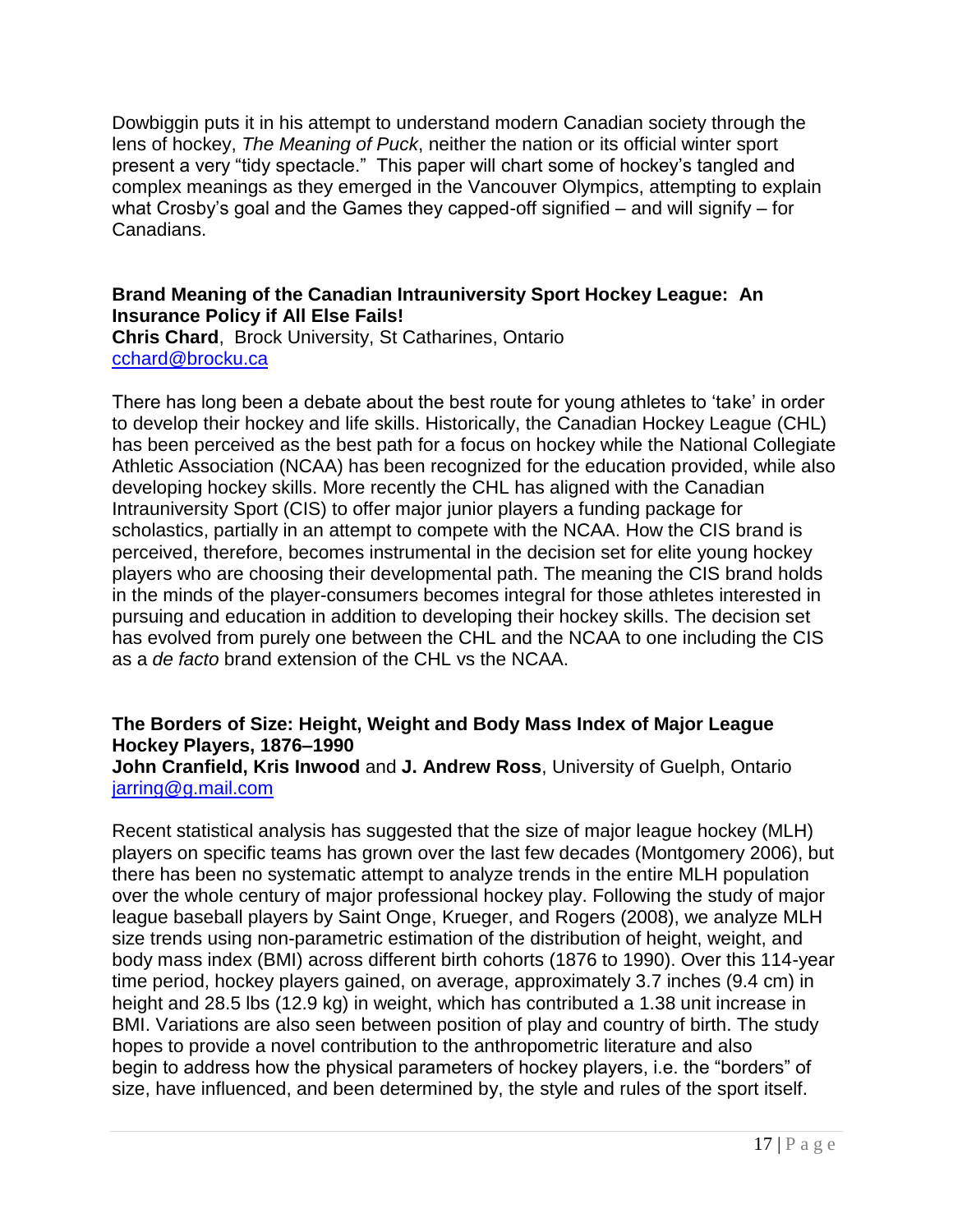Dowbiggin puts it in his attempt to understand modern Canadian society through the lens of hockey, *The Meaning of Puck*, neither the nation or its official winter sport present a very "tidy spectacle." This paper will chart some of hockey's tangled and complex meanings as they emerged in the Vancouver Olympics, attempting to explain what Crosby's goal and the Games they capped-off signified – and will signify – for Canadians.

#### **Brand Meaning of the Canadian Intrauniversity Sport Hockey League: An Insurance Policy if All Else Fails!**

**Chris Chard**, Brock University, St Catharines, Ontario [cchard@brocku.ca](mailto:cchard@brocku.ca)

There has long been a debate about the best route for young athletes to 'take' in order to develop their hockey and life skills. Historically, the Canadian Hockey League (CHL) has been perceived as the best path for a focus on hockey while the National Collegiate Athletic Association (NCAA) has been recognized for the education provided, while also developing hockey skills. More recently the CHL has aligned with the Canadian Intrauniversity Sport (CIS) to offer major junior players a funding package for scholastics, partially in an attempt to compete with the NCAA. How the CIS brand is perceived, therefore, becomes instrumental in the decision set for elite young hockey players who are choosing their developmental path. The meaning the CIS brand holds in the minds of the player-consumers becomes integral for those athletes interested in pursuing and education in addition to developing their hockey skills. The decision set has evolved from purely one between the CHL and the NCAA to one including the CIS as a *de facto* brand extension of the CHL vs the NCAA.

#### **The Borders of Size: Height, Weight and Body Mass Index of Major League Hockey Players, 1876–1990**

#### **John Cranfield, Kris Inwood** and **J. Andrew Ross**, University of Guelph, Ontario [jarring@g.mail.com](mailto:jarring@g.mail.com)

Recent statistical analysis has suggested that the size of major league hockey (MLH) players on specific teams has grown over the last few decades (Montgomery 2006), but there has been no systematic attempt to analyze trends in the entire MLH population over the whole century of major professional hockey play. Following the study of major league baseball players by Saint Onge, Krueger, and Rogers (2008), we analyze MLH size trends using non-parametric estimation of the distribution of height, weight, and body mass index (BMI) across different birth cohorts (1876 to 1990). Over this 114-year time period, hockey players gained, on average, approximately 3.7 inches (9.4 cm) in height and 28.5 lbs (12.9 kg) in weight, which has contributed a 1.38 unit increase in BMI. Variations are also seen between position of play and country of birth. The study hopes to provide a novel contribution to the anthropometric literature and also begin to address how the physical parameters of hockey players, i.e. the "borders" of size, have influenced, and been determined by, the style and rules of the sport itself.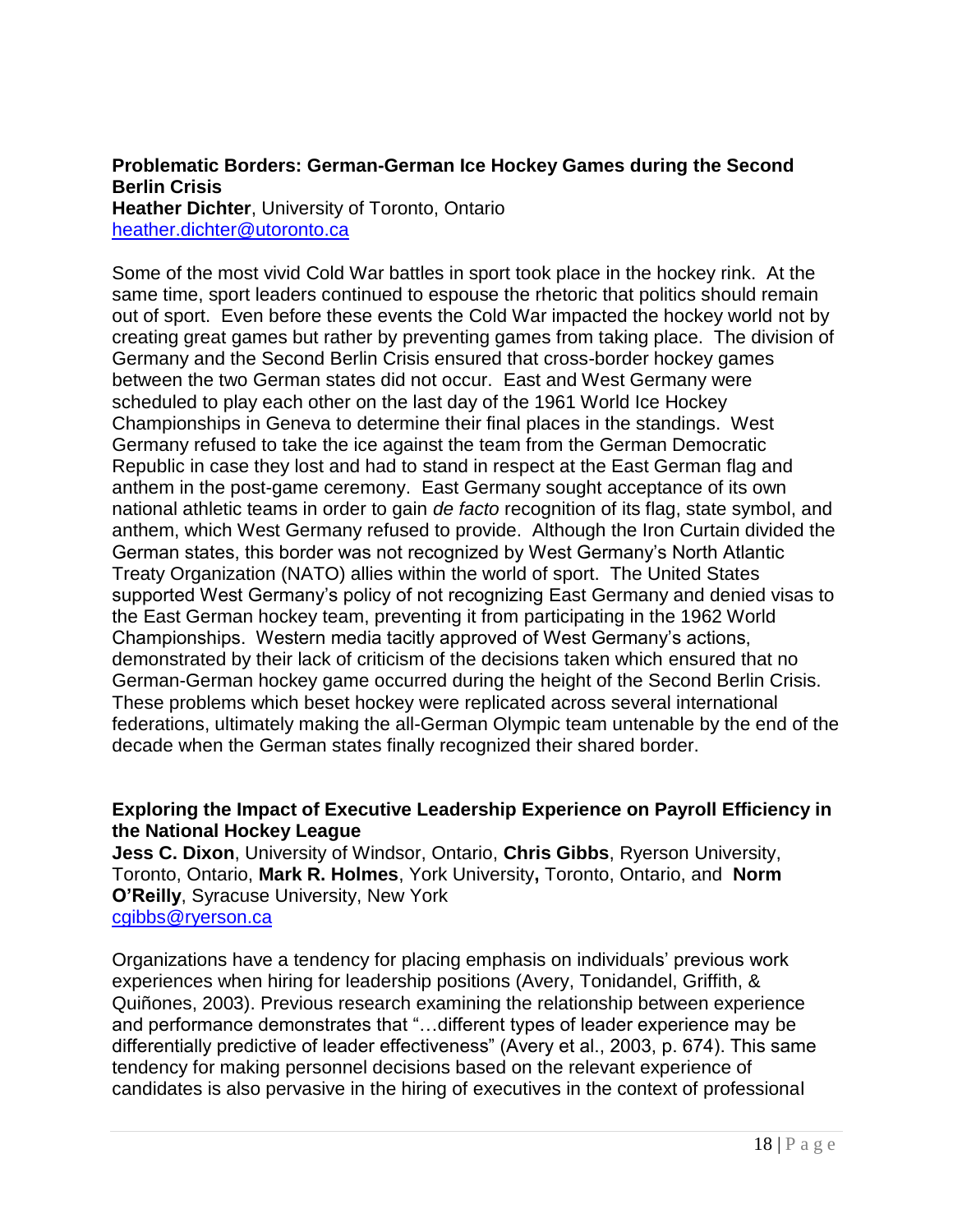#### **Problematic Borders: German-German Ice Hockey Games during the Second Berlin Crisis Heather Dichter**, University of Toronto, Ontario

[heather.dichter@utoronto.ca](mailto:heather.dichter@utoronto.ca)

Some of the most vivid Cold War battles in sport took place in the hockey rink. At the same time, sport leaders continued to espouse the rhetoric that politics should remain out of sport. Even before these events the Cold War impacted the hockey world not by creating great games but rather by preventing games from taking place. The division of Germany and the Second Berlin Crisis ensured that cross-border hockey games between the two German states did not occur. East and West Germany were scheduled to play each other on the last day of the 1961 World Ice Hockey Championships in Geneva to determine their final places in the standings. West Germany refused to take the ice against the team from the German Democratic Republic in case they lost and had to stand in respect at the East German flag and anthem in the post-game ceremony. East Germany sought acceptance of its own national athletic teams in order to gain *de facto* recognition of its flag, state symbol, and anthem, which West Germany refused to provide. Although the Iron Curtain divided the German states, this border was not recognized by West Germany's North Atlantic Treaty Organization (NATO) allies within the world of sport. The United States supported West Germany's policy of not recognizing East Germany and denied visas to the East German hockey team, preventing it from participating in the 1962 World Championships. Western media tacitly approved of West Germany's actions, demonstrated by their lack of criticism of the decisions taken which ensured that no German-German hockey game occurred during the height of the Second Berlin Crisis. These problems which beset hockey were replicated across several international federations, ultimately making the all-German Olympic team untenable by the end of the decade when the German states finally recognized their shared border.

#### **Exploring the Impact of Executive Leadership Experience on Payroll Efficiency in the National Hockey League**

**Jess C. Dixon**, University of Windsor, Ontario, **Chris Gibbs**, Ryerson University, Toronto, Ontario, **Mark R. Holmes**, York University**,** Toronto, Ontario, and **Norm O"Reilly**, Syracuse University, New York [cgibbs@ryerson.ca](mailto:cgibbs@ryerson.ca)

Organizations have a tendency for placing emphasis on individuals' previous work experiences when hiring for leadership positions (Avery, Tonidandel, Griffith, & Quiñones, 2003). Previous research examining the relationship between experience and performance demonstrates that "...different types of leader experience may be differentially predictive of leader effectiveness" (Avery et al., 2003, p. 674). This same tendency for making personnel decisions based on the relevant experience of candidates is also pervasive in the hiring of executives in the context of professional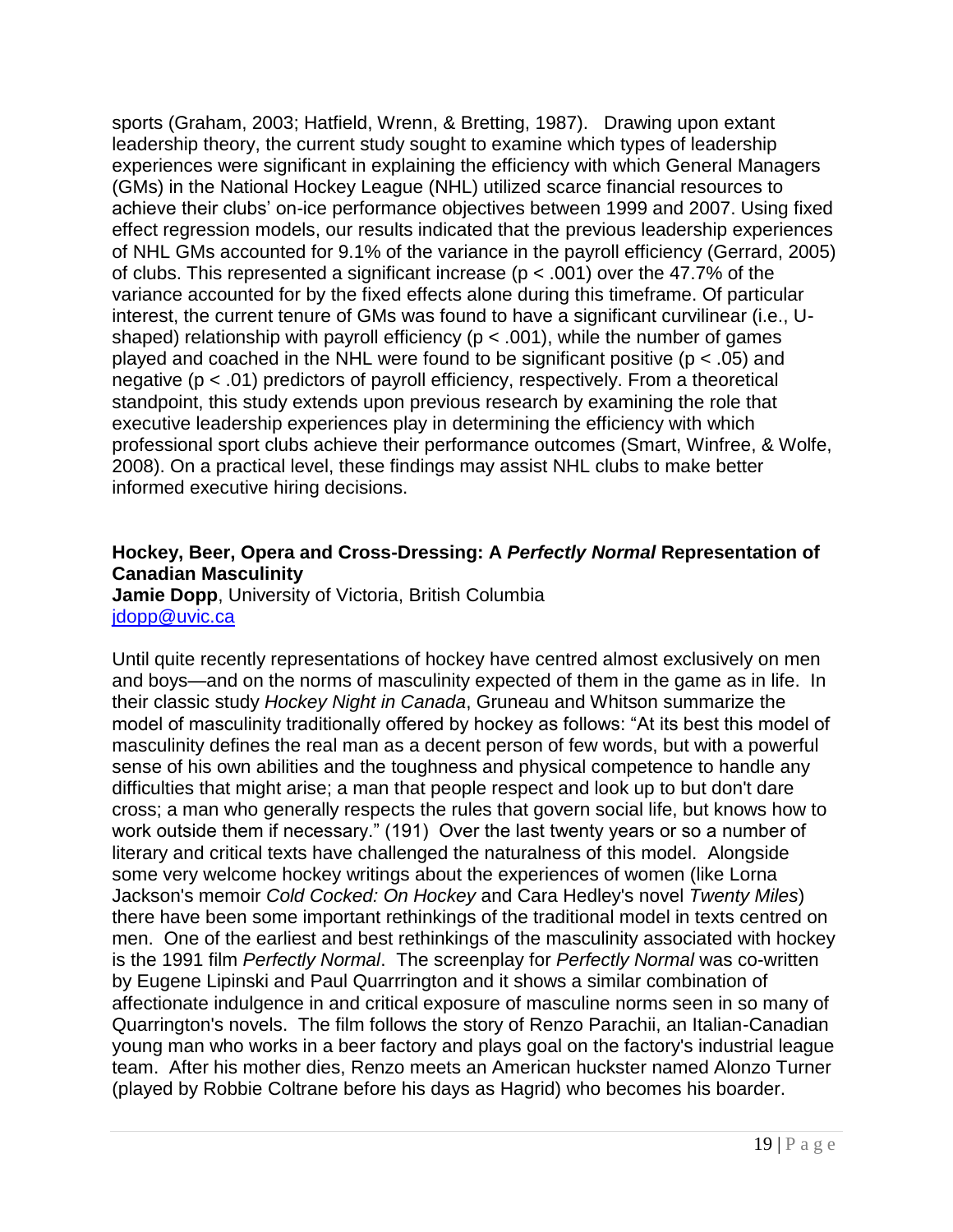sports (Graham, 2003; Hatfield, Wrenn, & Bretting, 1987). Drawing upon extant leadership theory, the current study sought to examine which types of leadership experiences were significant in explaining the efficiency with which General Managers (GMs) in the National Hockey League (NHL) utilized scarce financial resources to achieve their clubs' on-ice performance objectives between 1999 and 2007. Using fixed effect regression models, our results indicated that the previous leadership experiences of NHL GMs accounted for 9.1% of the variance in the payroll efficiency (Gerrard, 2005) of clubs. This represented a significant increase ( $p < .001$ ) over the 47.7% of the variance accounted for by the fixed effects alone during this timeframe. Of particular interest, the current tenure of GMs was found to have a significant curvilinear (i.e., Ushaped) relationship with payroll efficiency ( $p < .001$ ), while the number of games played and coached in the NHL were found to be significant positive ( $p < .05$ ) and negative (p < .01) predictors of payroll efficiency, respectively. From a theoretical standpoint, this study extends upon previous research by examining the role that executive leadership experiences play in determining the efficiency with which professional sport clubs achieve their performance outcomes (Smart, Winfree, & Wolfe, 2008). On a practical level, these findings may assist NHL clubs to make better informed executive hiring decisions.

#### **Hockey, Beer, Opera and Cross-Dressing: A** *Perfectly Normal* **Representation of Canadian Masculinity**

**Jamie Dopp**, University of Victoria, British Columbia [jdopp@uvic.ca](mailto:jdopp@uvic.ca)

Until quite recently representations of hockey have centred almost exclusively on men and boys—and on the norms of masculinity expected of them in the game as in life. In their classic study *Hockey Night in Canada*, Gruneau and Whitson summarize the model of masculinity traditionally offered by hockey as follows: "At its best this model of masculinity defines the real man as a decent person of few words, but with a powerful sense of his own abilities and the toughness and physical competence to handle any difficulties that might arise; a man that people respect and look up to but don't dare cross; a man who generally respects the rules that govern social life, but knows how to work outside them if necessary." (191) Over the last twenty years or so a number of literary and critical texts have challenged the naturalness of this model. Alongside some very welcome hockey writings about the experiences of women (like Lorna Jackson's memoir *Cold Cocked: On Hockey* and Cara Hedley's novel *Twenty Miles*) there have been some important rethinkings of the traditional model in texts centred on men. One of the earliest and best rethinkings of the masculinity associated with hockey is the 1991 film *Perfectly Normal*. The screenplay for *Perfectly Normal* was co-written by Eugene Lipinski and Paul Quarrrington and it shows a similar combination of affectionate indulgence in and critical exposure of masculine norms seen in so many of Quarrington's novels. The film follows the story of Renzo Parachii, an Italian-Canadian young man who works in a beer factory and plays goal on the factory's industrial league team. After his mother dies, Renzo meets an American huckster named Alonzo Turner (played by Robbie Coltrane before his days as Hagrid) who becomes his boarder.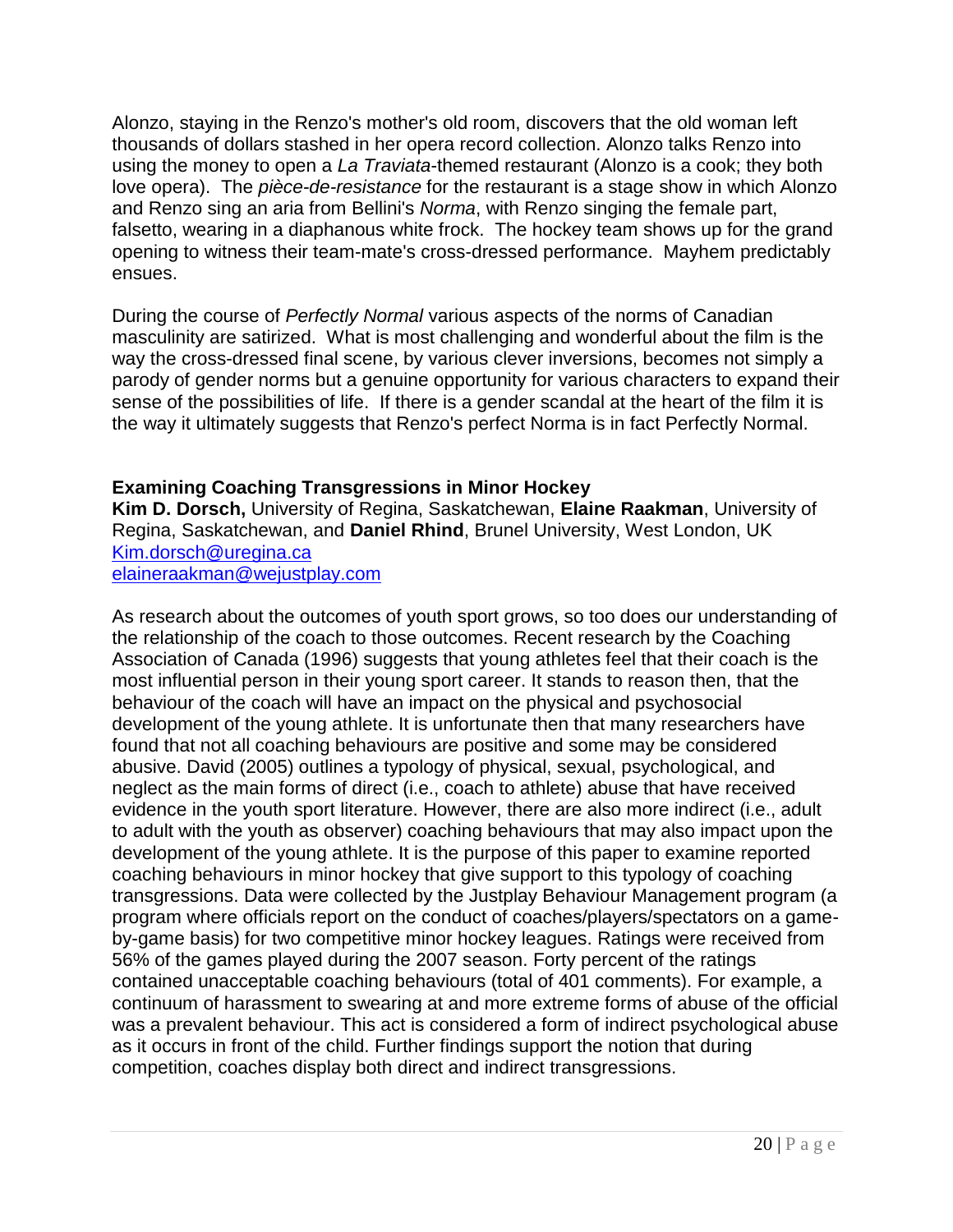Alonzo, staying in the Renzo's mother's old room, discovers that the old woman left thousands of dollars stashed in her opera record collection. Alonzo talks Renzo into using the money to open a *La Traviata*-themed restaurant (Alonzo is a cook; they both love opera). The *pièce-de-resistance* for the restaurant is a stage show in which Alonzo and Renzo sing an aria from Bellini's *Norma*, with Renzo singing the female part, falsetto, wearing in a diaphanous white frock. The hockey team shows up for the grand opening to witness their team-mate's cross-dressed performance. Mayhem predictably ensues.

During the course of *Perfectly Normal* various aspects of the norms of Canadian masculinity are satirized. What is most challenging and wonderful about the film is the way the cross-dressed final scene, by various clever inversions, becomes not simply a parody of gender norms but a genuine opportunity for various characters to expand their sense of the possibilities of life. If there is a gender scandal at the heart of the film it is the way it ultimately suggests that Renzo's perfect Norma is in fact Perfectly Normal.

#### **Examining Coaching Transgressions in Minor Hockey**

**Kim D. Dorsch,** University of Regina, Saskatchewan, **Elaine Raakman**, University of Regina, Saskatchewan, and **Daniel Rhind**, Brunel University, West London, UK [Kim.dorsch@uregina.ca](mailto:Kim.dorsch@uregina.ca) [elaineraakman@wejustplay.com](mailto:elaineraakman@wejustplay.com)

As research about the outcomes of youth sport grows, so too does our understanding of the relationship of the coach to those outcomes. Recent research by the Coaching Association of Canada (1996) suggests that young athletes feel that their coach is the most influential person in their young sport career. It stands to reason then, that the behaviour of the coach will have an impact on the physical and psychosocial development of the young athlete. It is unfortunate then that many researchers have found that not all coaching behaviours are positive and some may be considered abusive. David (2005) outlines a typology of physical, sexual, psychological, and neglect as the main forms of direct (i.e., coach to athlete) abuse that have received evidence in the youth sport literature. However, there are also more indirect (i.e., adult to adult with the youth as observer) coaching behaviours that may also impact upon the development of the young athlete. It is the purpose of this paper to examine reported coaching behaviours in minor hockey that give support to this typology of coaching transgressions. Data were collected by the Justplay Behaviour Management program (a program where officials report on the conduct of coaches/players/spectators on a gameby-game basis) for two competitive minor hockey leagues. Ratings were received from 56% of the games played during the 2007 season. Forty percent of the ratings contained unacceptable coaching behaviours (total of 401 comments). For example, a continuum of harassment to swearing at and more extreme forms of abuse of the official was a prevalent behaviour. This act is considered a form of indirect psychological abuse as it occurs in front of the child. Further findings support the notion that during competition, coaches display both direct and indirect transgressions.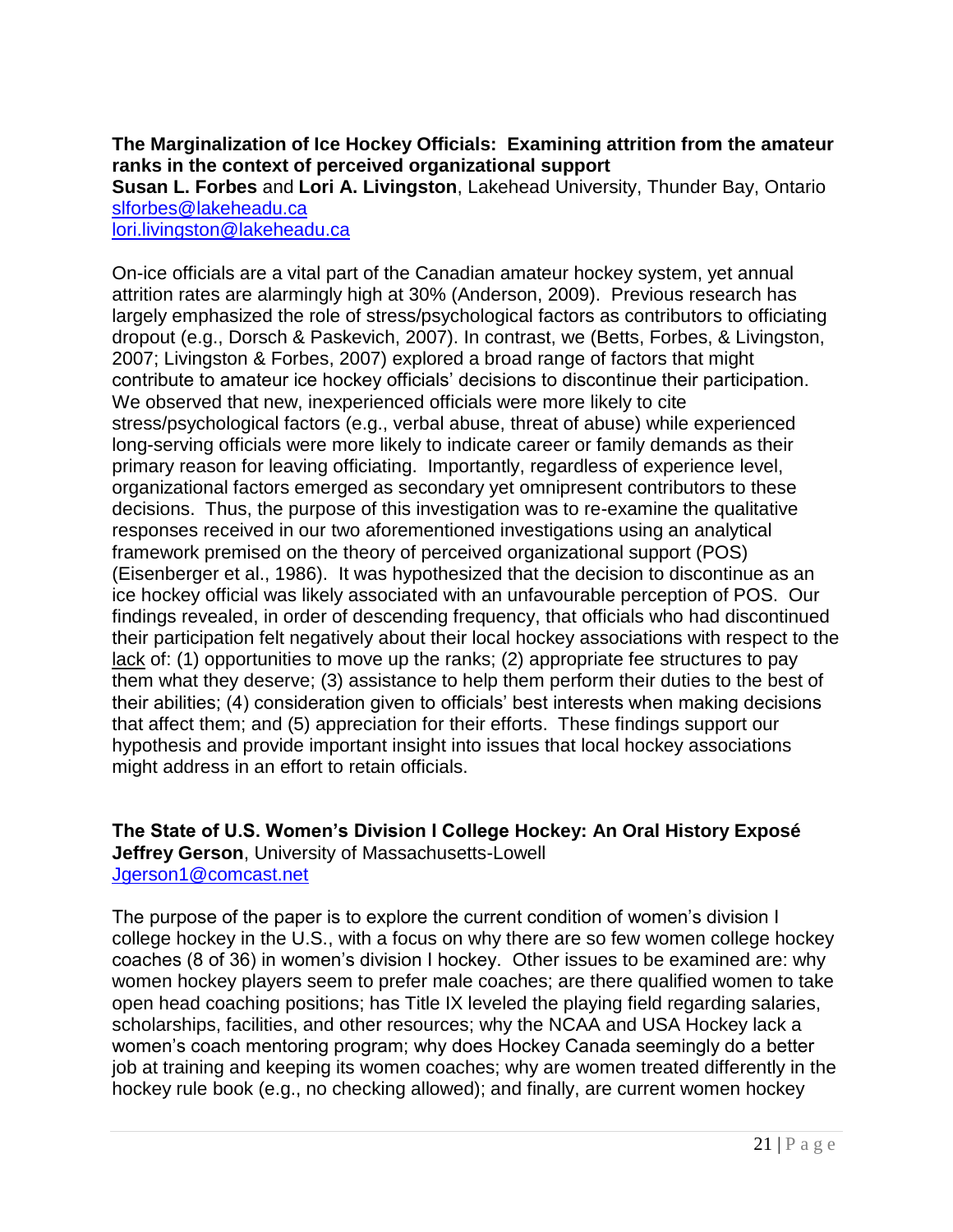#### **The Marginalization of Ice Hockey Officials: Examining attrition from the amateur ranks in the context of perceived organizational support**

**Susan L. Forbes** and **Lori A. Livingston**, Lakehead University, Thunder Bay, Ontario [slforbes@lakeheadu.ca](mailto:slforbes@lakeheadu.ca)

[lori.livingston@lakeheadu.ca](mailto:lori.livingston@lakeheadu.ca)

On-ice officials are a vital part of the Canadian amateur hockey system, yet annual attrition rates are alarmingly high at 30% (Anderson, 2009). Previous research has largely emphasized the role of stress/psychological factors as contributors to officiating dropout (e.g., Dorsch & Paskevich, 2007). In contrast, we (Betts, Forbes, & Livingston, 2007; Livingston & Forbes, 2007) explored a broad range of factors that might contribute to amateur ice hockey officials' decisions to discontinue their participation. We observed that new, inexperienced officials were more likely to cite stress/psychological factors (e.g., verbal abuse, threat of abuse) while experienced long-serving officials were more likely to indicate career or family demands as their primary reason for leaving officiating. Importantly, regardless of experience level, organizational factors emerged as secondary yet omnipresent contributors to these decisions. Thus, the purpose of this investigation was to re-examine the qualitative responses received in our two aforementioned investigations using an analytical framework premised on the theory of perceived organizational support (POS) (Eisenberger et al., 1986). It was hypothesized that the decision to discontinue as an ice hockey official was likely associated with an unfavourable perception of POS. Our findings revealed, in order of descending frequency, that officials who had discontinued their participation felt negatively about their local hockey associations with respect to the lack of: (1) opportunities to move up the ranks; (2) appropriate fee structures to pay them what they deserve; (3) assistance to help them perform their duties to the best of their abilities; (4) consideration given to officials' best interests when making decisions that affect them; and (5) appreciation for their efforts. These findings support our hypothesis and provide important insight into issues that local hockey associations might address in an effort to retain officials.

**The State of U.S. Women"s Division I College Hockey: An Oral History Exposé Jeffrey Gerson**, University of Massachusetts-Lowell [Jgerson1@comcast.net](mailto:Jgerson1@comcast.net)

The purpose of the paper is to explore the current condition of women's division I college hockey in the U.S., with a focus on why there are so few women college hockey coaches (8 of 36) in women's division I hockey. Other issues to be examined are: why women hockey players seem to prefer male coaches; are there qualified women to take open head coaching positions; has Title IX leveled the playing field regarding salaries, scholarships, facilities, and other resources; why the NCAA and USA Hockey lack a women's coach mentoring program; why does Hockey Canada seemingly do a better job at training and keeping its women coaches; why are women treated differently in the hockey rule book (e.g., no checking allowed); and finally, are current women hockey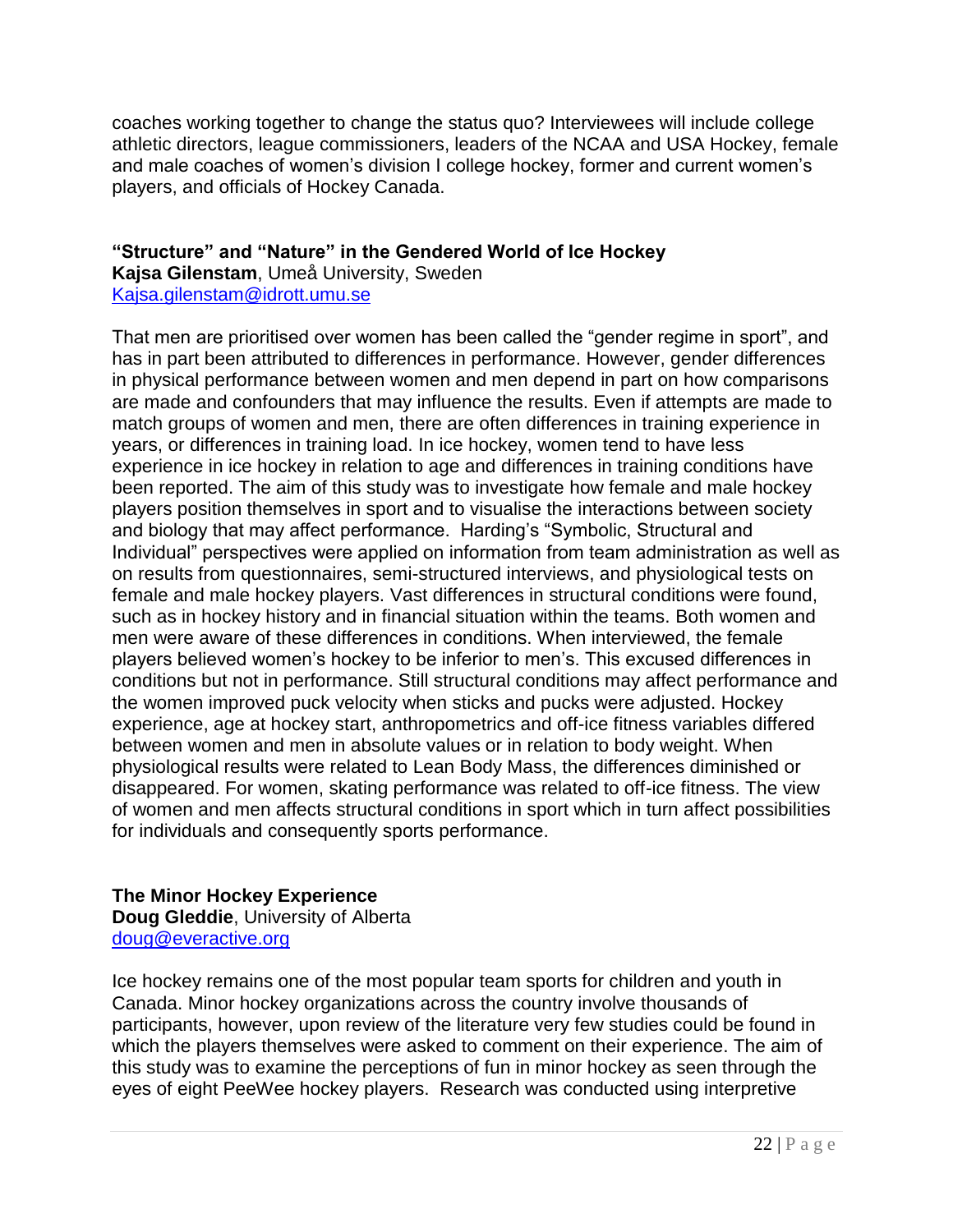coaches working together to change the status quo? Interviewees will include college athletic directors, league commissioners, leaders of the NCAA and USA Hockey, female and male coaches of women's division I college hockey, former and current women's players, and officials of Hockey Canada.

#### **"Structure" and "Nature" in the Gendered World of Ice Hockey Kajsa Gilenstam**, Umeå University, Sweden [Kajsa.gilenstam@idrott.umu.se](mailto:Kajsa.gilenstam@idrott.umu.se)

That men are prioritised over women has been called the "gender regime in sport", and has in part been attributed to differences in performance. However, gender differences in physical performance between women and men depend in part on how comparisons are made and confounders that may influence the results. Even if attempts are made to match groups of women and men, there are often differences in training experience in years, or differences in training load. In ice hockey, women tend to have less experience in ice hockey in relation to age and differences in training conditions have been reported. The aim of this study was to investigate how female and male hockey players position themselves in sport and to visualise the interactions between society and biology that may affect performance. Harding's "Symbolic, Structural and Individual" perspectives were applied on information from team administration as well as on results from questionnaires, semi-structured interviews, and physiological tests on female and male hockey players. Vast differences in structural conditions were found, such as in hockey history and in financial situation within the teams. Both women and men were aware of these differences in conditions. When interviewed, the female players believed women's hockey to be inferior to men's. This excused differences in conditions but not in performance. Still structural conditions may affect performance and the women improved puck velocity when sticks and pucks were adjusted. Hockey experience, age at hockey start, anthropometrics and off-ice fitness variables differed between women and men in absolute values or in relation to body weight. When physiological results were related to Lean Body Mass, the differences diminished or disappeared. For women, skating performance was related to off-ice fitness. The view of women and men affects structural conditions in sport which in turn affect possibilities for individuals and consequently sports performance.

#### **The Minor Hockey Experience**

**Doug Gleddie**, University of Alberta [doug@everactive.org](mailto:doug@everactive.org)

Ice hockey remains one of the most popular team sports for children and youth in Canada. Minor hockey organizations across the country involve thousands of participants, however, upon review of the literature very few studies could be found in which the players themselves were asked to comment on their experience. The aim of this study was to examine the perceptions of fun in minor hockey as seen through the eyes of eight PeeWee hockey players. Research was conducted using interpretive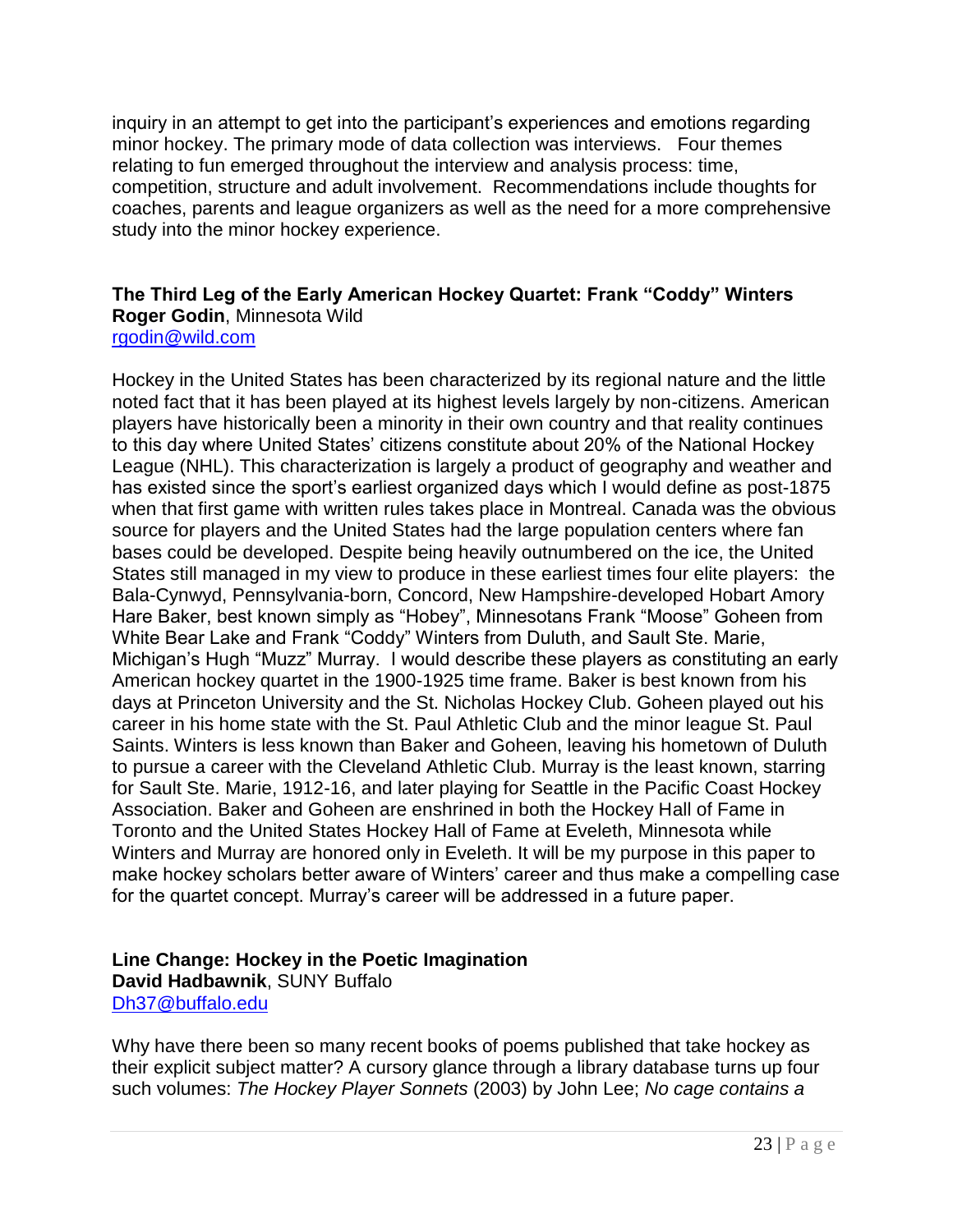inquiry in an attempt to get into the participant's experiences and emotions regarding minor hockey. The primary mode of data collection was interviews. Four themes relating to fun emerged throughout the interview and analysis process: time, competition, structure and adult involvement. Recommendations include thoughts for coaches, parents and league organizers as well as the need for a more comprehensive study into the minor hockey experience.

#### **The Third Leg of the Early American Hockey Quartet: Frank "Coddy" Winters Roger Godin**, Minnesota Wild [rgodin@wild.com](mailto:rgodin@wild.com)

Hockey in the United States has been characterized by its regional nature and the little noted fact that it has been played at its highest levels largely by non-citizens. American players have historically been a minority in their own country and that reality continues to this day where United States' citizens constitute about 20% of the National Hockey League (NHL). This characterization is largely a product of geography and weather and has existed since the sport's earliest organized days which I would define as post-1875 when that first game with written rules takes place in Montreal. Canada was the obvious source for players and the United States had the large population centers where fan bases could be developed. Despite being heavily outnumbered on the ice, the United States still managed in my view to produce in these earliest times four elite players: the Bala-Cynwyd, Pennsylvania-born, Concord, New Hampshire-developed Hobart Amory Hare Baker, best known simply as "Hobey", Minnesotans Frank "Moose" Goheen from White Bear Lake and Frank "Coddy" Winters from Duluth, and Sault Ste. Marie, Michigan's Hugh "Muzz" Murray. I would describe these players as constituting an early American hockey quartet in the 1900-1925 time frame. Baker is best known from his days at Princeton University and the St. Nicholas Hockey Club. Goheen played out his career in his home state with the St. Paul Athletic Club and the minor league St. Paul Saints. Winters is less known than Baker and Goheen, leaving his hometown of Duluth to pursue a career with the Cleveland Athletic Club. Murray is the least known, starring for Sault Ste. Marie, 1912-16, and later playing for Seattle in the Pacific Coast Hockey Association. Baker and Goheen are enshrined in both the Hockey Hall of Fame in Toronto and the United States Hockey Hall of Fame at Eveleth, Minnesota while Winters and Murray are honored only in Eveleth. It will be my purpose in this paper to make hockey scholars better aware of Winters' career and thus make a compelling case for the quartet concept. Murray's career will be addressed in a future paper.

#### **Line Change: Hockey in the Poetic Imagination David Hadbawnik**, SUNY Buffalo [Dh37@buffalo.edu](mailto:Dh37@buffalo.edu)

Why have there been so many recent books of poems published that take hockey as their explicit subject matter? A cursory glance through a library database turns up four such volumes: *The Hockey Player Sonnets* (2003) by John Lee; *No cage contains a*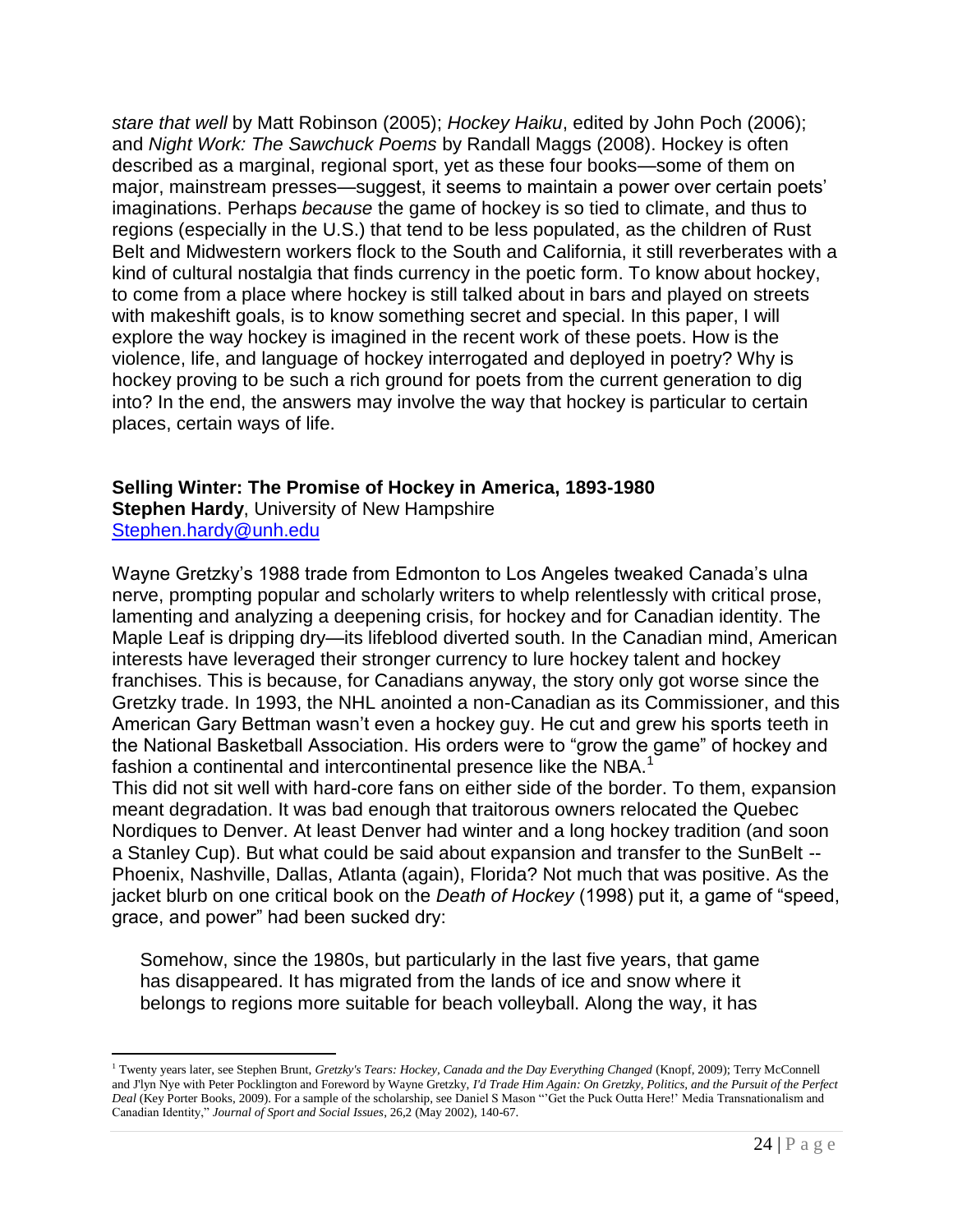*stare that well* by Matt Robinson (2005); *Hockey Haiku*, edited by John Poch (2006); and *Night Work: The Sawchuck Poems* by Randall Maggs (2008). Hockey is often described as a marginal, regional sport, yet as these four books—some of them on major, mainstream presses—suggest, it seems to maintain a power over certain poets' imaginations. Perhaps *because* the game of hockey is so tied to climate, and thus to regions (especially in the U.S.) that tend to be less populated, as the children of Rust Belt and Midwestern workers flock to the South and California, it still reverberates with a kind of cultural nostalgia that finds currency in the poetic form. To know about hockey, to come from a place where hockey is still talked about in bars and played on streets with makeshift goals, is to know something secret and special. In this paper, I will explore the way hockey is imagined in the recent work of these poets. How is the violence, life, and language of hockey interrogated and deployed in poetry? Why is hockey proving to be such a rich ground for poets from the current generation to dig into? In the end, the answers may involve the way that hockey is particular to certain places, certain ways of life.

#### **Selling Winter: The Promise of Hockey in America, 1893-1980**

**Stephen Hardy**, University of New Hampshire [Stephen.hardy@unh.edu](mailto:Stephen.hardy@unh.edu)

 $\overline{a}$ 

Wayne Gretzky's 1988 trade from Edmonton to Los Angeles tweaked Canada's ulna nerve, prompting popular and scholarly writers to whelp relentlessly with critical prose, lamenting and analyzing a deepening crisis, for hockey and for Canadian identity. The Maple Leaf is dripping dry—its lifeblood diverted south. In the Canadian mind, American interests have leveraged their stronger currency to lure hockey talent and hockey franchises. This is because, for Canadians anyway, the story only got worse since the Gretzky trade. In 1993, the NHL anointed a non-Canadian as its Commissioner, and this American Gary Bettman wasn't even a hockey guy. He cut and grew his sports teeth in the National Basketball Association. His orders were to "grow the game" of hockey and fashion a continental and intercontinental presence like the NBA.<sup>1</sup>

This did not sit well with hard-core fans on either side of the border. To them, expansion meant degradation. It was bad enough that traitorous owners relocated the Quebec Nordiques to Denver. At least Denver had winter and a long hockey tradition (and soon a Stanley Cup). But what could be said about expansion and transfer to the SunBelt -- Phoenix, Nashville, Dallas, Atlanta (again), Florida? Not much that was positive. As the jacket blurb on one critical book on the *Death of Hockey* (1998) put it, a game of "speed, grace, and power" had been sucked dry:

Somehow, since the 1980s, but particularly in the last five years, that game has disappeared. It has migrated from the lands of ice and snow where it belongs to regions more suitable for beach volleyball. Along the way, it has

<sup>&</sup>lt;sup>1</sup> Twenty years later, see Stephen Brunt, *Gretzky's Tears: Hockey, Canada and the Day Everything Changed* (Knopf, 2009); Terry McConnell and J'lyn Nye with Peter Pocklington and Foreword by Wayne Gretzky, *I'd Trade Him Again: On Gretzky, Politics, and the Pursuit of the Perfect Deal* (Key Porter Books, 2009). For a sample of the scholarship, see Daniel S Mason "'Get the Puck Outta Here!' Media Transnationalism and Canadian Identity," *Journal of Sport and Social Issues*, 26,2 (May 2002), 140-67.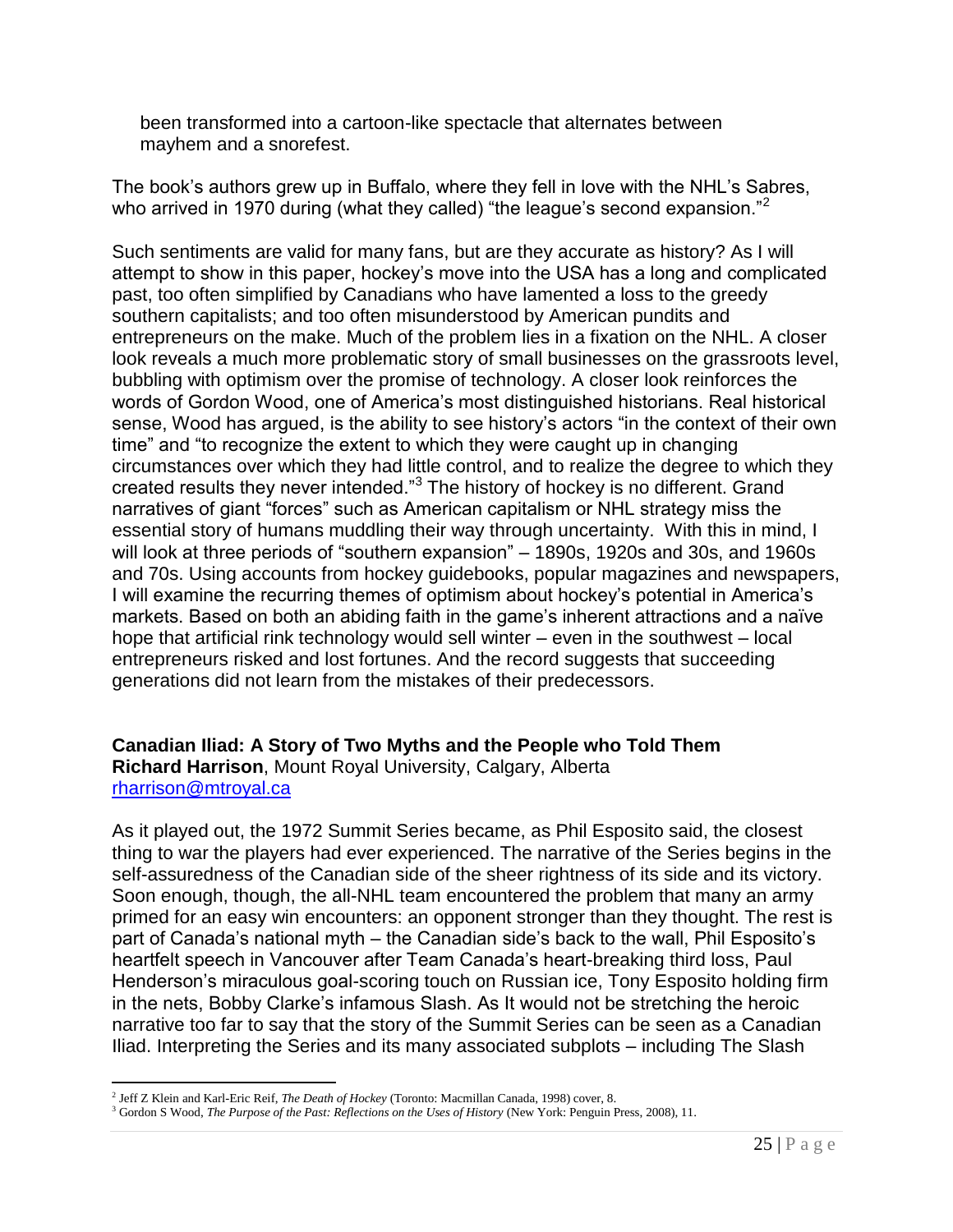been transformed into a cartoon-like spectacle that alternates between mayhem and a snorefest.

The book's authors grew up in Buffalo, where they fell in love with the NHL's Sabres, who arrived in 1970 during (what they called) "the league's second expansion."<sup>2</sup>

Such sentiments are valid for many fans, but are they accurate as history? As I will attempt to show in this paper, hockey's move into the USA has a long and complicated past, too often simplified by Canadians who have lamented a loss to the greedy southern capitalists; and too often misunderstood by American pundits and entrepreneurs on the make. Much of the problem lies in a fixation on the NHL. A closer look reveals a much more problematic story of small businesses on the grassroots level, bubbling with optimism over the promise of technology. A closer look reinforces the words of Gordon Wood, one of America's most distinguished historians. Real historical sense, Wood has argued, is the ability to see history's actors "in the context of their own time" and "to recognize the extent to which they were caught up in changing circumstances over which they had little control, and to realize the degree to which they created results they never intended." $3$  The history of hockey is no different. Grand narratives of giant "forces" such as American capitalism or NHL strategy miss the essential story of humans muddling their way through uncertainty. With this in mind, I will look at three periods of "southern expansion" – 1890s, 1920s and 30s, and 1960s and 70s. Using accounts from hockey guidebooks, popular magazines and newspapers, I will examine the recurring themes of optimism about hockey's potential in America's markets. Based on both an abiding faith in the game's inherent attractions and a naïve hope that artificial rink technology would sell winter – even in the southwest – local entrepreneurs risked and lost fortunes. And the record suggests that succeeding generations did not learn from the mistakes of their predecessors.

#### **Canadian Iliad: A Story of Two Myths and the People who Told Them**

**Richard Harrison**, Mount Royal University, Calgary, Alberta [rharrison@mtroyal.ca](mailto:rharrison@mtroyal.ca)

As it played out, the 1972 Summit Series became, as Phil Esposito said, the closest thing to war the players had ever experienced. The narrative of the Series begins in the self-assuredness of the Canadian side of the sheer rightness of its side and its victory. Soon enough, though, the all-NHL team encountered the problem that many an army primed for an easy win encounters: an opponent stronger than they thought. The rest is part of Canada's national myth – the Canadian side's back to the wall, Phil Esposito's heartfelt speech in Vancouver after Team Canada's heart-breaking third loss, Paul Henderson's miraculous goal-scoring touch on Russian ice, Tony Esposito holding firm in the nets, Bobby Clarke's infamous Slash. As It would not be stretching the heroic narrative too far to say that the story of the Summit Series can be seen as a Canadian Iliad. Interpreting the Series and its many associated subplots – including The Slash

 $\overline{a}$ 2 Jeff Z Klein and Karl-Eric Reif, *The Death of Hockey* (Toronto: Macmillan Canada, 1998) cover, 8.

<sup>3</sup> Gordon S Wood, *The Purpose of the Past: Reflections on the Uses of History* (New York: Penguin Press, 2008), 11.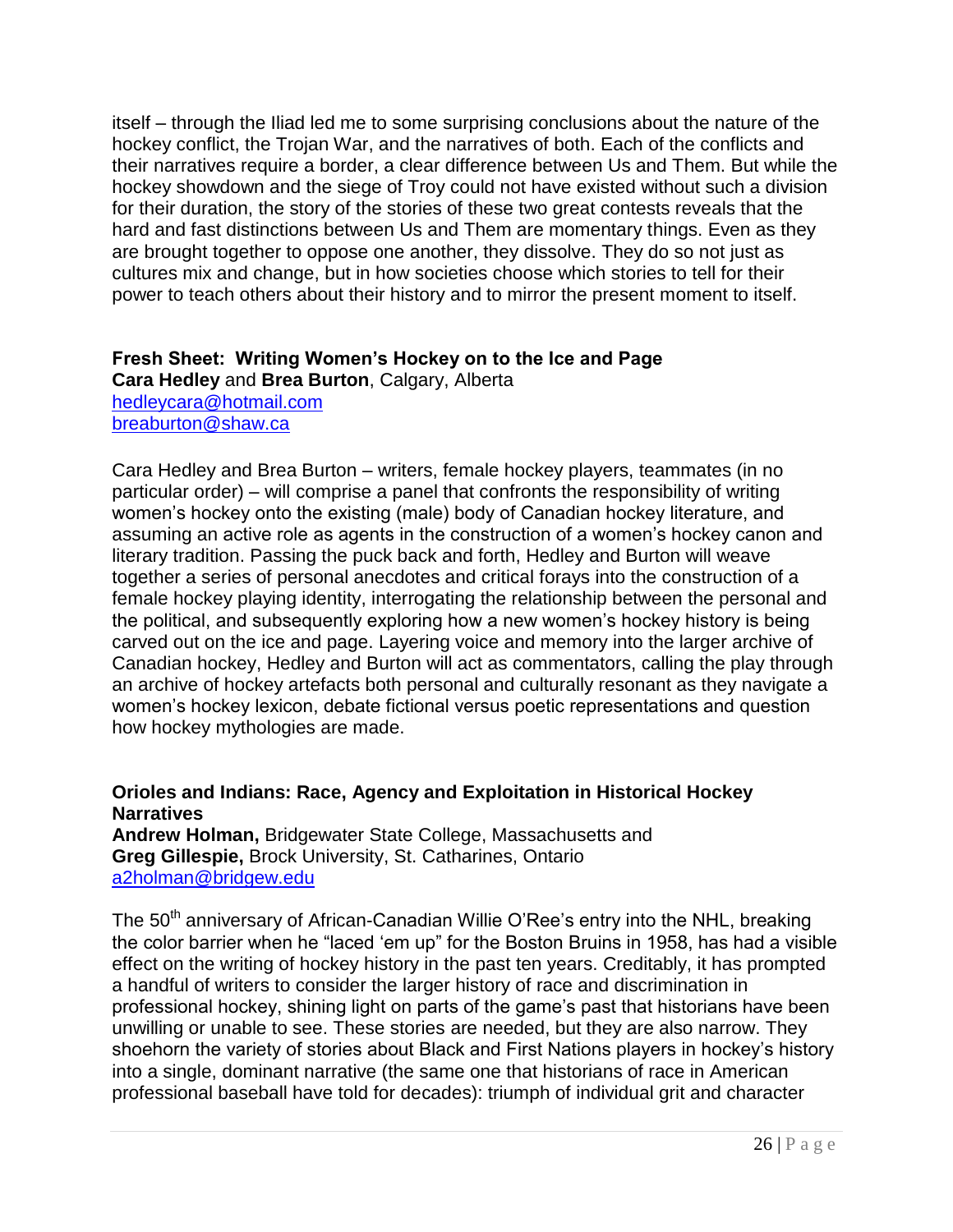itself – through the Iliad led me to some surprising conclusions about the nature of the hockey conflict, the Trojan War, and the narratives of both. Each of the conflicts and their narratives require a border, a clear difference between Us and Them. But while the hockey showdown and the siege of Troy could not have existed without such a division for their duration, the story of the stories of these two great contests reveals that the hard and fast distinctions between Us and Them are momentary things. Even as they are brought together to oppose one another, they dissolve. They do so not just as cultures mix and change, but in how societies choose which stories to tell for their power to teach others about their history and to mirror the present moment to itself.

#### **Fresh Sheet: Writing Women"s Hockey on to the Ice and Page**

**Cara Hedley** and **Brea Burton**, Calgary, Alberta [hedleycara@hotmail.com](mailto:hedleycara@hotmail.com)  [breaburton@shaw.ca](mailto:breaburton@shaw.ca)

Cara Hedley and Brea Burton – writers, female hockey players, teammates (in no particular order) – will comprise a panel that confronts the responsibility of writing women's hockey onto the existing (male) body of Canadian hockey literature, and assuming an active role as agents in the construction of a women's hockey canon and literary tradition. Passing the puck back and forth, Hedley and Burton will weave together a series of personal anecdotes and critical forays into the construction of a female hockey playing identity, interrogating the relationship between the personal and the political, and subsequently exploring how a new women's hockey history is being carved out on the ice and page. Layering voice and memory into the larger archive of Canadian hockey, Hedley and Burton will act as commentators, calling the play through an archive of hockey artefacts both personal and culturally resonant as they navigate a women's hockey lexicon, debate fictional versus poetic representations and question how hockey mythologies are made.

#### **Orioles and Indians: Race, Agency and Exploitation in Historical Hockey Narratives**

**Andrew Holman,** Bridgewater State College, Massachusetts and **Greg Gillespie,** Brock University, St. Catharines, Ontario [a2holman@bridgew.edu](mailto:a2holman@bridgew.edu)

The 50<sup>th</sup> anniversary of African-Canadian Willie O'Ree's entry into the NHL, breaking the color barrier when he "laced 'em up" for the Boston Bruins in 1958, has had a visible effect on the writing of hockey history in the past ten years. Creditably, it has prompted a handful of writers to consider the larger history of race and discrimination in professional hockey, shining light on parts of the game's past that historians have been unwilling or unable to see. These stories are needed, but they are also narrow. They shoehorn the variety of stories about Black and First Nations players in hockey's history into a single, dominant narrative (the same one that historians of race in American professional baseball have told for decades): triumph of individual grit and character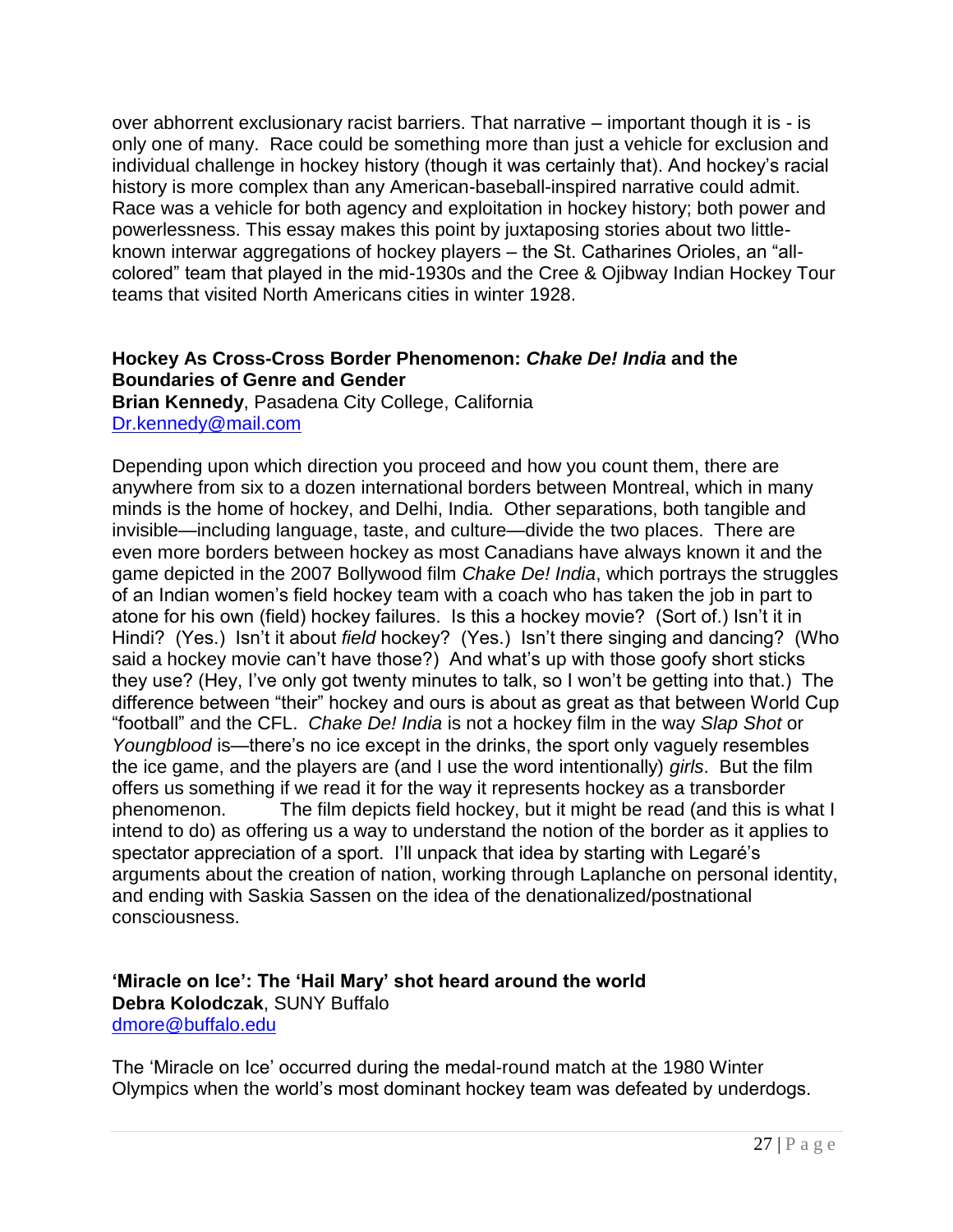over abhorrent exclusionary racist barriers. That narrative – important though it is - is only one of many. Race could be something more than just a vehicle for exclusion and individual challenge in hockey history (though it was certainly that). And hockey's racial history is more complex than any American-baseball-inspired narrative could admit. Race was a vehicle for both agency and exploitation in hockey history; both power and powerlessness. This essay makes this point by juxtaposing stories about two littleknown interwar aggregations of hockey players – the St. Catharines Orioles, an "allcolored‖ team that played in the mid-1930s and the Cree & Ojibway Indian Hockey Tour teams that visited North Americans cities in winter 1928.

#### **Hockey As Cross-Cross Border Phenomenon:** *Chake De! India* **and the Boundaries of Genre and Gender**

**Brian Kennedy**, Pasadena City College, California [Dr.kennedy@mail.com](mailto:Dr.kennedy@mail.com)

Depending upon which direction you proceed and how you count them, there are anywhere from six to a dozen international borders between Montreal, which in many minds is the home of hockey, and Delhi, India. Other separations, both tangible and invisible—including language, taste, and culture—divide the two places. There are even more borders between hockey as most Canadians have always known it and the game depicted in the 2007 Bollywood film *Chake De! India*, which portrays the struggles of an Indian women's field hockey team with a coach who has taken the job in part to atone for his own (field) hockey failures. Is this a hockey movie? (Sort of.) Isn't it in Hindi? (Yes.) Isn't it about *field* hockey? (Yes.) Isn't there singing and dancing? (Who said a hockey movie can't have those?) And what's up with those goofy short sticks they use? (Hey, I've only got twenty minutes to talk, so I won't be getting into that.) The difference between "their" hockey and ours is about as great as that between World Cup ―football‖ and the CFL. *Chake De! India* is not a hockey film in the way *Slap Shot* or *Youngblood* is—there's no ice except in the drinks, the sport only vaguely resembles the ice game, and the players are (and I use the word intentionally) *girls*. But the film offers us something if we read it for the way it represents hockey as a transborder phenomenon. The film depicts field hockey, but it might be read (and this is what I intend to do) as offering us a way to understand the notion of the border as it applies to spectator appreciation of a sport. I'll unpack that idea by starting with Legaré's arguments about the creation of nation, working through Laplanche on personal identity, and ending with Saskia Sassen on the idea of the denationalized/postnational consciousness.

#### **"Miracle on Ice": The "Hail Mary" shot heard around the world Debra Kolodczak**, SUNY Buffalo [dmore@buffalo.edu](mailto:dmore@buffalo.edu)

The 'Miracle on Ice' occurred during the medal-round match at the 1980 Winter Olympics when the world's most dominant hockey team was defeated by underdogs.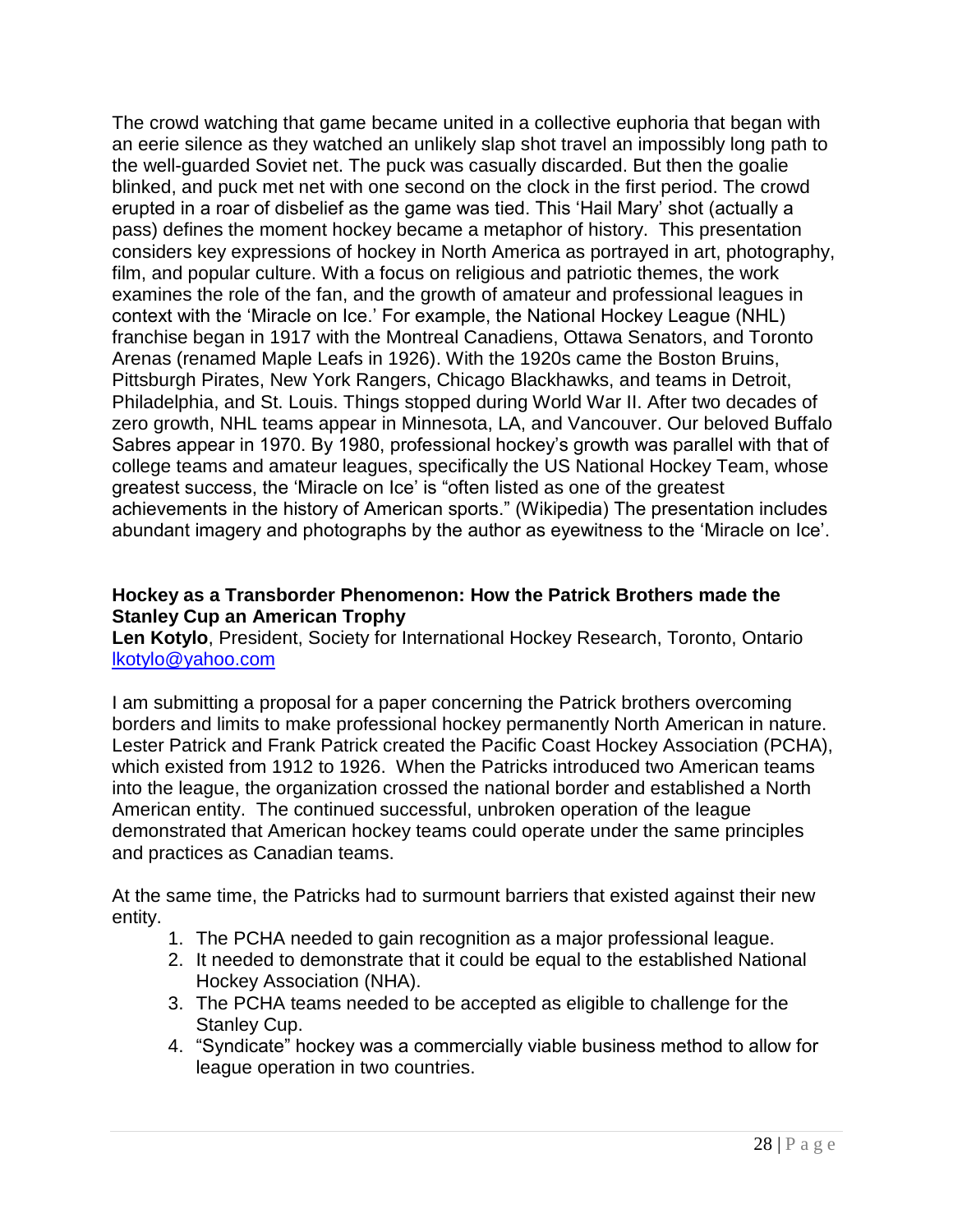The crowd watching that game became united in a collective euphoria that began with an eerie silence as they watched an unlikely slap shot travel an impossibly long path to the well-guarded Soviet net. The puck was casually discarded. But then the goalie blinked, and puck met net with one second on the clock in the first period. The crowd erupted in a roar of disbelief as the game was tied. This 'Hail Mary' shot (actually a pass) defines the moment hockey became a metaphor of history. This presentation considers key expressions of hockey in North America as portrayed in art, photography, film, and popular culture. With a focus on religious and patriotic themes, the work examines the role of the fan, and the growth of amateur and professional leagues in context with the 'Miracle on Ice.' For example, the National Hockey League (NHL) franchise began in 1917 with the Montreal Canadiens, Ottawa Senators, and Toronto Arenas (renamed Maple Leafs in 1926). With the 1920s came the Boston Bruins, Pittsburgh Pirates, New York Rangers, Chicago Blackhawks, and teams in Detroit, Philadelphia, and St. Louis. Things stopped during World War II. After two decades of zero growth, NHL teams appear in Minnesota, LA, and Vancouver. Our beloved Buffalo Sabres appear in 1970. By 1980, professional hockey's growth was parallel with that of college teams and amateur leagues, specifically the US National Hockey Team, whose greatest success, the 'Miracle on Ice' is "often listed as one of the greatest achievements in the history of American sports." (Wikipedia) The presentation includes abundant imagery and photographs by the author as eyewitness to the 'Miracle on Ice'.

#### **Hockey as a Transborder Phenomenon: How the Patrick Brothers made the Stanley Cup an American Trophy**

**Len Kotylo**, President, Society for International Hockey Research, Toronto, Ontario [lkotylo@yahoo.com](mailto:lkotylo@yahoo.com)

I am submitting a proposal for a paper concerning the Patrick brothers overcoming borders and limits to make professional hockey permanently North American in nature. Lester Patrick and Frank Patrick created the Pacific Coast Hockey Association (PCHA), which existed from 1912 to 1926. When the Patricks introduced two American teams into the league, the organization crossed the national border and established a North American entity. The continued successful, unbroken operation of the league demonstrated that American hockey teams could operate under the same principles and practices as Canadian teams.

At the same time, the Patricks had to surmount barriers that existed against their new entity.

- 1. The PCHA needed to gain recognition as a major professional league.
- 2. It needed to demonstrate that it could be equal to the established National Hockey Association (NHA).
- 3. The PCHA teams needed to be accepted as eligible to challenge for the Stanley Cup.
- 4. "Syndicate" hockey was a commercially viable business method to allow for league operation in two countries.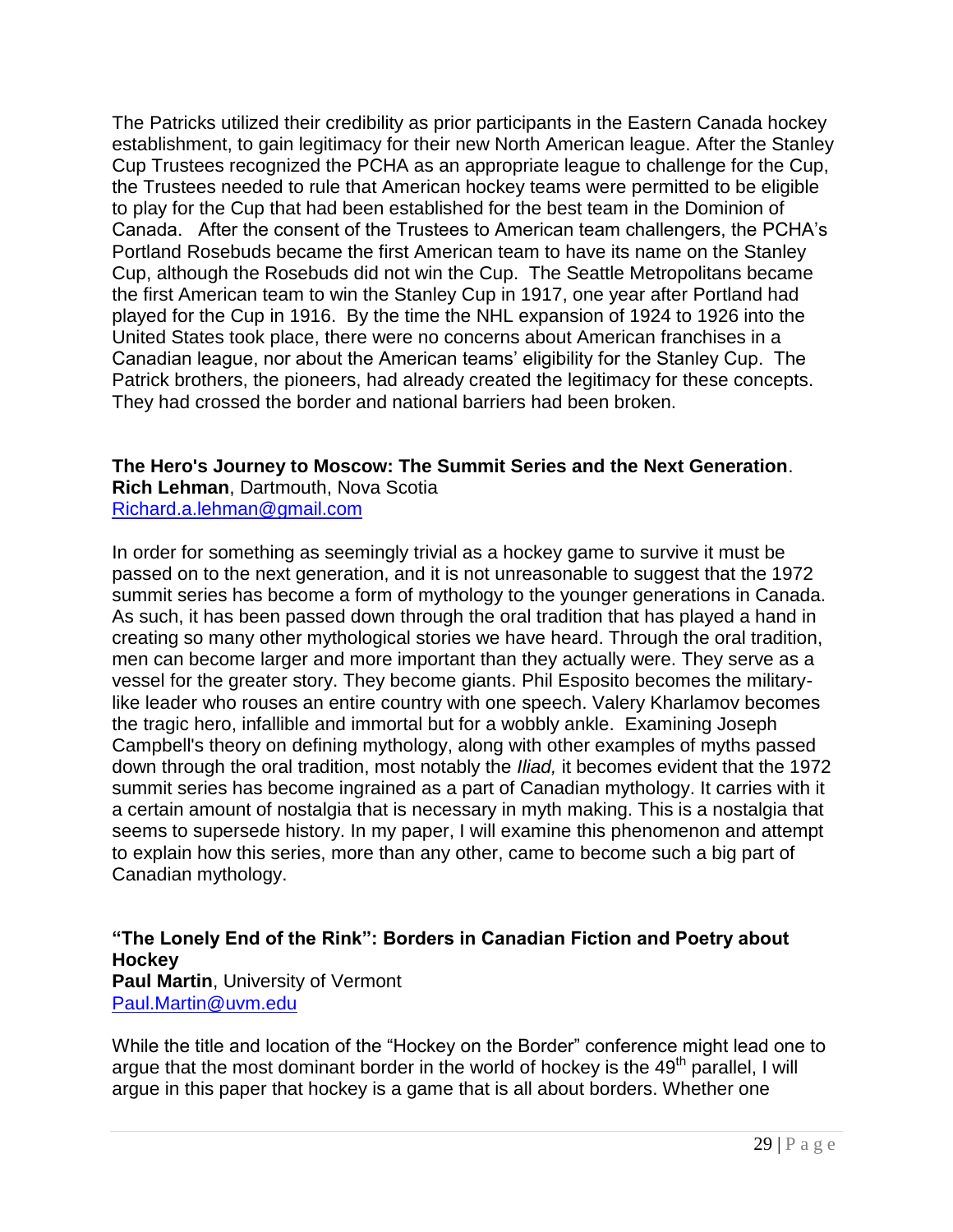The Patricks utilized their credibility as prior participants in the Eastern Canada hockey establishment, to gain legitimacy for their new North American league. After the Stanley Cup Trustees recognized the PCHA as an appropriate league to challenge for the Cup, the Trustees needed to rule that American hockey teams were permitted to be eligible to play for the Cup that had been established for the best team in the Dominion of Canada. After the consent of the Trustees to American team challengers, the PCHA's Portland Rosebuds became the first American team to have its name on the Stanley Cup, although the Rosebuds did not win the Cup. The Seattle Metropolitans became the first American team to win the Stanley Cup in 1917, one year after Portland had played for the Cup in 1916. By the time the NHL expansion of 1924 to 1926 into the United States took place, there were no concerns about American franchises in a Canadian league, nor about the American teams' eligibility for the Stanley Cup. The Patrick brothers, the pioneers, had already created the legitimacy for these concepts. They had crossed the border and national barriers had been broken.

**The Hero's Journey to Moscow: The Summit Series and the Next Generation**.

**Rich Lehman**, Dartmouth, Nova Scotia [Richard.a.lehman@gmail.com](mailto:Richard.a.lehman@gmail.com)

In order for something as seemingly trivial as a hockey game to survive it must be passed on to the next generation, and it is not unreasonable to suggest that the 1972 summit series has become a form of mythology to the younger generations in Canada. As such, it has been passed down through the oral tradition that has played a hand in creating so many other mythological stories we have heard. Through the oral tradition, men can become larger and more important than they actually were. They serve as a vessel for the greater story. They become giants. Phil Esposito becomes the militarylike leader who rouses an entire country with one speech. Valery Kharlamov becomes the tragic hero, infallible and immortal but for a wobbly ankle. Examining Joseph Campbell's theory on defining mythology, along with other examples of myths passed down through the oral tradition, most notably the *Iliad,* it becomes evident that the 1972 summit series has become ingrained as a part of Canadian mythology. It carries with it a certain amount of nostalgia that is necessary in myth making. This is a nostalgia that seems to supersede history. In my paper, I will examine this phenomenon and attempt to explain how this series, more than any other, came to become such a big part of Canadian mythology.

### **"The Lonely End of the Rink": Borders in Canadian Fiction and Poetry about Hockey**

**Paul Martin**, University of Vermont [Paul.Martin@uvm.edu](mailto:Paul.Martin@uvm.edu)

While the title and location of the "Hockey on the Border" conference might lead one to argue that the most dominant border in the world of hockey is the 49<sup>th</sup> parallel, I will argue in this paper that hockey is a game that is all about borders. Whether one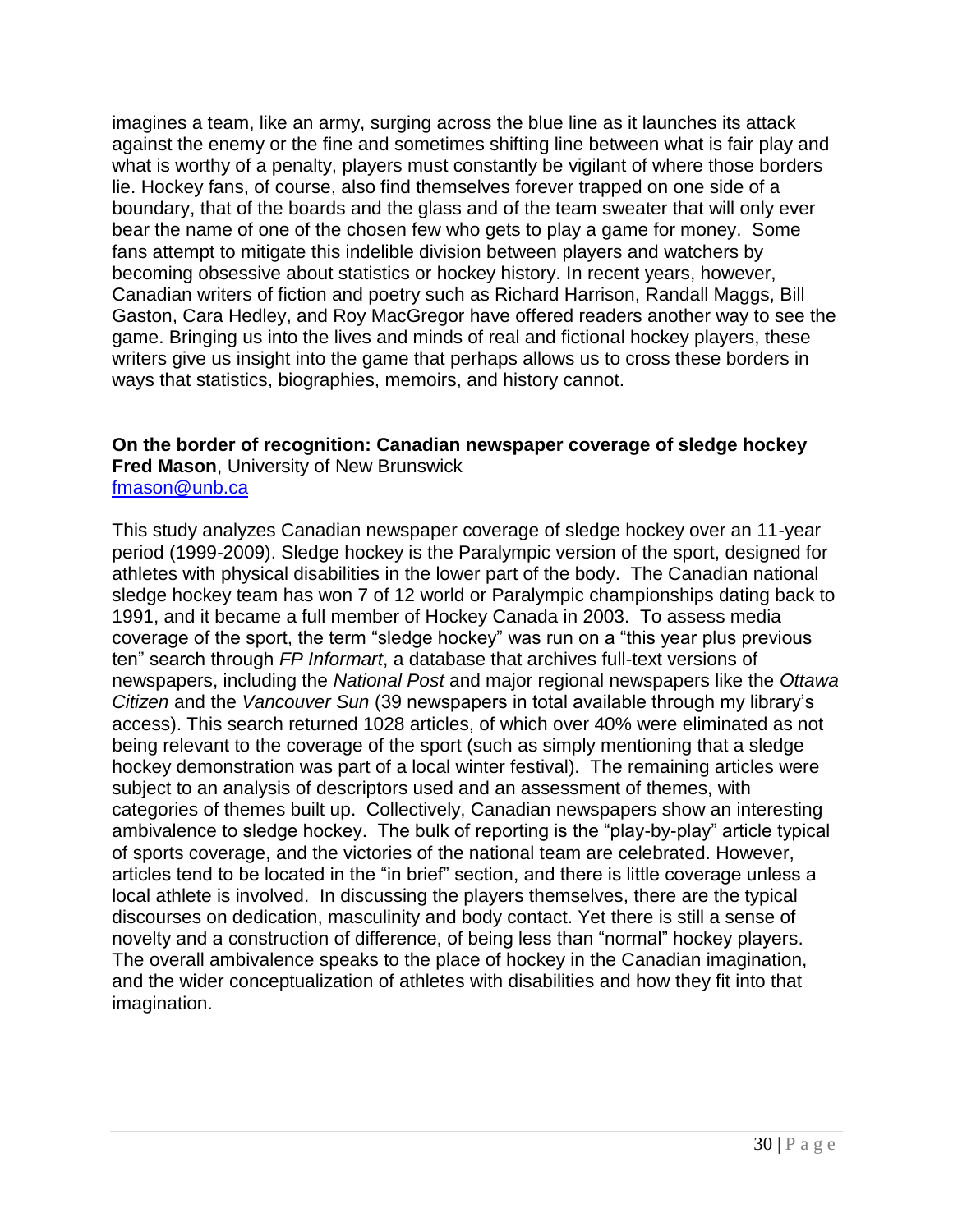imagines a team, like an army, surging across the blue line as it launches its attack against the enemy or the fine and sometimes shifting line between what is fair play and what is worthy of a penalty, players must constantly be vigilant of where those borders lie. Hockey fans, of course, also find themselves forever trapped on one side of a boundary, that of the boards and the glass and of the team sweater that will only ever bear the name of one of the chosen few who gets to play a game for money. Some fans attempt to mitigate this indelible division between players and watchers by becoming obsessive about statistics or hockey history. In recent years, however, Canadian writers of fiction and poetry such as Richard Harrison, Randall Maggs, Bill Gaston, Cara Hedley, and Roy MacGregor have offered readers another way to see the game. Bringing us into the lives and minds of real and fictional hockey players, these writers give us insight into the game that perhaps allows us to cross these borders in ways that statistics, biographies, memoirs, and history cannot.

#### **On the border of recognition: Canadian newspaper coverage of sledge hockey Fred Mason**, University of New Brunswick [fmason@unb.ca](mailto:fmason@unb.ca)

This study analyzes Canadian newspaper coverage of sledge hockey over an 11-year period (1999-2009). Sledge hockey is the Paralympic version of the sport, designed for athletes with physical disabilities in the lower part of the body. The Canadian national sledge hockey team has won 7 of 12 world or Paralympic championships dating back to 1991, and it became a full member of Hockey Canada in 2003. To assess media coverage of the sport, the term "sledge hockey" was run on a "this year plus previous ten" search through *FP Informart*, a database that archives full-text versions of newspapers, including the *National Post* and major regional newspapers like the *Ottawa Citizen* and the *Vancouver Sun* (39 newspapers in total available through my library's access). This search returned 1028 articles, of which over 40% were eliminated as not being relevant to the coverage of the sport (such as simply mentioning that a sledge hockey demonstration was part of a local winter festival). The remaining articles were subject to an analysis of descriptors used and an assessment of themes, with categories of themes built up. Collectively, Canadian newspapers show an interesting ambivalence to sledge hockey. The bulk of reporting is the "play-by-play" article typical of sports coverage, and the victories of the national team are celebrated. However, articles tend to be located in the "in brief" section, and there is little coverage unless a local athlete is involved. In discussing the players themselves, there are the typical discourses on dedication, masculinity and body contact. Yet there is still a sense of novelty and a construction of difference, of being less than "normal" hockey players. The overall ambivalence speaks to the place of hockey in the Canadian imagination, and the wider conceptualization of athletes with disabilities and how they fit into that imagination.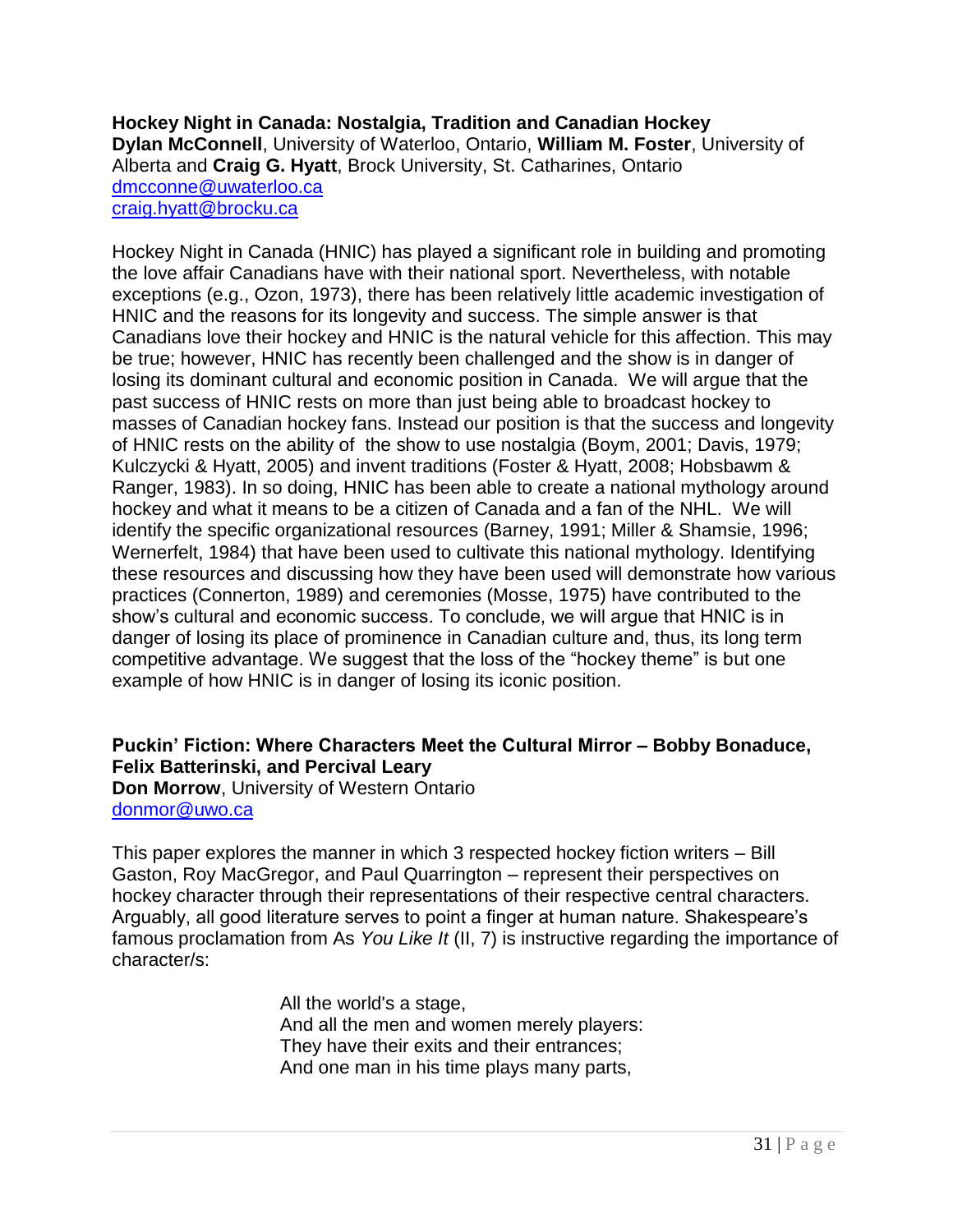**Hockey Night in Canada: Nostalgia, Tradition and Canadian Hockey Dylan McConnell**, University of Waterloo, Ontario, **William M. Foster**, University of Alberta and **Craig G. Hyatt**, Brock University, St. Catharines, Ontario [dmcconne@uwaterloo.ca](mailto:dmcconne@uwaterloo.ca) [craig.hyatt@brocku.ca](mailto:craig.hyatt@brocku.ca)

Hockey Night in Canada (HNIC) has played a significant role in building and promoting the love affair Canadians have with their national sport. Nevertheless, with notable exceptions (e.g., Ozon, 1973), there has been relatively little academic investigation of HNIC and the reasons for its longevity and success. The simple answer is that Canadians love their hockey and HNIC is the natural vehicle for this affection. This may be true; however, HNIC has recently been challenged and the show is in danger of losing its dominant cultural and economic position in Canada. We will argue that the past success of HNIC rests on more than just being able to broadcast hockey to masses of Canadian hockey fans. Instead our position is that the success and longevity of HNIC rests on the ability of the show to use nostalgia (Boym, 2001; Davis, 1979; Kulczycki & Hyatt, 2005) and invent traditions (Foster & Hyatt, 2008; Hobsbawm & Ranger, 1983). In so doing, HNIC has been able to create a national mythology around hockey and what it means to be a citizen of Canada and a fan of the NHL. We will identify the specific organizational resources (Barney, 1991; Miller & Shamsie, 1996; Wernerfelt, 1984) that have been used to cultivate this national mythology. Identifying these resources and discussing how they have been used will demonstrate how various practices (Connerton, 1989) and ceremonies (Mosse, 1975) have contributed to the show's cultural and economic success. To conclude, we will argue that HNIC is in danger of losing its place of prominence in Canadian culture and, thus, its long term competitive advantage. We suggest that the loss of the "hockey theme" is but one example of how HNIC is in danger of losing its iconic position.

### **Puckin" Fiction: Where Characters Meet the Cultural Mirror – Bobby Bonaduce, Felix Batterinski, and Percival Leary**

**Don Morrow**, University of Western Ontario [donmor@uwo.ca](mailto:donmor@uwo.ca)

This paper explores the manner in which 3 respected hockey fiction writers – Bill Gaston, Roy MacGregor, and Paul Quarrington – represent their perspectives on hockey character through their representations of their respective central characters. Arguably, all good literature serves to point a finger at human nature. Shakespeare's famous proclamation from As *You Like It* (II, 7) is instructive regarding the importance of character/s:

> All the world's a stage, And all the men and women merely players: They have their exits and their entrances; And one man in his time plays many parts,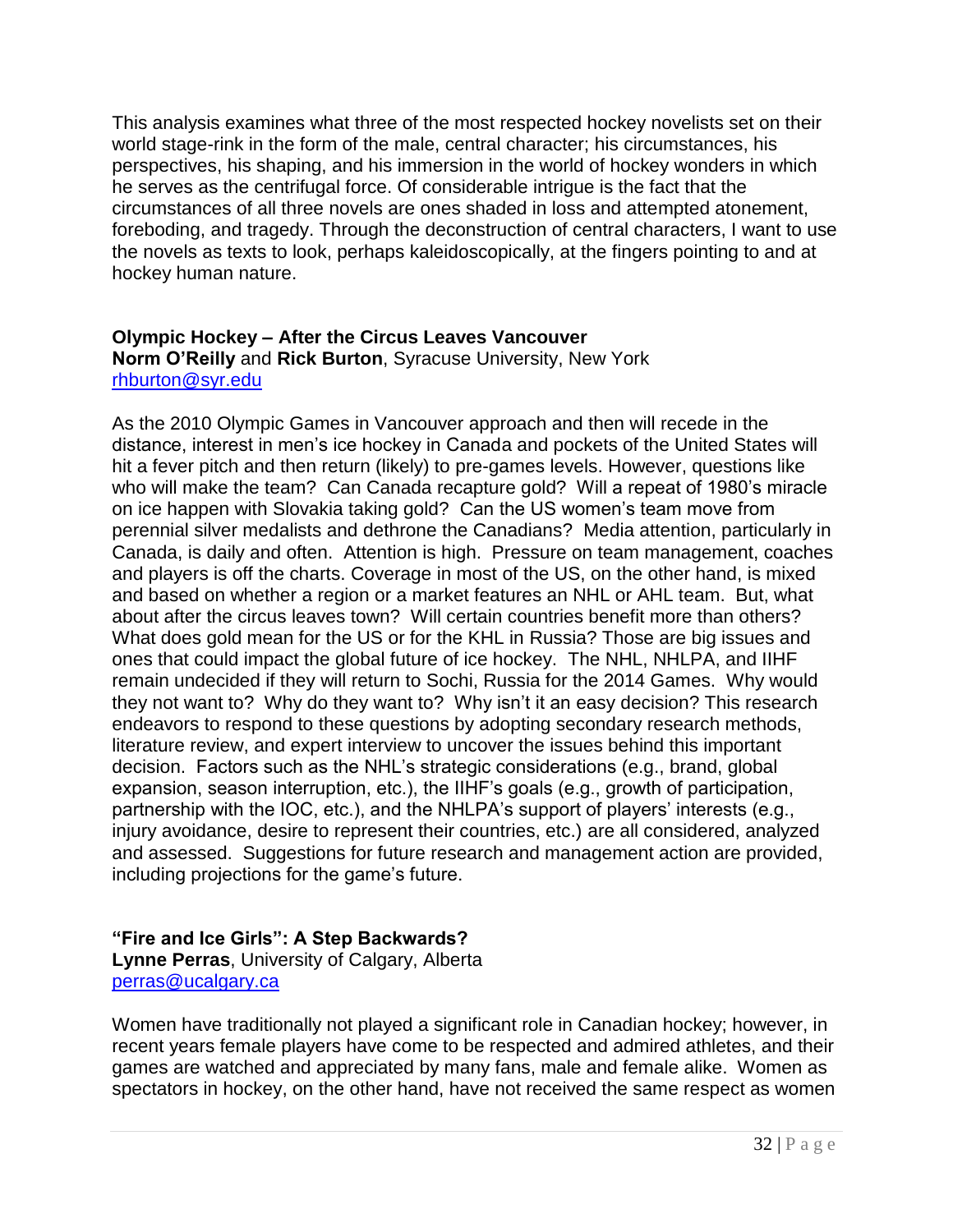This analysis examines what three of the most respected hockey novelists set on their world stage-rink in the form of the male, central character; his circumstances, his perspectives, his shaping, and his immersion in the world of hockey wonders in which he serves as the centrifugal force. Of considerable intrigue is the fact that the circumstances of all three novels are ones shaded in loss and attempted atonement, foreboding, and tragedy. Through the deconstruction of central characters, I want to use the novels as texts to look, perhaps kaleidoscopically, at the fingers pointing to and at hockey human nature.

#### **Olympic Hockey – After the Circus Leaves Vancouver Norm O"Reilly** and **Rick Burton**, Syracuse University, New York [rhburton@syr.edu](mailto:rhburton@syr.edu)

As the 2010 Olympic Games in Vancouver approach and then will recede in the distance, interest in men's ice hockey in Canada and pockets of the United States will hit a fever pitch and then return (likely) to pre-games levels. However, questions like who will make the team? Can Canada recapture gold? Will a repeat of 1980's miracle on ice happen with Slovakia taking gold? Can the US women's team move from perennial silver medalists and dethrone the Canadians? Media attention, particularly in Canada, is daily and often. Attention is high. Pressure on team management, coaches and players is off the charts. Coverage in most of the US, on the other hand, is mixed and based on whether a region or a market features an NHL or AHL team. But, what about after the circus leaves town? Will certain countries benefit more than others? What does gold mean for the US or for the KHL in Russia? Those are big issues and ones that could impact the global future of ice hockey. The NHL, NHLPA, and IIHF remain undecided if they will return to Sochi, Russia for the 2014 Games. Why would they not want to? Why do they want to? Why isn't it an easy decision? This research endeavors to respond to these questions by adopting secondary research methods, literature review, and expert interview to uncover the issues behind this important decision. Factors such as the NHL's strategic considerations (e.g., brand, global expansion, season interruption, etc.), the IIHF's goals (e.g., growth of participation, partnership with the IOC, etc.), and the NHLPA's support of players' interests (e.g., injury avoidance, desire to represent their countries, etc.) are all considered, analyzed and assessed. Suggestions for future research and management action are provided, including projections for the game's future.

#### **"Fire and Ice Girls": A Step Backwards? Lynne Perras**, University of Calgary, Alberta [perras@ucalgary.ca](mailto:perras@ucalgary.ca)

Women have traditionally not played a significant role in Canadian hockey; however, in recent years female players have come to be respected and admired athletes, and their games are watched and appreciated by many fans, male and female alike. Women as spectators in hockey, on the other hand, have not received the same respect as women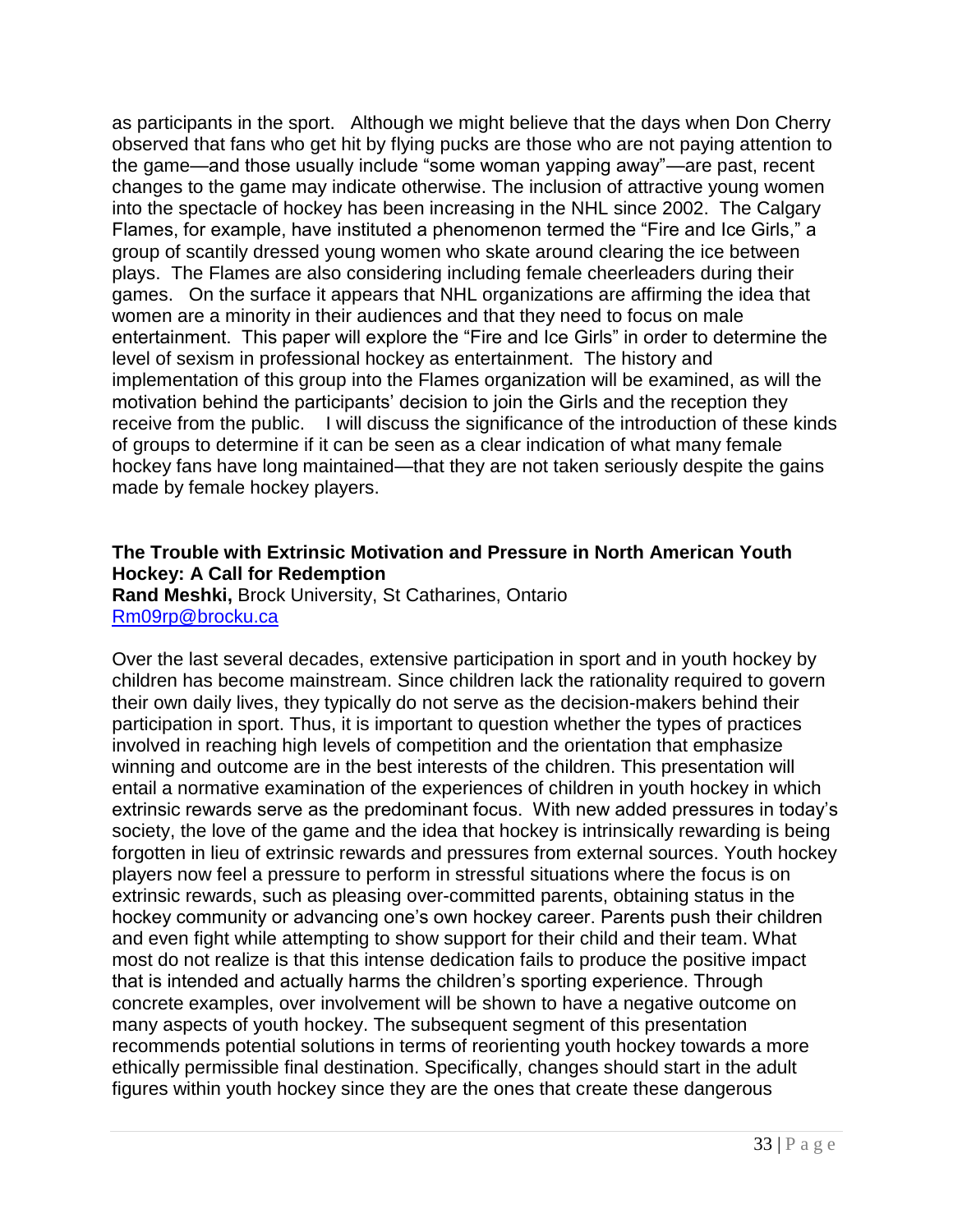as participants in the sport. Although we might believe that the days when Don Cherry observed that fans who get hit by flying pucks are those who are not paying attention to the game—and those usually include "some woman yapping away"—are past, recent changes to the game may indicate otherwise. The inclusion of attractive young women into the spectacle of hockey has been increasing in the NHL since 2002. The Calgary Flames, for example, have instituted a phenomenon termed the "Fire and Ice Girls," a group of scantily dressed young women who skate around clearing the ice between plays. The Flames are also considering including female cheerleaders during their games. On the surface it appears that NHL organizations are affirming the idea that women are a minority in their audiences and that they need to focus on male entertainment. This paper will explore the "Fire and Ice Girls" in order to determine the level of sexism in professional hockey as entertainment. The history and implementation of this group into the Flames organization will be examined, as will the motivation behind the participants' decision to join the Girls and the reception they receive from the public. I will discuss the significance of the introduction of these kinds of groups to determine if it can be seen as a clear indication of what many female hockey fans have long maintained—that they are not taken seriously despite the gains made by female hockey players.

#### **The Trouble with Extrinsic Motivation and Pressure in North American Youth Hockey: A Call for Redemption**

**Rand Meshki,** Brock University, St Catharines, Ontario [Rm09rp@brocku.ca](mailto:Rm09rp@brocku.ca)

Over the last several decades, extensive participation in sport and in youth hockey by children has become mainstream. Since children lack the rationality required to govern their own daily lives, they typically do not serve as the decision-makers behind their participation in sport. Thus, it is important to question whether the types of practices involved in reaching high levels of competition and the orientation that emphasize winning and outcome are in the best interests of the children. This presentation will entail a normative examination of the experiences of children in youth hockey in which extrinsic rewards serve as the predominant focus. With new added pressures in today's society, the love of the game and the idea that hockey is intrinsically rewarding is being forgotten in lieu of extrinsic rewards and pressures from external sources. Youth hockey players now feel a pressure to perform in stressful situations where the focus is on extrinsic rewards, such as pleasing over-committed parents, obtaining status in the hockey community or advancing one's own hockey career. Parents push their children and even fight while attempting to show support for their child and their team. What most do not realize is that this intense dedication fails to produce the positive impact that is intended and actually harms the children's sporting experience. Through concrete examples, over involvement will be shown to have a negative outcome on many aspects of youth hockey. The subsequent segment of this presentation recommends potential solutions in terms of reorienting youth hockey towards a more ethically permissible final destination. Specifically, changes should start in the adult figures within youth hockey since they are the ones that create these dangerous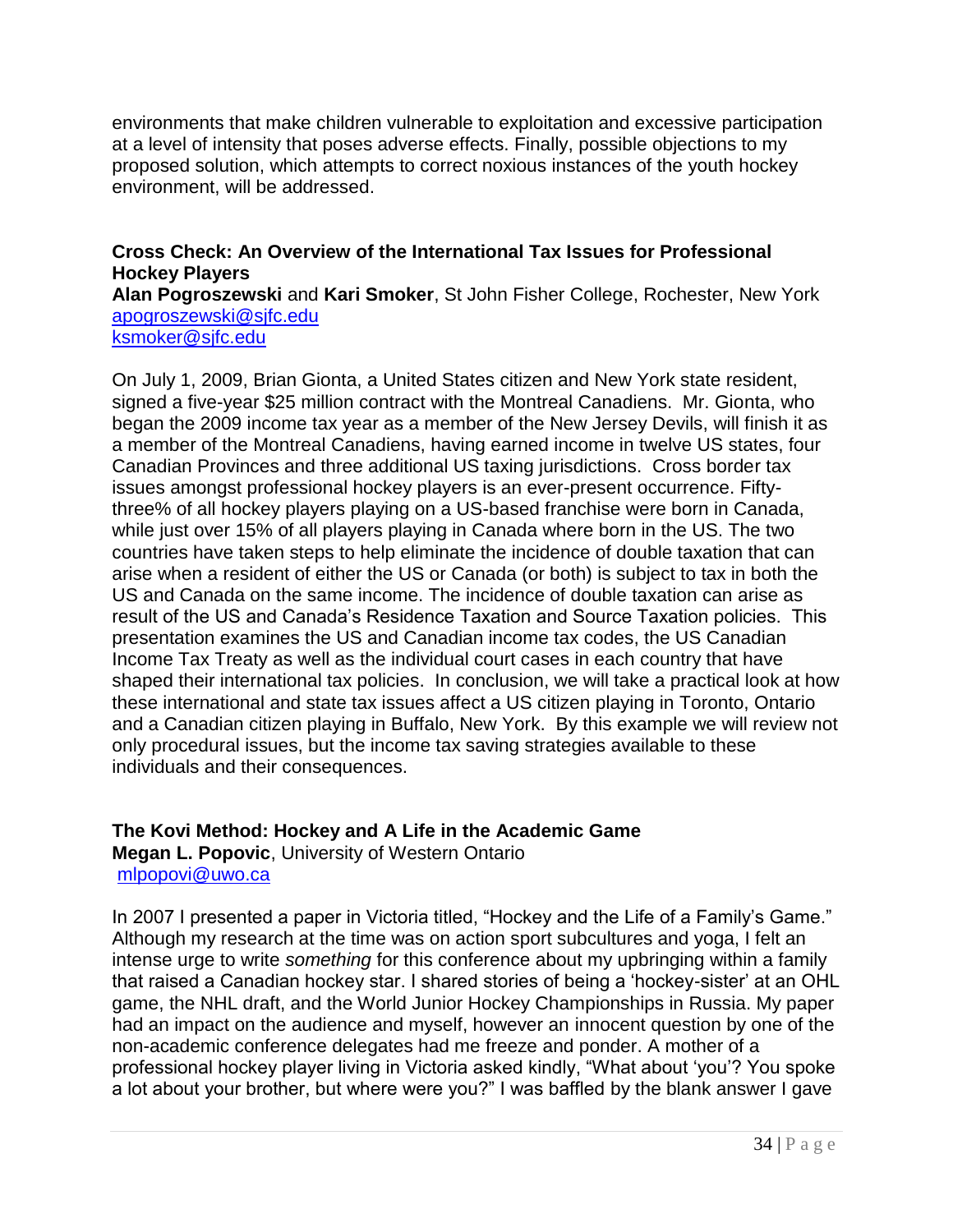environments that make children vulnerable to exploitation and excessive participation at a level of intensity that poses adverse effects. Finally, possible objections to my proposed solution, which attempts to correct noxious instances of the youth hockey environment, will be addressed.

#### **Cross Check: An Overview of the International Tax Issues for Professional Hockey Players**

**Alan Pogroszewski** and **Kari Smoker**, St John Fisher College, Rochester, New York [apogroszewski@sjfc.edu](mailto:apogroszewski@sjfc.edu) [ksmoker@sjfc.edu](mailto:ksmoker@sjfc.edu)

On July 1, 2009, Brian Gionta, a United States citizen and New York state resident, signed a five-year \$25 million contract with the Montreal Canadiens. Mr. Gionta, who began the 2009 income tax year as a member of the New Jersey Devils, will finish it as a member of the Montreal Canadiens, having earned income in twelve US states, four Canadian Provinces and three additional US taxing jurisdictions. Cross border tax issues amongst professional hockey players is an ever-present occurrence. Fiftythree% of all hockey players playing on a US-based franchise were born in Canada, while just over 15% of all players playing in Canada where born in the US. The two countries have taken steps to help eliminate the incidence of double taxation that can arise when a resident of either the US or Canada (or both) is subject to tax in both the US and Canada on the same income. The incidence of double taxation can arise as result of the US and Canada's Residence Taxation and Source Taxation policies. This presentation examines the US and Canadian income tax codes, the US Canadian Income Tax Treaty as well as the individual court cases in each country that have shaped their international tax policies. In conclusion, we will take a practical look at how these international and state tax issues affect a US citizen playing in Toronto, Ontario and a Canadian citizen playing in Buffalo, New York. By this example we will review not only procedural issues, but the income tax saving strategies available to these individuals and their consequences.

### **The Kovi Method: Hockey and A Life in the Academic Game**

**Megan L. Popovic**, University of Western Ontario [mlpopovi@uwo.ca](mailto:mlpopovi@uwo.ca)

In 2007 I presented a paper in Victoria titled, "Hockey and the Life of a Family's Game." Although my research at the time was on action sport subcultures and yoga, I felt an intense urge to write *something* for this conference about my upbringing within a family that raised a Canadian hockey star. I shared stories of being a 'hockey-sister' at an OHL game, the NHL draft, and the World Junior Hockey Championships in Russia. My paper had an impact on the audience and myself, however an innocent question by one of the non-academic conference delegates had me freeze and ponder. A mother of a professional hockey player living in Victoria asked kindly, "What about 'you'? You spoke a lot about your brother, but where were you?" I was baffled by the blank answer I gave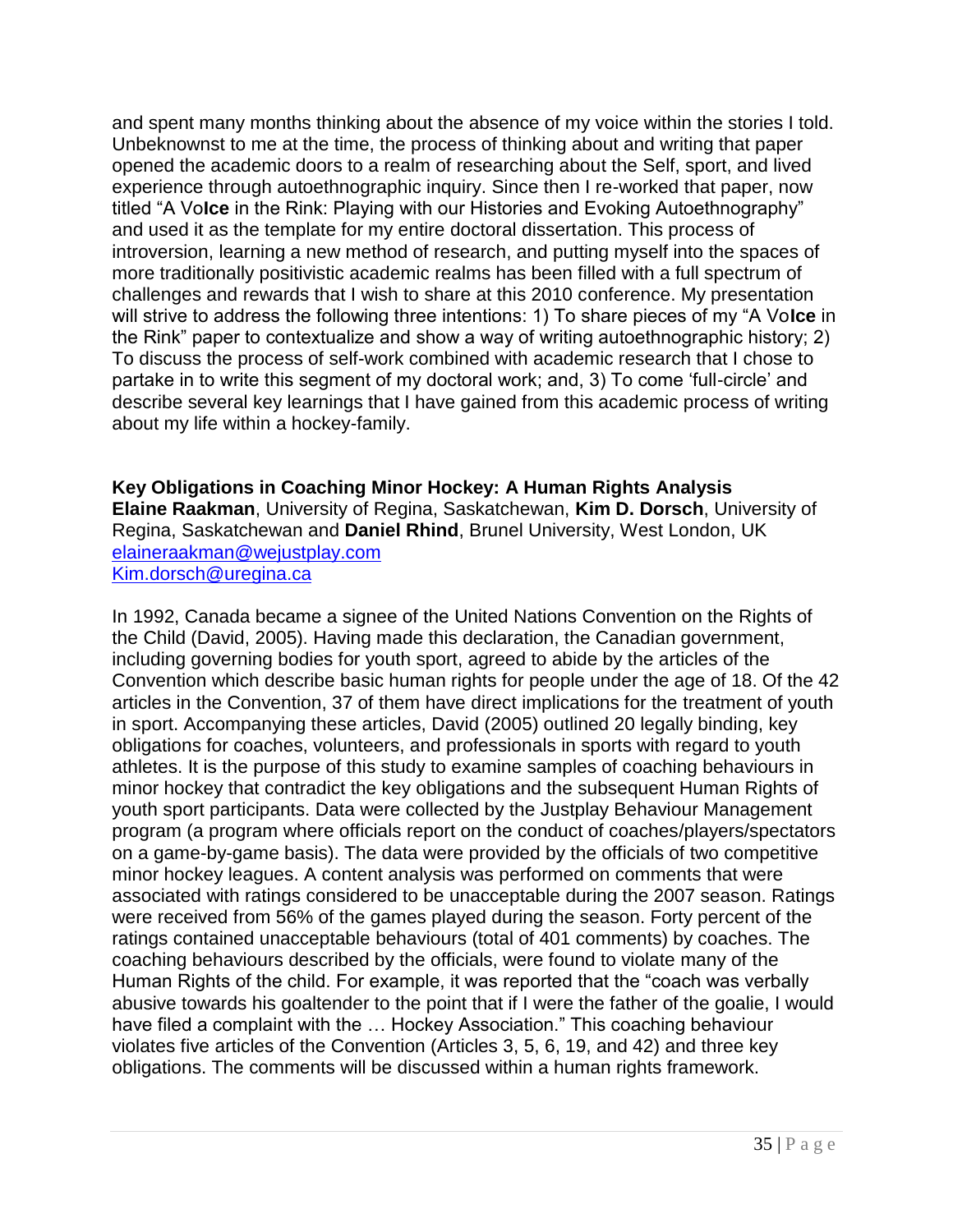and spent many months thinking about the absence of my voice within the stories I told. Unbeknownst to me at the time, the process of thinking about and writing that paper opened the academic doors to a realm of researching about the Self, sport, and lived experience through autoethnographic inquiry. Since then I re-worked that paper, now titled "A Volce in the Rink: Playing with our Histories and Evoking Autoethnography" and used it as the template for my entire doctoral dissertation. This process of introversion, learning a new method of research, and putting myself into the spaces of more traditionally positivistic academic realms has been filled with a full spectrum of challenges and rewards that I wish to share at this 2010 conference. My presentation will strive to address the following three intentions: 1) To share pieces of my "A Volce in the Rink" paper to contextualize and show a way of writing autoethnographic history; 2) To discuss the process of self-work combined with academic research that I chose to partake in to write this segment of my doctoral work; and, 3) To come 'full-circle' and describe several key learnings that I have gained from this academic process of writing about my life within a hockey-family.

**Key Obligations in Coaching Minor Hockey: A Human Rights Analysis Elaine Raakman**, University of Regina, Saskatchewan, **Kim D. Dorsch**, University of Regina, Saskatchewan and **Daniel Rhind**, Brunel University, West London, UK [elaineraakman@wejustplay.com](mailto:elaineraakman@wejustplay.com) [Kim.dorsch@uregina.ca](mailto:Kim.dorsch@uregina.ca)

In 1992, Canada became a signee of the United Nations Convention on the Rights of the Child (David, 2005). Having made this declaration, the Canadian government, including governing bodies for youth sport, agreed to abide by the articles of the Convention which describe basic human rights for people under the age of 18. Of the 42 articles in the Convention, 37 of them have direct implications for the treatment of youth in sport. Accompanying these articles, David (2005) outlined 20 legally binding, key obligations for coaches, volunteers, and professionals in sports with regard to youth athletes. It is the purpose of this study to examine samples of coaching behaviours in minor hockey that contradict the key obligations and the subsequent Human Rights of youth sport participants. Data were collected by the Justplay Behaviour Management program (a program where officials report on the conduct of coaches/players/spectators on a game-by-game basis). The data were provided by the officials of two competitive minor hockey leagues. A content analysis was performed on comments that were associated with ratings considered to be unacceptable during the 2007 season. Ratings were received from 56% of the games played during the season. Forty percent of the ratings contained unacceptable behaviours (total of 401 comments) by coaches. The coaching behaviours described by the officials, were found to violate many of the Human Rights of the child. For example, it was reported that the "coach was verbally abusive towards his goaltender to the point that if I were the father of the goalie, I would have filed a complaint with the ... Hockey Association." This coaching behaviour violates five articles of the Convention (Articles 3, 5, 6, 19, and 42) and three key obligations. The comments will be discussed within a human rights framework.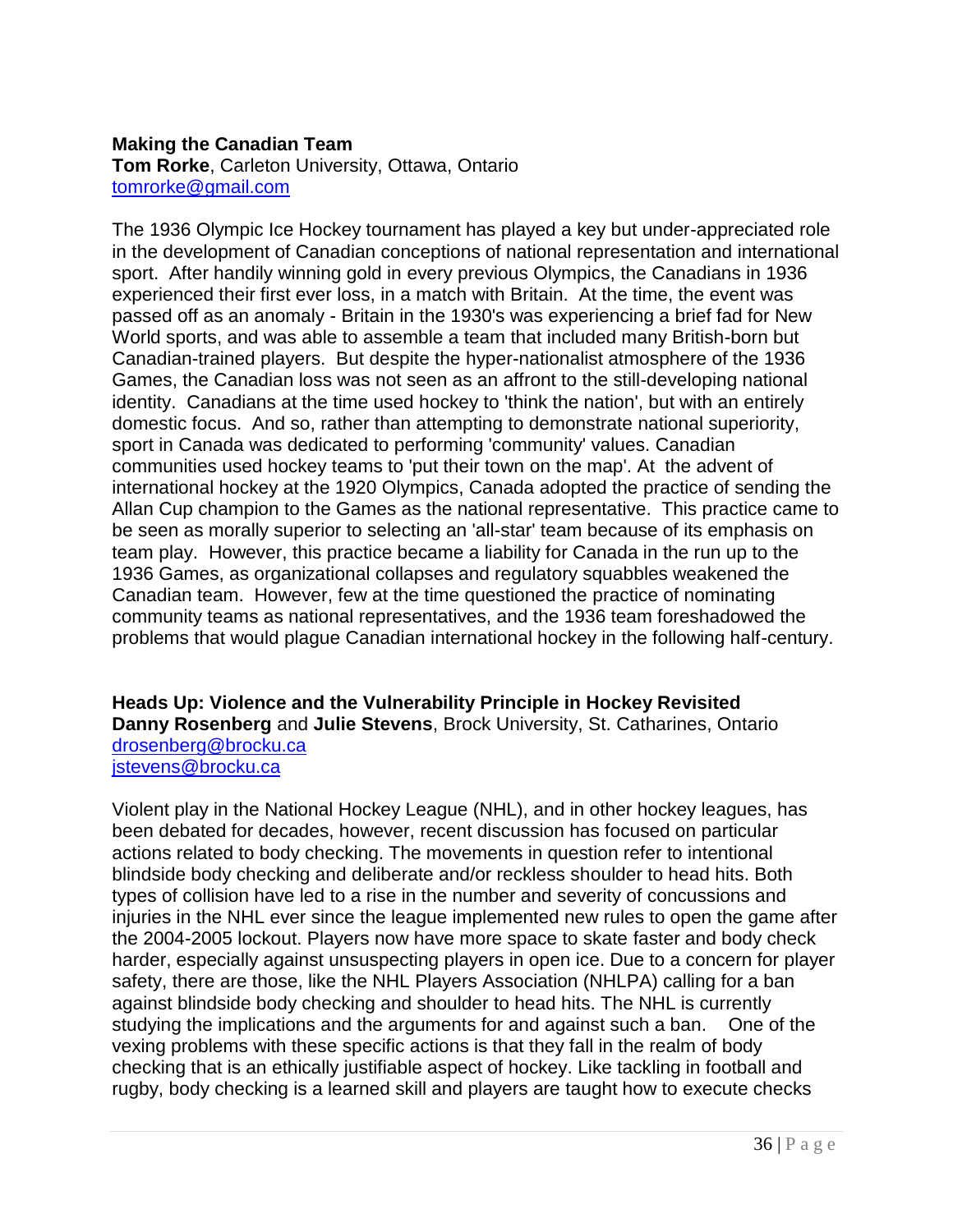#### **Making the Canadian Team**

**Tom Rorke**, Carleton University, Ottawa, Ontario [tomrorke@gmail.com](mailto:tomrorke@gmail.com)

The 1936 Olympic Ice Hockey tournament has played a key but under-appreciated role in the development of Canadian conceptions of national representation and international sport. After handily winning gold in every previous Olympics, the Canadians in 1936 experienced their first ever loss, in a match with Britain. At the time, the event was passed off as an anomaly - Britain in the 1930's was experiencing a brief fad for New World sports, and was able to assemble a team that included many British-born but Canadian-trained players. But despite the hyper-nationalist atmosphere of the 1936 Games, the Canadian loss was not seen as an affront to the still-developing national identity. Canadians at the time used hockey to 'think the nation', but with an entirely domestic focus. And so, rather than attempting to demonstrate national superiority, sport in Canada was dedicated to performing 'community' values. Canadian communities used hockey teams to 'put their town on the map'. At the advent of international hockey at the 1920 Olympics, Canada adopted the practice of sending the Allan Cup champion to the Games as the national representative. This practice came to be seen as morally superior to selecting an 'all-star' team because of its emphasis on team play. However, this practice became a liability for Canada in the run up to the 1936 Games, as organizational collapses and regulatory squabbles weakened the Canadian team. However, few at the time questioned the practice of nominating community teams as national representatives, and the 1936 team foreshadowed the problems that would plague Canadian international hockey in the following half-century.

**Heads Up: Violence and the Vulnerability Principle in Hockey Revisited Danny Rosenberg** and **Julie Stevens**, Brock University, St. Catharines, Ontario [drosenberg@brocku.ca](mailto:drosenberg@brocku.ca) [jstevens@brocku.ca](mailto:jstevens@brocku.ca)

Violent play in the National Hockey League (NHL), and in other hockey leagues, has been debated for decades, however, recent discussion has focused on particular actions related to body checking. The movements in question refer to intentional blindside body checking and deliberate and/or reckless shoulder to head hits. Both types of collision have led to a rise in the number and severity of concussions and injuries in the NHL ever since the league implemented new rules to open the game after the 2004-2005 lockout. Players now have more space to skate faster and body check harder, especially against unsuspecting players in open ice. Due to a concern for player safety, there are those, like the NHL Players Association (NHLPA) calling for a ban against blindside body checking and shoulder to head hits. The NHL is currently studying the implications and the arguments for and against such a ban. One of the vexing problems with these specific actions is that they fall in the realm of body checking that is an ethically justifiable aspect of hockey. Like tackling in football and rugby, body checking is a learned skill and players are taught how to execute checks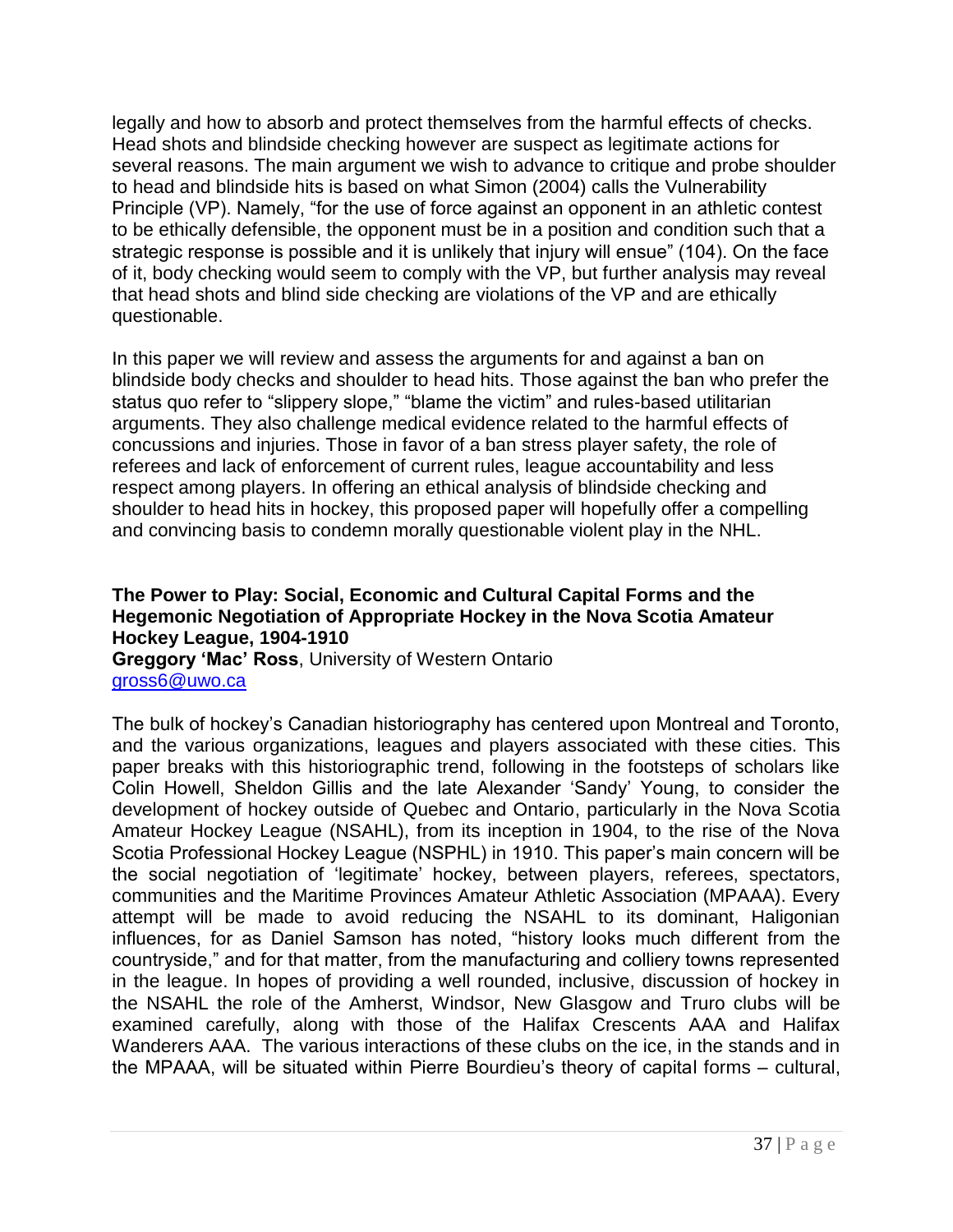legally and how to absorb and protect themselves from the harmful effects of checks. Head shots and blindside checking however are suspect as legitimate actions for several reasons. The main argument we wish to advance to critique and probe shoulder to head and blindside hits is based on what Simon (2004) calls the Vulnerability Principle (VP). Namely, "for the use of force against an opponent in an athletic contest to be ethically defensible, the opponent must be in a position and condition such that a strategic response is possible and it is unlikely that injury will ensue" (104). On the face of it, body checking would seem to comply with the VP, but further analysis may reveal that head shots and blind side checking are violations of the VP and are ethically questionable.

In this paper we will review and assess the arguments for and against a ban on blindside body checks and shoulder to head hits. Those against the ban who prefer the status quo refer to "slippery slope," "blame the victim" and rules-based utilitarian arguments. They also challenge medical evidence related to the harmful effects of concussions and injuries. Those in favor of a ban stress player safety, the role of referees and lack of enforcement of current rules, league accountability and less respect among players. In offering an ethical analysis of blindside checking and shoulder to head hits in hockey, this proposed paper will hopefully offer a compelling and convincing basis to condemn morally questionable violent play in the NHL.

#### **The Power to Play: Social, Economic and Cultural Capital Forms and the Hegemonic Negotiation of Appropriate Hockey in the Nova Scotia Amateur Hockey League, 1904-1910**

**Greggory "Mac" Ross**, University of Western Ontario [gross6@uwo.ca](mailto:gross6@uwo.ca)

The bulk of hockey's Canadian historiography has centered upon Montreal and Toronto, and the various organizations, leagues and players associated with these cities. This paper breaks with this historiographic trend, following in the footsteps of scholars like Colin Howell, Sheldon Gillis and the late Alexander 'Sandy' Young, to consider the development of hockey outside of Quebec and Ontario, particularly in the Nova Scotia Amateur Hockey League (NSAHL), from its inception in 1904, to the rise of the Nova Scotia Professional Hockey League (NSPHL) in 1910. This paper's main concern will be the social negotiation of 'legitimate' hockey, between players, referees, spectators, communities and the Maritime Provinces Amateur Athletic Association (MPAAA). Every attempt will be made to avoid reducing the NSAHL to its dominant, Haligonian influences, for as Daniel Samson has noted, "history looks much different from the countryside,‖ and for that matter, from the manufacturing and colliery towns represented in the league. In hopes of providing a well rounded, inclusive, discussion of hockey in the NSAHL the role of the Amherst, Windsor, New Glasgow and Truro clubs will be examined carefully, along with those of the Halifax Crescents AAA and Halifax Wanderers AAA. The various interactions of these clubs on the ice, in the stands and in the MPAAA, will be situated within Pierre Bourdieu's theory of capital forms – cultural,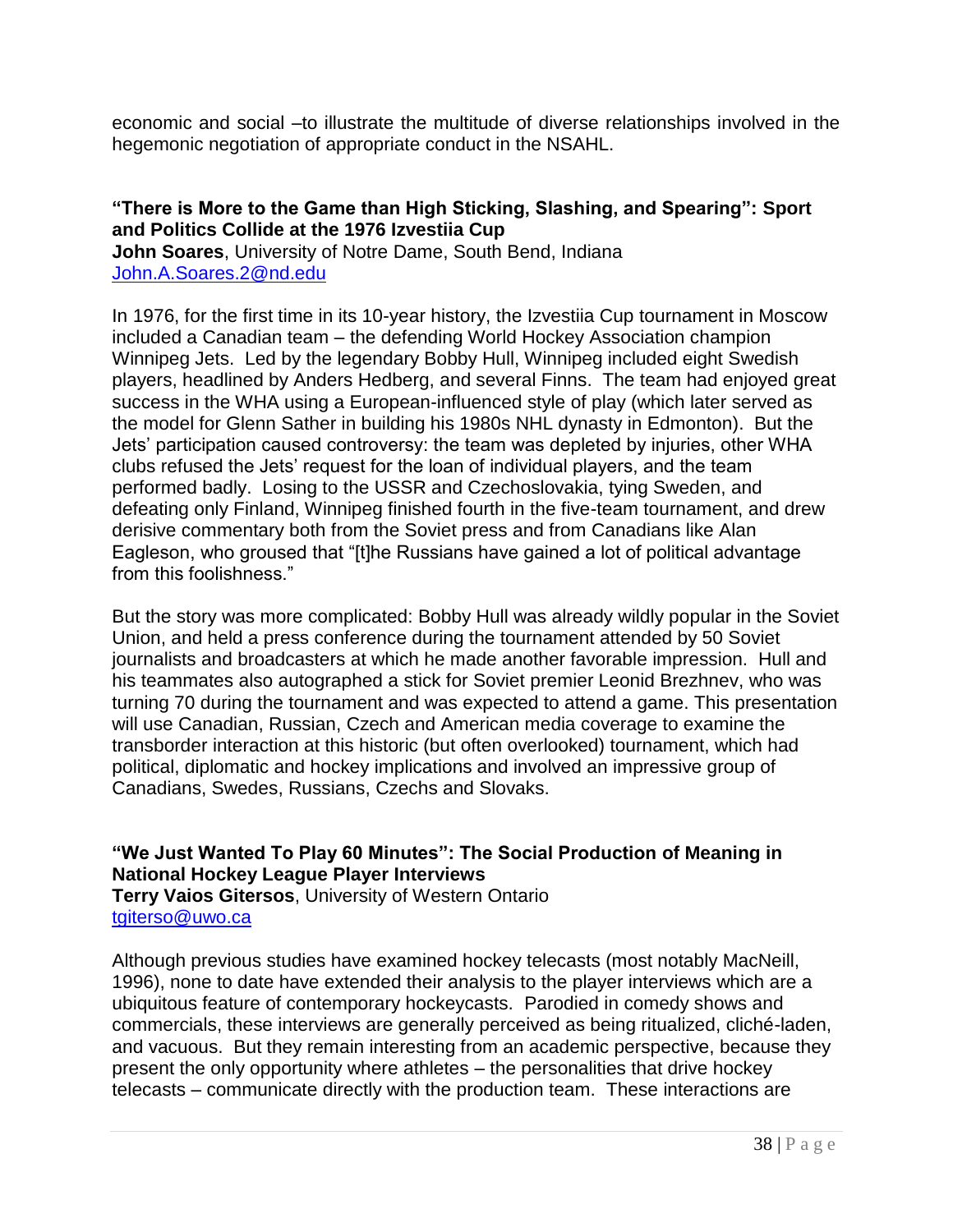economic and social –to illustrate the multitude of diverse relationships involved in the hegemonic negotiation of appropriate conduct in the NSAHL.

#### **"There is More to the Game than High Sticking, Slashing, and Spearing": Sport and Politics Collide at the 1976 Izvestiia Cup**

**John Soares**, University of Notre Dame, South Bend, Indiana [John.A.Soares.2@nd.edu](mailto:John.A.Soares.2@nd.edu)

In 1976, for the first time in its 10-year history, the Izvestiia Cup tournament in Moscow included a Canadian team – the defending World Hockey Association champion Winnipeg Jets. Led by the legendary Bobby Hull, Winnipeg included eight Swedish players, headlined by Anders Hedberg, and several Finns. The team had enjoyed great success in the WHA using a European-influenced style of play (which later served as the model for Glenn Sather in building his 1980s NHL dynasty in Edmonton). But the Jets' participation caused controversy: the team was depleted by injuries, other WHA clubs refused the Jets' request for the loan of individual players, and the team performed badly. Losing to the USSR and Czechoslovakia, tying Sweden, and defeating only Finland, Winnipeg finished fourth in the five-team tournament, and drew derisive commentary both from the Soviet press and from Canadians like Alan Eagleson, who groused that "[t]he Russians have gained a lot of political advantage from this foolishness."

But the story was more complicated: Bobby Hull was already wildly popular in the Soviet Union, and held a press conference during the tournament attended by 50 Soviet journalists and broadcasters at which he made another favorable impression. Hull and his teammates also autographed a stick for Soviet premier Leonid Brezhnev, who was turning 70 during the tournament and was expected to attend a game. This presentation will use Canadian, Russian, Czech and American media coverage to examine the transborder interaction at this historic (but often overlooked) tournament, which had political, diplomatic and hockey implications and involved an impressive group of Canadians, Swedes, Russians, Czechs and Slovaks.

#### **"We Just Wanted To Play 60 Minutes": The Social Production of Meaning in National Hockey League Player Interviews**

**Terry Vaios Gitersos**, University of Western Ontario [tgiterso@uwo.ca](mailto:tgiterso@uwo.ca)

Although previous studies have examined hockey telecasts (most notably MacNeill, 1996), none to date have extended their analysis to the player interviews which are a ubiquitous feature of contemporary hockeycasts. Parodied in comedy shows and commercials, these interviews are generally perceived as being ritualized, cliché-laden, and vacuous. But they remain interesting from an academic perspective, because they present the only opportunity where athletes – the personalities that drive hockey telecasts – communicate directly with the production team. These interactions are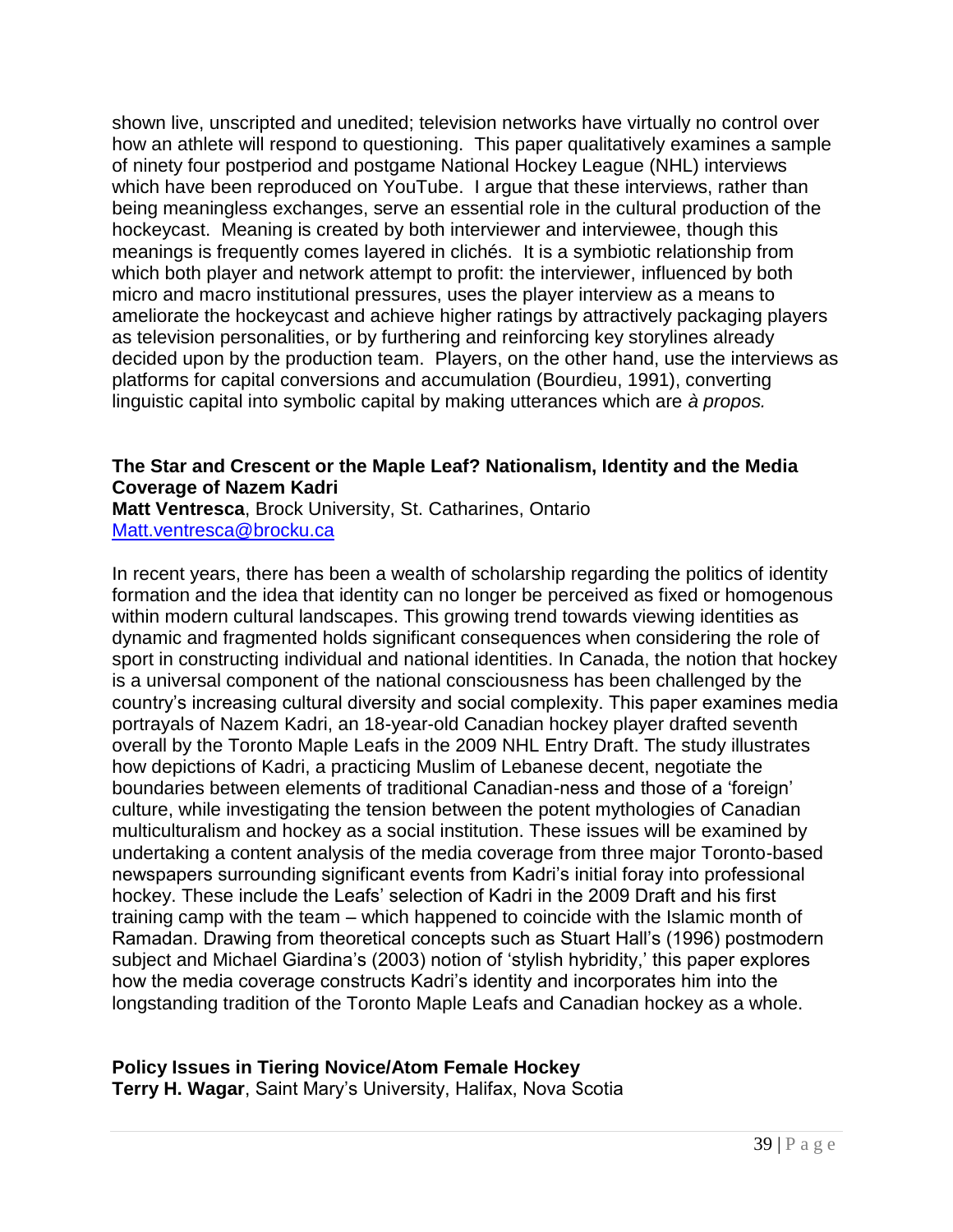shown live, unscripted and unedited; television networks have virtually no control over how an athlete will respond to questioning. This paper qualitatively examines a sample of ninety four postperiod and postgame National Hockey League (NHL) interviews which have been reproduced on YouTube. I argue that these interviews, rather than being meaningless exchanges, serve an essential role in the cultural production of the hockeycast. Meaning is created by both interviewer and interviewee, though this meanings is frequently comes layered in clichés. It is a symbiotic relationship from which both player and network attempt to profit: the interviewer, influenced by both micro and macro institutional pressures, uses the player interview as a means to ameliorate the hockeycast and achieve higher ratings by attractively packaging players as television personalities, or by furthering and reinforcing key storylines already decided upon by the production team. Players, on the other hand, use the interviews as platforms for capital conversions and accumulation (Bourdieu, 1991), converting linguistic capital into symbolic capital by making utterances which are *à propos.*

#### **The Star and Crescent or the Maple Leaf? Nationalism, Identity and the Media Coverage of Nazem Kadri**

**Matt Ventresca**, Brock University, St. Catharines, Ontario [Matt.ventresca@brocku.ca](mailto:Matt.ventresca@brocku.ca)

In recent years, there has been a wealth of scholarship regarding the politics of identity formation and the idea that identity can no longer be perceived as fixed or homogenous within modern cultural landscapes. This growing trend towards viewing identities as dynamic and fragmented holds significant consequences when considering the role of sport in constructing individual and national identities. In Canada, the notion that hockey is a universal component of the national consciousness has been challenged by the country's increasing cultural diversity and social complexity. This paper examines media portrayals of Nazem Kadri, an 18-year-old Canadian hockey player drafted seventh overall by the Toronto Maple Leafs in the 2009 NHL Entry Draft. The study illustrates how depictions of Kadri, a practicing Muslim of Lebanese decent, negotiate the boundaries between elements of traditional Canadian-ness and those of a 'foreign' culture, while investigating the tension between the potent mythologies of Canadian multiculturalism and hockey as a social institution. These issues will be examined by undertaking a content analysis of the media coverage from three major Toronto-based newspapers surrounding significant events from Kadri's initial foray into professional hockey. These include the Leafs' selection of Kadri in the 2009 Draft and his first training camp with the team – which happened to coincide with the Islamic month of Ramadan. Drawing from theoretical concepts such as Stuart Hall's (1996) postmodern subject and Michael Giardina's (2003) notion of 'stylish hybridity,' this paper explores how the media coverage constructs Kadri's identity and incorporates him into the longstanding tradition of the Toronto Maple Leafs and Canadian hockey as a whole.

#### **Policy Issues in Tiering Novice/Atom Female Hockey**

**Terry H. Wagar**, Saint Mary's University, Halifax, Nova Scotia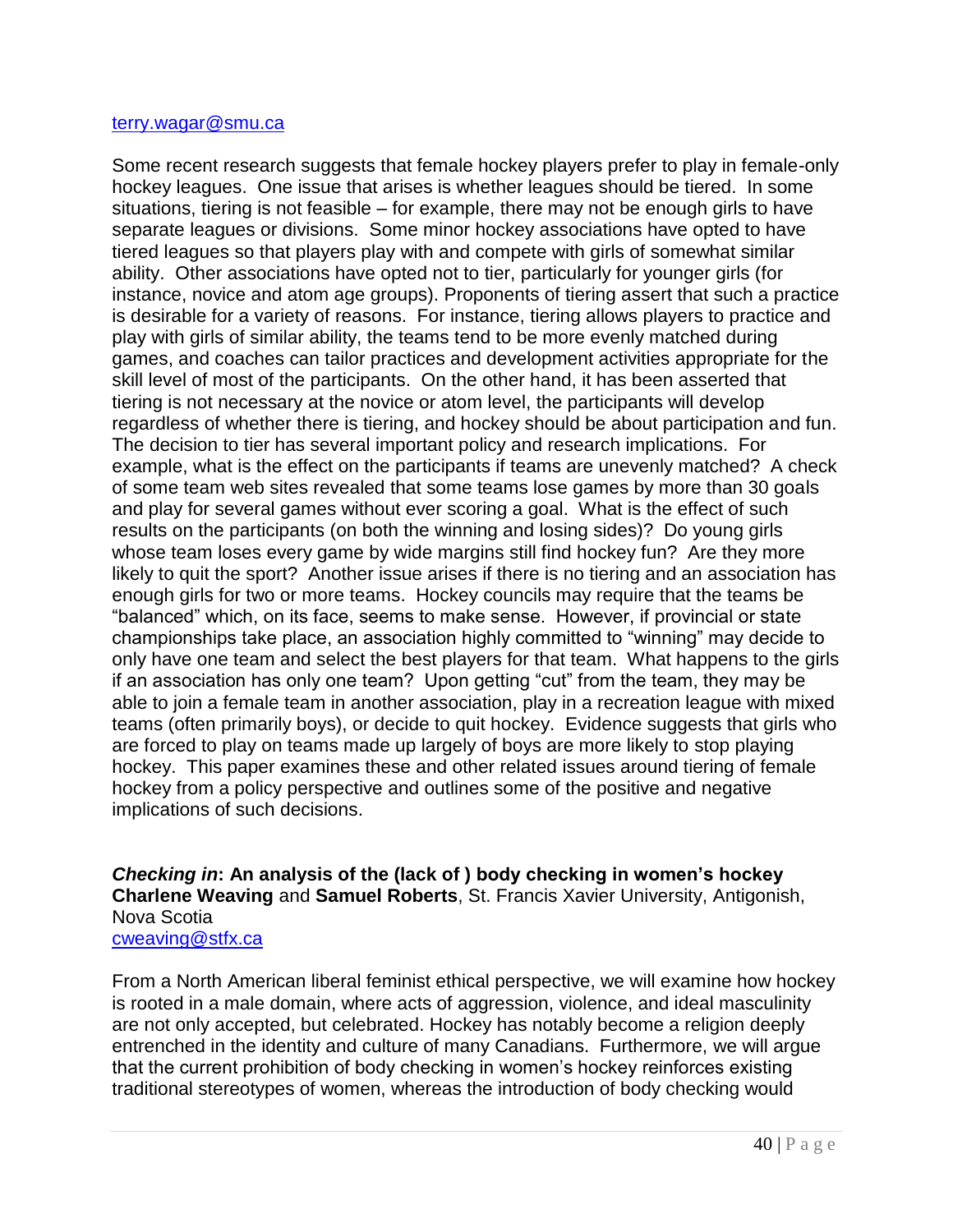#### [terry.wagar@smu.ca](mailto:terry.wagar@smu.ca)

Some recent research suggests that female hockey players prefer to play in female-only hockey leagues. One issue that arises is whether leagues should be tiered. In some situations, tiering is not feasible – for example, there may not be enough girls to have separate leagues or divisions. Some minor hockey associations have opted to have tiered leagues so that players play with and compete with girls of somewhat similar ability. Other associations have opted not to tier, particularly for younger girls (for instance, novice and atom age groups). Proponents of tiering assert that such a practice is desirable for a variety of reasons. For instance, tiering allows players to practice and play with girls of similar ability, the teams tend to be more evenly matched during games, and coaches can tailor practices and development activities appropriate for the skill level of most of the participants. On the other hand, it has been asserted that tiering is not necessary at the novice or atom level, the participants will develop regardless of whether there is tiering, and hockey should be about participation and fun. The decision to tier has several important policy and research implications. For example, what is the effect on the participants if teams are unevenly matched? A check of some team web sites revealed that some teams lose games by more than 30 goals and play for several games without ever scoring a goal. What is the effect of such results on the participants (on both the winning and losing sides)? Do young girls whose team loses every game by wide margins still find hockey fun? Are they more likely to quit the sport? Another issue arises if there is no tiering and an association has enough girls for two or more teams. Hockey councils may require that the teams be ―balanced‖ which, on its face, seems to make sense. However, if provincial or state championships take place, an association highly committed to "winning" may decide to only have one team and select the best players for that team. What happens to the girls if an association has only one team? Upon getting "cut" from the team, they may be able to join a female team in another association, play in a recreation league with mixed teams (often primarily boys), or decide to quit hockey. Evidence suggests that girls who are forced to play on teams made up largely of boys are more likely to stop playing hockey. This paper examines these and other related issues around tiering of female hockey from a policy perspective and outlines some of the positive and negative implications of such decisions.

*Checking in***: An analysis of the (lack of ) body checking in women"s hockey Charlene Weaving** and **Samuel Roberts**, St. Francis Xavier University, Antigonish, Nova Scotia

#### [cweaving@stfx.ca](mailto:cweaving@stfx.ca)

From a North American liberal feminist ethical perspective, we will examine how hockey is rooted in a male domain, where acts of aggression, violence, and ideal masculinity are not only accepted, but celebrated. Hockey has notably become a religion deeply entrenched in the identity and culture of many Canadians. Furthermore, we will argue that the current prohibition of body checking in women's hockey reinforces existing traditional stereotypes of women, whereas the introduction of body checking would